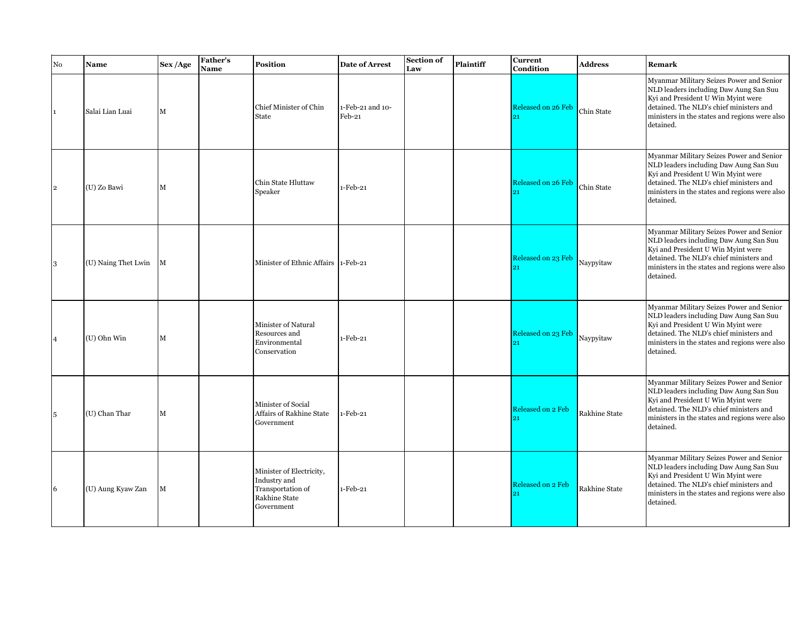| No             | Name                | Sex/Age      | <b>Father's</b><br><b>Name</b> | Position                                                                                     | <b>Date of Arrest</b>      | Section of<br>Law | <b>Plaintiff</b> | <b>Current</b><br>Condition     | <b>Address</b>       | Remark                                                                                                                                                                                                                            |
|----------------|---------------------|--------------|--------------------------------|----------------------------------------------------------------------------------------------|----------------------------|-------------------|------------------|---------------------------------|----------------------|-----------------------------------------------------------------------------------------------------------------------------------------------------------------------------------------------------------------------------------|
| $ 1\rangle$    | Salai Lian Luai     | M            |                                | Chief Minister of Chin<br>State                                                              | 1-Feb-21 and 10-<br>Feb-21 |                   |                  | Released on 26 Feb              | Chin State           | Myanmar Military Seizes Power and Senior<br>NLD leaders including Daw Aung San Suu<br>Kyi and President U Win Myint were<br>detained. The NLD's chief ministers and<br>ministers in the states and regions were also<br>detained. |
| $\overline{2}$ | (U) Zo Bawi         | М            |                                | Chin State Hluttaw<br>Speaker                                                                | $1-Feb-21$                 |                   |                  | <b>Released on 26 Feb</b><br>21 | Chin State           | Myanmar Military Seizes Power and Senior<br>NLD leaders including Daw Aung San Suu<br>Kyi and President U Win Myint were<br>detained. The NLD's chief ministers and<br>ministers in the states and regions were also<br>detained. |
| 3              | (U) Naing Thet Lwin | $\mathbf{M}$ |                                | Minister of Ethnic Affairs 1-Feb-21                                                          |                            |                   |                  | Released on 23 Feb<br>21        | Naypyitaw            | Myanmar Military Seizes Power and Senior<br>NLD leaders including Daw Aung San Suu<br>Kyi and President U Win Myint were<br>detained. The NLD's chief ministers and<br>ministers in the states and regions were also<br>detained. |
| 14             | $(U)$ Ohn Win       | M            |                                | Minister of Natural<br>Resources and<br>Environmental<br>Conservation                        | 1-Feb-21                   |                   |                  | Released on 23 Feb              | Naypyitaw            | Myanmar Military Seizes Power and Senior<br>NLD leaders including Daw Aung San Suu<br>Kyi and President U Win Myint were<br>detained. The NLD's chief ministers and<br>ministers in the states and regions were also<br>detained. |
| 5              | (U) Chan Thar       | $\mathbf{M}$ |                                | Minister of Social<br>Affairs of Rakhine State<br>Government                                 | 1-Feb-21                   |                   |                  | Released on 2 Feb<br>91         | Rakhine State        | Myanmar Military Seizes Power and Senior<br>NLD leaders including Daw Aung San Suu<br>Kyi and President U Win Myint were<br>detained. The NLD's chief ministers and<br>ministers in the states and regions were also<br>detained. |
| 6              | (U) Aung Kyaw Zan   | M            |                                | Minister of Electricity,<br>Industry and<br>Transportation of<br>Rakhine State<br>Government | $1-Feb-21$                 |                   |                  | Released on 2 Feb<br>21         | <b>Rakhine State</b> | Myanmar Military Seizes Power and Senior<br>NLD leaders including Daw Aung San Suu<br>Kyi and President U Win Myint were<br>detained. The NLD's chief ministers and<br>ministers in the states and regions were also<br>detained. |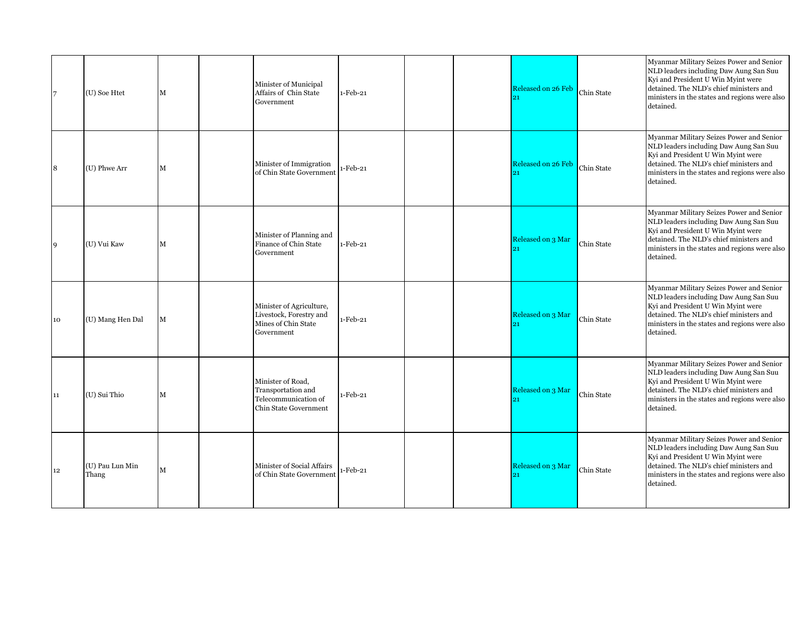| $\overline{7}$ | (U) Soe Htet             | M           | Minister of Municipal<br>Affairs of Chin State<br>Government                                    | $1-Feb-21$ |  | Released on 26 Feb | Chin State | Myanmar Military Seizes Power and Senior<br>NLD leaders including Daw Aung San Suu<br>Kyi and President U Win Myint were<br>detained. The NLD's chief ministers and<br>ministers in the states and regions were also<br>detained. |
|----------------|--------------------------|-------------|-------------------------------------------------------------------------------------------------|------------|--|--------------------|------------|-----------------------------------------------------------------------------------------------------------------------------------------------------------------------------------------------------------------------------------|
| 8              | (U) Phwe Arr             | M           | Minister of Immigration<br>of Chin State Government                                             | -Feb-21    |  | Released on 26 Feb | Chin State | Myanmar Military Seizes Power and Senior<br>NLD leaders including Daw Aung San Suu<br>Kyi and President U Win Myint were<br>detained. The NLD's chief ministers and<br>ministers in the states and regions were also<br>detained. |
| 9              | (U) Vui Kaw              | $\mathbf M$ | Minister of Planning and<br>Finance of Chin State<br>Government                                 | $1-Feb-21$ |  | Released on 3 Mar  | Chin State | Myanmar Military Seizes Power and Senior<br>NLD leaders including Daw Aung San Suu<br>Kyi and President U Win Myint were<br>detained. The NLD's chief ministers and<br>ministers in the states and regions were also<br>detained. |
| 10             | (U) Mang Hen Dal         | $\mathbf M$ | Minister of Agriculture,<br>Livestock, Forestry and<br>Mines of Chin State<br>Government        | 1-Feb-21   |  | Released on 3 Mar  | Chin State | Myanmar Military Seizes Power and Senior<br>NLD leaders including Daw Aung San Suu<br>Kyi and President U Win Myint were<br>detained. The NLD's chief ministers and<br>ministers in the states and regions were also<br>detained. |
| 11             | (U) Sui Thio             | $\mathbf M$ | Minister of Road,<br>Transportation and<br>Telecommunication of<br><b>Chin State Government</b> | 1-Feb-21   |  | Released on 3 Mar  | Chin State | Myanmar Military Seizes Power and Senior<br>NLD leaders including Daw Aung San Suu<br>Kyi and President U Win Myint were<br>detained. The NLD's chief ministers and<br>ministers in the states and regions were also<br>detained. |
| 12             | (U) Pau Lun Min<br>Thang | $\mathbf M$ | Minister of Social Affairs<br>of Chin State Government                                          | $-Feb-21$  |  | Released on 3 Mar  | Chin State | Myanmar Military Seizes Power and Senior<br>NLD leaders including Daw Aung San Suu<br>Kyi and President U Win Myint were<br>detained. The NLD's chief ministers and<br>ministers in the states and regions were also<br>detained. |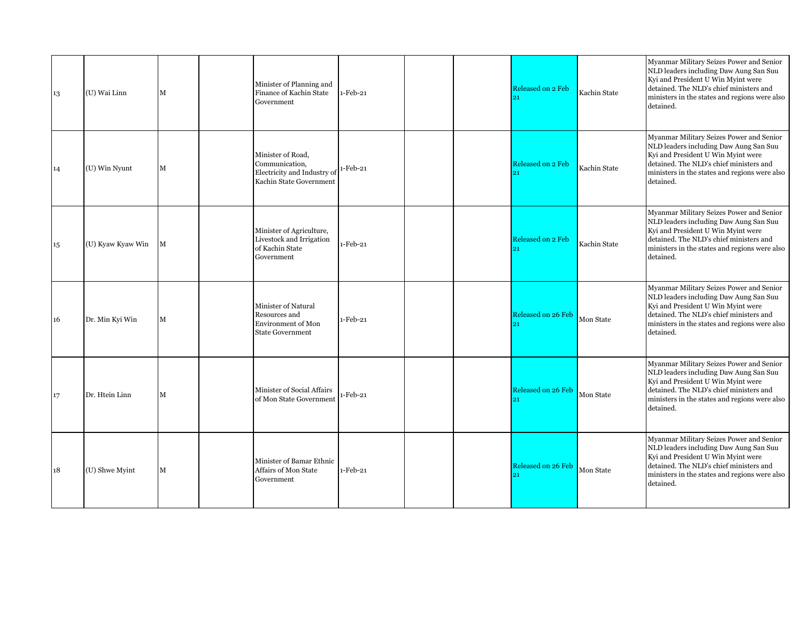| 13 | (U) Wai Linn      | M           | Minister of Planning and<br>Finance of Kachin State<br>Government                             | 1-Feb-21   |  | Released on 2 Feb  | Kachin State | Myanmar Military Seizes Power and Senior<br>NLD leaders including Daw Aung San Suu<br>Kyi and President U Win Myint were<br>detained. The NLD's chief ministers and<br>ministers in the states and regions were also<br>detained. |
|----|-------------------|-------------|-----------------------------------------------------------------------------------------------|------------|--|--------------------|--------------|-----------------------------------------------------------------------------------------------------------------------------------------------------------------------------------------------------------------------------------|
| 14 | (U) Win Nyunt     | M           | Minister of Road,<br>Communication,<br>Electricity and Industry of<br>Kachin State Government | 1-Feb-21   |  | Released on 2 Feb  | Kachin State | Myanmar Military Seizes Power and Senior<br>NLD leaders including Daw Aung San Suu<br>Kyi and President U Win Myint were<br>detained. The NLD's chief ministers and<br>ministers in the states and regions were also<br>detained. |
| 15 | (U) Kyaw Kyaw Win | M           | Minister of Agriculture,<br>Livestock and Irrigation<br>of Kachin State<br>Government         | 1-Feb-21   |  | Released on 2 Feb  | Kachin State | Myanmar Military Seizes Power and Senior<br>NLD leaders including Daw Aung San Suu<br>Kyi and President U Win Myint were<br>detained. The NLD's chief ministers and<br>ministers in the states and regions were also<br>detained. |
| 16 | Dr. Min Kyi Win   | $\mathbf M$ | Minister of Natural<br>Resources and<br><b>Environment of Mon</b><br><b>State Government</b>  | 1-Feb-21   |  | Released on 26 Feb | Mon State    | Myanmar Military Seizes Power and Senior<br>NLD leaders including Daw Aung San Suu<br>Kyi and President U Win Myint were<br>detained. The NLD's chief ministers and<br>ministers in the states and regions were also<br>detained. |
| 17 | Dr. Htein Linn    | M           | Minister of Social Affairs<br>of Mon State Government                                         | $-Feb-21$  |  | Released on 26 Feb | Mon State    | Myanmar Military Seizes Power and Senior<br>NLD leaders including Daw Aung San Suu<br>Kyi and President U Win Myint were<br>detained. The NLD's chief ministers and<br>ministers in the states and regions were also<br>detained. |
| 18 | (U) Shwe Myint    | M           | Minister of Bamar Ethnic<br>Affairs of Mon State<br>Government                                | $1-Feb-21$ |  | Released on 26 Feb | Mon State    | Myanmar Military Seizes Power and Senior<br>NLD leaders including Daw Aung San Suu<br>Kyi and President U Win Myint were<br>detained. The NLD's chief ministers and<br>ministers in the states and regions were also<br>detained. |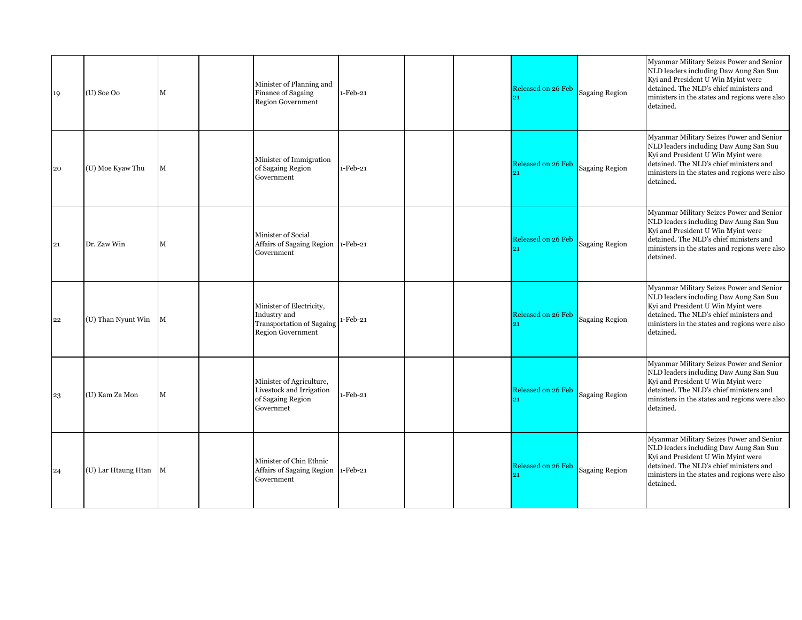| 19 | $(U)$ Soe Oo          | M | Minister of Planning and<br>Finance of Sagaing<br><b>Region Government</b>                               | $1-Feb-21$ |  | Released on 26 Feb | <b>Sagaing Region</b> | Myanmar Military Seizes Power and Senior<br>NLD leaders including Daw Aung San Suu<br>Kyi and President U Win Myint were<br>detained. The NLD's chief ministers and<br>ministers in the states and regions were also<br>detained. |
|----|-----------------------|---|----------------------------------------------------------------------------------------------------------|------------|--|--------------------|-----------------------|-----------------------------------------------------------------------------------------------------------------------------------------------------------------------------------------------------------------------------------|
| 20 | (U) Moe Kyaw Thu      | M | Minister of Immigration<br>of Sagaing Region<br>Government                                               | $1-Feb-21$ |  | Released on 26 Feb | <b>Sagaing Region</b> | Myanmar Military Seizes Power and Senior<br>NLD leaders including Daw Aung San Suu<br>Kyi and President U Win Myint were<br>detained. The NLD's chief ministers and<br>ministers in the states and regions were also<br>detained. |
| 21 | Dr. Zaw Win           | M | Minister of Social<br>Affairs of Sagaing Region 1-Feb-21<br>Government                                   |            |  | Released on 26 Feb | <b>Sagaing Region</b> | Myanmar Military Seizes Power and Senior<br>NLD leaders including Daw Aung San Suu<br>Kyi and President U Win Myint were<br>detained. The NLD's chief ministers and<br>ministers in the states and regions were also<br>detained. |
| 22 | (U) Than Nyunt Win M  |   | Minister of Electricity,<br>Industry and<br><b>Transportation of Sagaing</b><br><b>Region Government</b> | $1-Feb-21$ |  | Released on 26 Feb | <b>Sagaing Region</b> | Myanmar Military Seizes Power and Senior<br>NLD leaders including Daw Aung San Suu<br>Kyi and President U Win Myint were<br>detained. The NLD's chief ministers and<br>ministers in the states and regions were also<br>detained. |
| 23 | (U) Kam Za Mon        | M | Minister of Agriculture,<br>Livestock and Irrigation<br>of Sagaing Region<br>Governmet                   | 1-Feb-21   |  | Released on 26 Feb | <b>Sagaing Region</b> | Myanmar Military Seizes Power and Senior<br>NLD leaders including Daw Aung San Suu<br>Kyi and President U Win Myint were<br>detained. The NLD's chief ministers and<br>ministers in the states and regions were also<br>detained. |
| 24 | (U) Lar Htaung Htan M |   | Minister of Chin Ethnic<br>Affairs of Sagaing Region 1-Feb-21<br>Government                              |            |  | Released on 26 Feb | <b>Sagaing Region</b> | Myanmar Military Seizes Power and Senior<br>NLD leaders including Daw Aung San Suu<br>Kyi and President U Win Myint were<br>detained. The NLD's chief ministers and<br>ministers in the states and regions were also<br>detained. |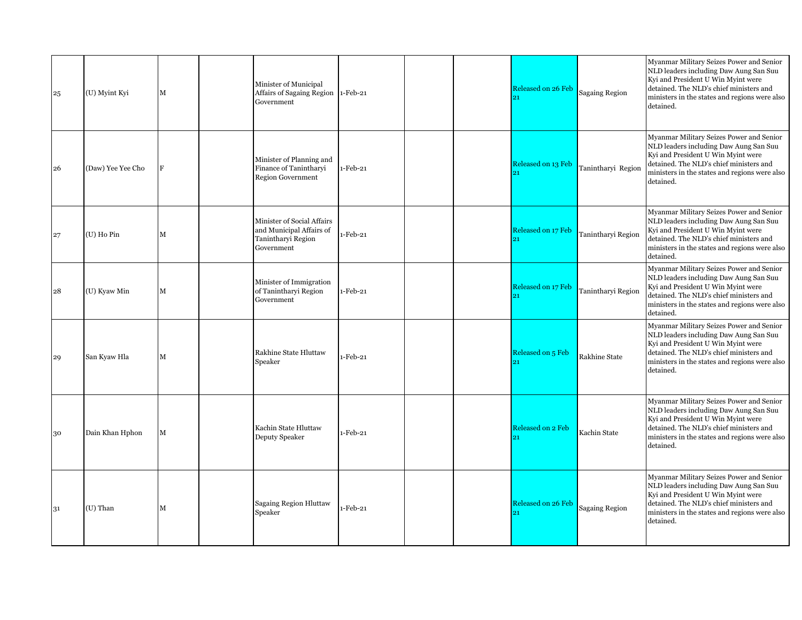| 25 | (U) Myint Kyi     | M            | Minister of Municipal<br>Affairs of Sagaing Region 1-Feb-21<br>Government                  |            |  | Released on 26 Feb       | <b>Sagaing Region</b> | Myanmar Military Seizes Power and Senior<br>NLD leaders including Daw Aung San Suu<br>Kyi and President U Win Myint were<br>detained. The NLD's chief ministers and<br>ministers in the states and regions were also<br>detained. |
|----|-------------------|--------------|--------------------------------------------------------------------------------------------|------------|--|--------------------------|-----------------------|-----------------------------------------------------------------------------------------------------------------------------------------------------------------------------------------------------------------------------------|
| 26 | (Daw) Yee Yee Cho | F            | Minister of Planning and<br>Finance of Tanintharyi<br><b>Region Government</b>             | 1-Feb-21   |  | Released on 13 Feb<br>21 | Tanintharyi Region    | Myanmar Military Seizes Power and Senior<br>NLD leaders including Daw Aung San Suu<br>Kyi and President U Win Myint were<br>detained. The NLD's chief ministers and<br>ministers in the states and regions were also<br>detained. |
| 27 | $(U)$ Ho Pin      | $\mathbf{M}$ | Minister of Social Affairs<br>and Municipal Affairs of<br>Tanintharyi Region<br>Government | 1-Feb-21   |  | Released on 17 Feb<br>21 | Tanintharyi Region    | Myanmar Military Seizes Power and Senior<br>NLD leaders including Daw Aung San Suu<br>Kyi and President U Win Myint were<br>detained. The NLD's chief ministers and<br>ministers in the states and regions were also<br>detained. |
| 28 | (U) Kyaw Min      | $\mathbf M$  | Minister of Immigration<br>of Tanintharyi Region<br>Government                             | $1-Feb-21$ |  | Released on 17 Feb       | Tanintharyi Region    | Myanmar Military Seizes Power and Senior<br>NLD leaders including Daw Aung San Suu<br>Kyi and President U Win Myint were<br>detained. The NLD's chief ministers and<br>ministers in the states and regions were also<br>detained. |
| 29 | San Kyaw Hla      | $\mathbf{M}$ | Rakhine State Hluttaw<br>Speaker                                                           | 1-Feb-21   |  | Released on 5 Feb        | Rakhine State         | Myanmar Military Seizes Power and Senior<br>NLD leaders including Daw Aung San Suu<br>Kyi and President U Win Myint were<br>detained. The NLD's chief ministers and<br>ministers in the states and regions were also<br>detained. |
| 30 | Dain Khan Hphon   | M            | Kachin State Hluttaw<br>Deputy Speaker                                                     | 1-Feb-21   |  | Released on 2 Feb<br>21  | Kachin State          | Myanmar Military Seizes Power and Senior<br>NLD leaders including Daw Aung San Suu<br>Kyi and President U Win Myint were<br>detained. The NLD's chief ministers and<br>ministers in the states and regions were also<br>detained. |
| 31 | (U) Than          | М            | <b>Sagaing Region Hluttaw</b><br>Speaker                                                   | 1-Feb-21   |  | Released on 26 Feb       | Sagaing Region        | Myanmar Military Seizes Power and Senior<br>NLD leaders including Daw Aung San Suu<br>Kyi and President U Win Myint were<br>detained. The NLD's chief ministers and<br>ministers in the states and regions were also<br>detained. |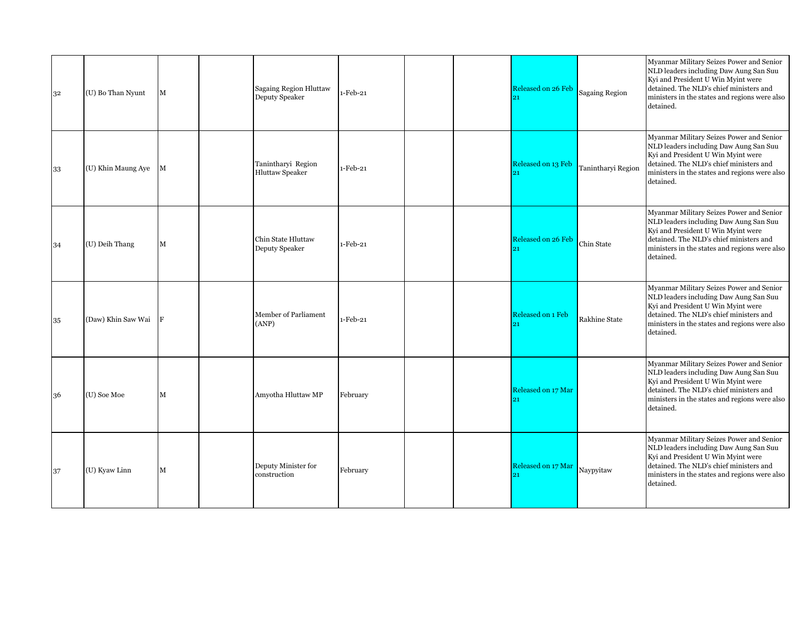| 32 | (U) Bo Than Nyunt  | $\mathbf M$ | <b>Sagaing Region Hluttaw</b><br>Deputy Speaker | $1-Feb-21$ |  | Released on 26 Feb       | <b>Sagaing Region</b> | Myanmar Military Seizes Power and Senior<br>NLD leaders including Daw Aung San Suu<br>Kyi and President U Win Myint were<br>detained. The NLD's chief ministers and<br>ministers in the states and regions were also<br>detained. |
|----|--------------------|-------------|-------------------------------------------------|------------|--|--------------------------|-----------------------|-----------------------------------------------------------------------------------------------------------------------------------------------------------------------------------------------------------------------------------|
| 33 | (U) Khin Maung Aye | M           | Tanintharyi Region<br><b>Hluttaw Speaker</b>    | $1-Feb-21$ |  | Released on 13 Feb<br>91 | Tanintharyi Region    | Myanmar Military Seizes Power and Senior<br>NLD leaders including Daw Aung San Suu<br>Kyi and President U Win Myint were<br>detained. The NLD's chief ministers and<br>ministers in the states and regions were also<br>detained. |
| 34 | (U) Deih Thang     | $\mathbf M$ | Chin State Hluttaw<br>Deputy Speaker            | $1-Feb-21$ |  | Released on 26 Feb<br>21 | Chin State            | Myanmar Military Seizes Power and Senior<br>NLD leaders including Daw Aung San Suu<br>Kyi and President U Win Myint were<br>detained. The NLD's chief ministers and<br>ministers in the states and regions were also<br>detained. |
| 35 | (Daw) Khin Saw Wai | F           | Member of Parliament<br>(ANP)                   | $1-Feb-21$ |  | Released on 1 Feb<br>21  | Rakhine State         | Myanmar Military Seizes Power and Senior<br>NLD leaders including Daw Aung San Suu<br>Kyi and President U Win Myint were<br>detained. The NLD's chief ministers and<br>ministers in the states and regions were also<br>detained. |
| 36 | (U) Soe Moe        | $\mathbf M$ | Amyotha Hluttaw MP                              | February   |  | Released on 17 Mar       |                       | Myanmar Military Seizes Power and Senior<br>NLD leaders including Daw Aung San Suu<br>Kyi and President U Win Myint were<br>detained. The NLD's chief ministers and<br>ministers in the states and regions were also<br>detained. |
| 37 | (U) Kyaw Linn      | $\mathbf M$ | Deputy Minister for<br>construction             | February   |  | Released on 17 Mar       | Naypyitaw             | Myanmar Military Seizes Power and Senior<br>NLD leaders including Daw Aung San Suu<br>Kyi and President U Win Myint were<br>detained. The NLD's chief ministers and<br>ministers in the states and regions were also<br>detained. |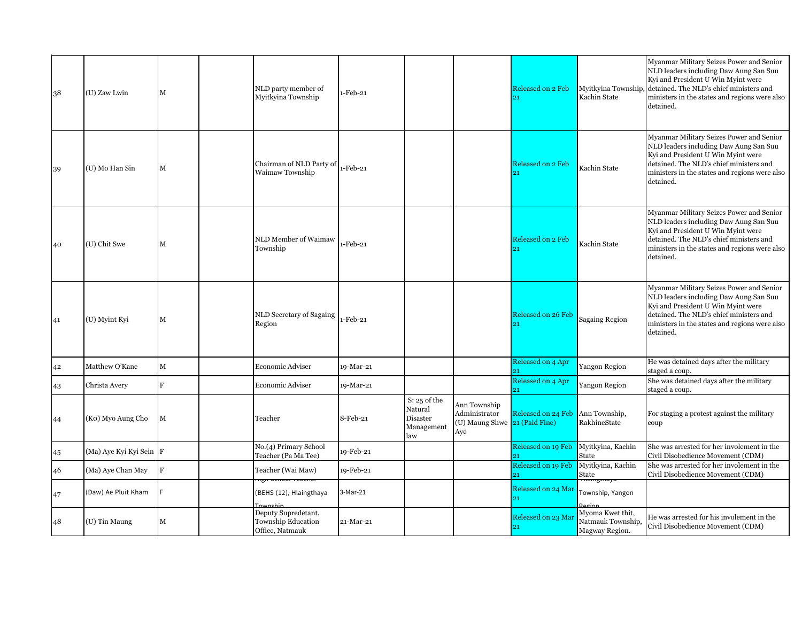| 38 | (U) Zaw Lwin            | М           | NLD party member of<br>Myitkyina Township                    | 1-Feb-21  |                                                            |                                                                       | Released on 2 Feb        | Myitkyina Township<br>Kachin State                      | Myanmar Military Seizes Power and Senior<br>NLD leaders including Daw Aung San Suu<br>Kyi and President U Win Myint were<br>detained. The NLD's chief ministers and<br>ministers in the states and regions were also<br>detained. |
|----|-------------------------|-------------|--------------------------------------------------------------|-----------|------------------------------------------------------------|-----------------------------------------------------------------------|--------------------------|---------------------------------------------------------|-----------------------------------------------------------------------------------------------------------------------------------------------------------------------------------------------------------------------------------|
| 39 | (U) Mo Han Sin          | M           | Chairman of NLD Party of<br>Waimaw Township                  | 1-Feb-21  |                                                            |                                                                       | Released on 2 Feb        | Kachin State                                            | Myanmar Military Seizes Power and Senior<br>NLD leaders including Daw Aung San Suu<br>Kyi and President U Win Myint were<br>detained. The NLD's chief ministers and<br>ministers in the states and regions were also<br>detained. |
| 40 | (U) Chit Swe            | М           | NLD Member of Waimaw<br>Township                             | 1-Feb-21  |                                                            |                                                                       | <b>Released on 2 Feb</b> | Kachin State                                            | Myanmar Military Seizes Power and Senior<br>NLD leaders including Daw Aung San Suu<br>Kyi and President U Win Myint were<br>detained. The NLD's chief ministers and<br>ministers in the states and regions were also<br>detained. |
| 41 | (U) Myint Kyi           | $\mathbf M$ | NLD Secretary of Sagaing<br>Region                           | 1-Feb-21  |                                                            |                                                                       | Released on 26 Feb       | <b>Sagaing Region</b>                                   | Myanmar Military Seizes Power and Senior<br>NLD leaders including Daw Aung San Suu<br>Kyi and President U Win Myint were<br>detained. The NLD's chief ministers and<br>ministers in the states and regions were also<br>detained. |
| 42 | Matthew O'Kane          | M           | Economic Adviser                                             | 19-Mar-21 |                                                            |                                                                       | Released on 4 Apr        | Yangon Region                                           | He was detained days after the military<br>staged a coup.                                                                                                                                                                         |
| 43 | Christa Avery           | F           | Economic Adviser                                             | 19-Mar-21 |                                                            |                                                                       | Released on 4 Apr<br>21  | Yangon Region                                           | She was detained days after the military<br>staged a coup.                                                                                                                                                                        |
| 44 | (Ko) Myo Aung Cho       | М           | Teacher                                                      | 8-Feb-21  | $S: 25$ of the<br>Natural<br>Disaster<br>Management<br>law | Ann Township<br>Administrator<br>(U) Maung Shwe 21 (Paid Fine)<br>Aye | Released on 24 Feb       | Ann Township,<br>RakhineState                           | For staging a protest against the military<br>coup                                                                                                                                                                                |
| 45 | (Ma) Aye Kyi Kyi Sein F |             | No.(4) Primary School<br>Teacher (Pa Ma Tee)                 | 19-Feb-21 |                                                            |                                                                       | Released on 19 Feb       | Myitkyina, Kachin<br>State                              | She was arrested for her involement in the<br>Civil Disobedience Movement (CDM)                                                                                                                                                   |
| 46 | (Ma) Aye Chan May       | F           | Teacher (Wai Maw)                                            | 19-Feb-21 |                                                            |                                                                       | Released on 19 Feb       | Myitkyina, Kachin<br>State                              | She was arrested for her involement in the<br>Civil Disobedience Movement (CDM)                                                                                                                                                   |
| 47 | (Daw) Ae Pluit Kham     |             | (BEHS (12), Hlaingthaya<br><b>Townshin</b>                   | 3-Mar-21  |                                                            |                                                                       | Released on 24 Mar<br>91 | Township, Yangon<br>Region                              |                                                                                                                                                                                                                                   |
| 48 | (U) Tin Maung           | M           | Deputy Supredetant,<br>Township Education<br>Office, Natmauk | 21-Mar-21 |                                                            |                                                                       | Released on 23 Mar       | Myoma Kwet thit,<br>Natmauk Township,<br>Magway Region. | He was arrested for his involement in the<br>Civil Disobedience Movement (CDM)                                                                                                                                                    |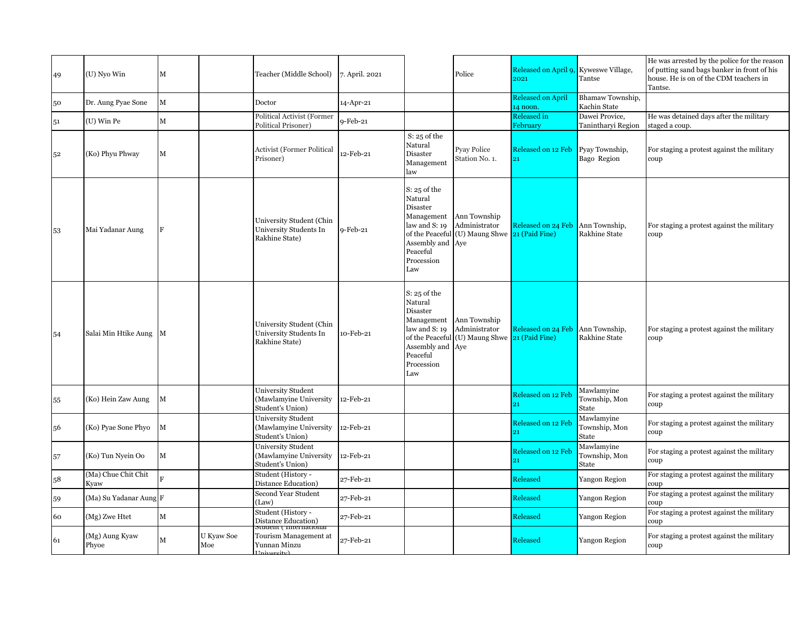| 49 | (U) Nyo Win                 | M              |                   | Teacher (Middle School)                                                      | 7. April. 2021 |                                                                                                                           | Police                                                                           | Released on April 9, Kyweswe Village,<br>2021 | Tantse                               | He was arrested by the police for the reason<br>of putting sand bags banker in front of his<br>house. He is on of the CDM teachers in<br>Tantse. |
|----|-----------------------------|----------------|-------------------|------------------------------------------------------------------------------|----------------|---------------------------------------------------------------------------------------------------------------------------|----------------------------------------------------------------------------------|-----------------------------------------------|--------------------------------------|--------------------------------------------------------------------------------------------------------------------------------------------------|
| 50 | Dr. Aung Pyae Sone          | $\mathbf M$    |                   | Doctor                                                                       | 14-Apr-21      |                                                                                                                           |                                                                                  | <b>Released on April</b><br>14 noon.          | Bhamaw Township,<br>Kachin State     |                                                                                                                                                  |
| 51 | (U) Win Pe                  | $\mathbf M$    |                   | Political Activist (Former<br>Political Prisoner)                            | 9-Feb-21       |                                                                                                                           |                                                                                  | <b>Released in</b><br>February                | Dawei Provice.<br>Tanintharyi Region | He was detained days after the military<br>staged a coup.                                                                                        |
| 52 | (Ko) Phyu Phway             | M              |                   | <b>Activist (Former Political</b><br>Prisoner)                               | 12-Feb-21      | $S: 25$ of the<br>Natural<br>Disaster<br>Management<br>law                                                                | Pyay Police<br>Station No. 1.                                                    | Released on 12 Feb<br>21                      | Pyay Township,<br>Bago Region        | For staging a protest against the military<br>coup                                                                                               |
| 53 | Mai Yadanar Aung            | F              |                   | University Student (Chin<br>University Students In<br>Rakhine State)         | 9-Feb-21       | $S: 25$ of the<br>Natural<br>Disaster<br>Management<br>law and S: 19<br>Assembly and Aye<br>Peaceful<br>Procession<br>Law | Ann Township<br>Administrator<br>of the Peaceful (U) Maung Shwe 21 (Paid Fine)   | Released on 24 Feb                            | Ann Township,<br>Rakhine State       | For staging a protest against the military<br>coup                                                                                               |
| 54 | Salai Min Htike Aung M      |                |                   | University Student (Chin<br>University Students In<br>Rakhine State)         | 10-Feb-21      | $S: 25$ of the<br>Natural<br>Disaster<br>Management<br>law and S: 19<br>Assembly and Aye<br>Peaceful<br>Procession<br>Law | Ann Township<br>Administrator<br>of the Peaceful $(U)$ Maung Shwe 21 (Paid Fine) | Released on 24 Feb Ann Township,              | Rakhine State                        | For staging a protest against the military<br>coup                                                                                               |
| 55 | (Ko) Hein Zaw Aung          | M              |                   | University Student<br>(Mawlamyine University<br>Student's Union)             | 12-Feb-21      |                                                                                                                           |                                                                                  | Released on 12 Feb<br>21                      | Mawlamyine<br>Township, Mon<br>State | For staging a protest against the military<br>coup                                                                                               |
| 56 | (Ko) Pyae Sone Phyo         | М              |                   | <b>University Student</b><br>(Mawlamyine University<br>Student's Union)      | 12-Feb-21      |                                                                                                                           |                                                                                  | Released on 12 Feb<br>21                      | Mawlamyine<br>Township, Mon<br>State | For staging a protest against the military<br>coup                                                                                               |
| 57 | (Ko) Tun Nyein Oo           | М              |                   | University Student<br>(Mawlamyine University<br>Student's Union)             | 12-Feb-21      |                                                                                                                           |                                                                                  | Released on 12 Feb                            | Mawlamyine<br>Township, Mon<br>State | For staging a protest against the military<br>coup                                                                                               |
| 58 | (Ma) Chue Chit Chit<br>Kyaw | $\overline{R}$ |                   | Student (History -<br>Distance Education)                                    | 27-Feb-21      |                                                                                                                           |                                                                                  | Released                                      | Yangon Region                        | For staging a protest against the military<br>coup                                                                                               |
| 59 | (Ma) Su Yadanar Aung F      |                |                   | Second Year Student<br>(Law)                                                 | 27-Feb-21      |                                                                                                                           |                                                                                  | Released                                      | Yangon Region                        | For staging a protest against the military<br>coup                                                                                               |
| 60 | (Mg) Zwe Htet               | $\mathbf M$    |                   | Student (History -<br>Distance Education)                                    | 27-Feb-21      |                                                                                                                           |                                                                                  | Released                                      | <b>Yangon Region</b>                 | For staging a protest against the military<br>coup                                                                                               |
| 61 | (Mg) Aung Kyaw<br>Phyoe     | M              | U Kyaw Soe<br>Moe | <del>stuaent ( internatióna</del> i<br>Tourism Management at<br>Yunnan Minzu | 27-Feb-21      |                                                                                                                           |                                                                                  | Released                                      | <b>Yangon Region</b>                 | For staging a protest against the military<br>coup                                                                                               |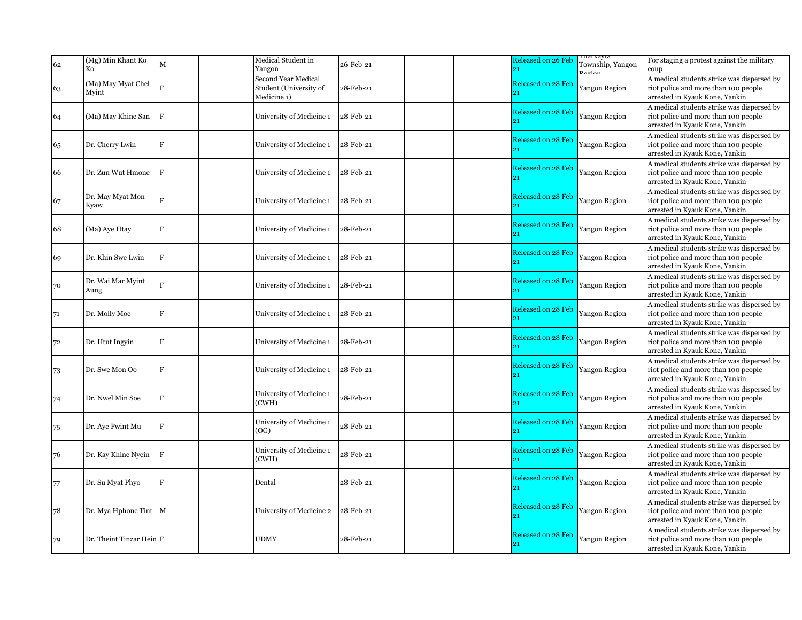| 62 | (Mg) Min Khant Ko<br>Ko     | $\mathbf M$    | Medical Student in<br>Yangon                                        | 26-Feb-21 | Released on 26 Feb<br>21              | гпагкауtа<br>Township, Yangon | For staging a protest against the military<br>coup                                                                   |
|----|-----------------------------|----------------|---------------------------------------------------------------------|-----------|---------------------------------------|-------------------------------|----------------------------------------------------------------------------------------------------------------------|
| 63 | (Ma) May Myat Chel<br>Myint |                | <b>Second Year Medical</b><br>Student (University of<br>Medicine 1) | 28-Feb-21 | Released on 28 Feb<br>21              | Yangon Region                 | A medical students strike was dispersed by<br>riot police and more than 100 people<br>arrested in Kyauk Kone, Yankin |
| 64 | (Ma) May Khine San          | F              | University of Medicine 1                                            | 28-Feb-21 | <b>Released on 28 Feb</b><br>21       | Yangon Region                 | A medical students strike was dispersed by<br>riot police and more than 100 people<br>arrested in Kyauk Kone, Yankin |
| 65 | Dr. Cherry Lwin             | F              | University of Medicine 1                                            | 28-Feb-21 | Released on 28 Feb<br>21              | <b>Yangon Region</b>          | A medical students strike was dispersed by<br>riot police and more than 100 people<br>arrested in Kyauk Kone, Yankin |
| 66 | Dr. Zun Wut Hmone           | F              | University of Medicine 1                                            | 28-Feb-21 | Released on 28 Feb<br>21              | Yangon Region                 | A medical students strike was dispersed by<br>riot police and more than 100 people<br>arrested in Kyauk Kone, Yankin |
| 67 | Dr. May Myat Mon<br>Kyaw    | $\mathbf{F}$   | University of Medicine 1                                            | 28-Feb-21 | Released on 28 Feb<br>21              | <b>Yangon Region</b>          | A medical students strike was dispersed by<br>riot police and more than 100 people<br>arrested in Kyauk Kone, Yankin |
| 68 | (Ma) Aye Htay               | F              | University of Medicine 1                                            | 28-Feb-21 | <b>Released on 28 Feb</b><br>21       | Yangon Region                 | A medical students strike was dispersed by<br>riot police and more than 100 people<br>arrested in Kyauk Kone, Yankin |
| 69 | Dr. Khin Swe Lwin           | F              | University of Medicine 1                                            | 28-Feb-21 | Released on 28 Feb<br>21              | Yangon Region                 | A medical students strike was dispersed by<br>riot police and more than 100 people<br>arrested in Kyauk Kone, Yankin |
| 70 | Dr. Wai Mar Myint<br>Aung   | F              | University of Medicine 1                                            | 28-Feb-21 | Released on 28 Feb                    | <b>Yangon Region</b>          | A medical students strike was dispersed by<br>riot police and more than 100 people<br>arrested in Kyauk Kone, Yankin |
| 71 | Dr. Molly Moe               | F              | University of Medicine 1                                            | 28-Feb-21 | <b>Released on 28 Feb</b><br>21       | Yangon Region                 | A medical students strike was dispersed by<br>riot police and more than 100 people<br>arrested in Kyauk Kone, Yankin |
| 72 | Dr. Htut Ingyin             | $\overline{F}$ | University of Medicine 1                                            | 28-Feb-21 | Released on 28 Feb<br>21              | <b>Yangon Region</b>          | A medical students strike was dispersed by<br>riot police and more than 100 people<br>arrested in Kyauk Kone, Yankin |
| 73 | Dr. Swe Mon Oo              | $\overline{R}$ | University of Medicine 1                                            | 28-Feb-21 | Released on 28 Feb<br>21              | Yangon Region                 | A medical students strike was dispersed by<br>riot police and more than 100 people<br>arrested in Kyauk Kone, Yankin |
| 74 | Dr. Nwel Min Soe            | $\mathbf{F}$   | University of Medicine 1<br>(CWH)                                   | 28-Feb-21 | Released on 28 Feb<br>$\overline{21}$ | <b>Yangon Region</b>          | A medical students strike was dispersed by<br>riot police and more than 100 people<br>arrested in Kyauk Kone, Yankin |
| 75 | Dr. Aye Pwint Mu            | F              | University of Medicine 1<br>(OG)                                    | 28-Feb-21 | Released on 28 Feb<br>21              | Yangon Region                 | A medical students strike was dispersed by<br>riot police and more than 100 people<br>arrested in Kyauk Kone, Yankin |
| 76 | Dr. Kay Khine Nyein         | $\overline{F}$ | University of Medicine 1<br>(CWH)                                   | 28-Feb-21 | Released on 28 Feb<br>$\overline{21}$ | <b>Yangon Region</b>          | A medical students strike was dispersed by<br>riot police and more than 100 people<br>arrested in Kyauk Kone, Yankin |
| 77 | Dr. Su Myat Phyo            | F              | Dental                                                              | 28-Feb-21 | Released on 28 Feb<br>21              | <b>Yangon Region</b>          | A medical students strike was dispersed by<br>riot police and more than 100 people<br>arrested in Kyauk Kone, Yankin |
| 78 | Dr. Mya Hphone Tint         | M              | University of Medicine 2                                            | 28-Feb-21 | <b>Released on 28 Feb</b><br>21       | <b>Yangon Region</b>          | A medical students strike was dispersed by<br>riot police and more than 100 people<br>arrested in Kyauk Kone, Yankin |
| 79 | Dr. Theint Tinzar Hein F    |                | <b>UDMY</b>                                                         | 28-Feb-21 | Released on 28 Feb<br>21              | <b>Yangon Region</b>          | A medical students strike was dispersed by<br>riot police and more than 100 people<br>arrested in Kyauk Kone, Yankin |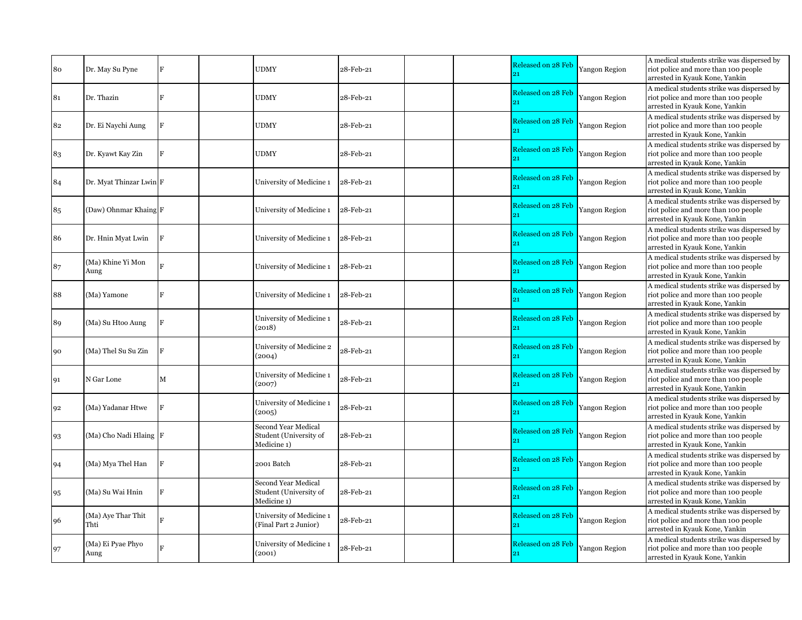| 80 | Dr. May Su Pyne            | F              | <b>UDMY</b>                                                  | 28-Feb-21 | Released on 28 Feb<br>21        | Yangon Region        | A medical students strike was dispersed by<br>riot police and more than 100 people<br>arrested in Kyauk Kone, Yankin |
|----|----------------------------|----------------|--------------------------------------------------------------|-----------|---------------------------------|----------------------|----------------------------------------------------------------------------------------------------------------------|
| 81 | Dr. Thazin                 | F              | <b>UDMY</b>                                                  | 28-Feb-21 | Released on 28 Feb              | Yangon Region        | A medical students strike was dispersed by<br>riot police and more than 100 people<br>arrested in Kyauk Kone, Yankin |
| 82 | Dr. Ei Naychi Aung         | F              | <b>UDMY</b>                                                  | 28-Feb-21 | Released on 28 Feb<br>21        | <b>Yangon Region</b> | A medical students strike was dispersed by<br>riot police and more than 100 people<br>arrested in Kyauk Kone, Yankin |
| 83 | Dr. Kyawt Kay Zin          | $\mathbf{F}$   | <b>UDMY</b>                                                  | 28-Feb-21 | Released on 28 Feb<br>21        | <b>Yangon Region</b> | A medical students strike was dispersed by<br>riot police and more than 100 people<br>arrested in Kyauk Kone, Yankin |
| 84 | Dr. Myat Thinzar Lwin F    |                | University of Medicine 1                                     | 28-Feb-21 | Released on 28 Feb              | Yangon Region        | A medical students strike was dispersed by<br>riot police and more than 100 people<br>arrested in Kyauk Kone, Yankin |
| 85 | (Daw) Ohnmar Khaing F      |                | University of Medicine 1                                     | 28-Feb-21 | <b>Released on 28 Feb</b><br>21 | Yangon Region        | A medical students strike was dispersed by<br>riot police and more than 100 people<br>arrested in Kyauk Kone, Yankin |
| 86 | Dr. Hnin Myat Lwin         | F              | University of Medicine 1                                     | 28-Feb-21 | Released on 28 Feb<br>21        | <b>Yangon Region</b> | A medical students strike was dispersed by<br>riot police and more than 100 people<br>arrested in Kyauk Kone, Yankin |
| 87 | (Ma) Khine Yi Mon<br>Aung  | $\overline{R}$ | University of Medicine 1                                     | 28-Feb-21 | Released on 28 Feb<br>21        | Yangon Region        | A medical students strike was dispersed by<br>riot police and more than 100 people<br>arrested in Kyauk Kone, Yankin |
| 88 | (Ma) Yamone                | $\overline{F}$ | University of Medicine 1                                     | 28-Feb-21 | Released on 28 Feb<br>21        | <b>Yangon Region</b> | A medical students strike was dispersed by<br>riot police and more than 100 people<br>arrested in Kyauk Kone, Yankin |
| 89 | (Ma) Su Htoo Aung          | $\overline{F}$ | University of Medicine 1<br>(2018)                           | 28-Feb-21 | Released on 28 Feb<br>21        | <b>Yangon Region</b> | A medical students strike was dispersed by<br>riot police and more than 100 people<br>arrested in Kyauk Kone, Yankin |
| 90 | (Ma) Thel Su Su Zin        | $\overline{F}$ | University of Medicine 2<br>(2004)                           | 28-Feb-21 | Released on 28 Feb<br>21        | Yangon Region        | A medical students strike was dispersed by<br>riot police and more than 100 people<br>arrested in Kyauk Kone, Yankin |
| 91 | N Gar Lone                 | M              | University of Medicine 1<br>(2007)                           | 28-Feb-21 | Released on 28 Feb<br>21        | <b>Yangon Region</b> | A medical students strike was dispersed by<br>riot police and more than 100 people<br>arrested in Kyauk Kone, Yankin |
| 92 | (Ma) Yadanar Htwe          | F              | University of Medicine 1<br>(2005)                           | 28-Feb-21 | Released on 28 Feb              | <b>Yangon Region</b> | A medical students strike was dispersed by<br>riot police and more than 100 people<br>arrested in Kyauk Kone, Yankin |
| 93 | (Ma) Cho Nadi Hlaing F     |                | Second Year Medical<br>Student (University of<br>Medicine 1) | 28-Feb-21 | Released on 28 Feb<br>21        | Yangon Region        | A medical students strike was dispersed by<br>riot police and more than 100 people<br>arrested in Kyauk Kone, Yankin |
| 94 | (Ma) Mya Thel Han          | $\mathbf F$    | 2001 Batch                                                   | 28-Feb-21 | Released on 28 Feb<br>91        | <b>Yangon Region</b> | A medical students strike was dispersed by<br>riot police and more than 100 people<br>arrested in Kyauk Kone, Yankin |
| 95 | (Ma) Su Wai Hnin           | F              | Second Year Medical<br>Student (University of<br>Medicine 1) | 28-Feb-21 | <b>Released on 28 Feb</b><br>21 | Yangon Region        | A medical students strike was dispersed by<br>riot police and more than 100 people<br>arrested in Kyauk Kone, Yankin |
| 96 | (Ma) Aye Thar Thit<br>Thti | $\overline{R}$ | University of Medicine 1<br>(Final Part 2 Junior)            | 28-Feb-21 | <b>Released on 28 Feb</b><br>21 | <b>Yangon Region</b> | A medical students strike was dispersed by<br>riot police and more than 100 people<br>arrested in Kyauk Kone, Yankin |
| 97 | (Ma) Ei Pyae Phyo<br>Aung  | $\overline{R}$ | University of Medicine 1<br>(2001)                           | 28-Feb-21 | Released on 28 Feb<br>21        | <b>Yangon Region</b> | A medical students strike was dispersed by<br>riot police and more than 100 people<br>arrested in Kyauk Kone, Yankin |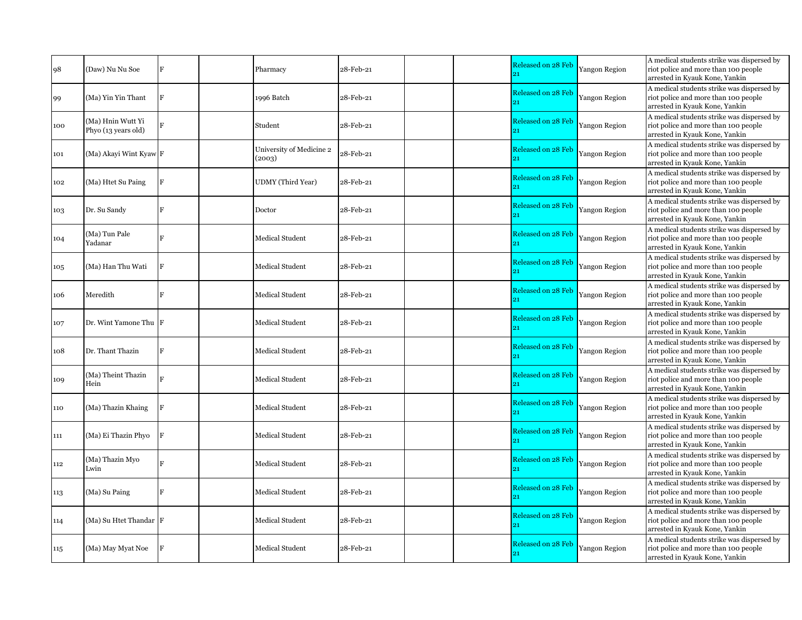| 98  | (Daw) Nu Nu Soe                          | F  | Pharmacy                           | 28-Feb-21 |  | Released on 28 Feb<br>$_{21}$   | Yangon Region        | A medical students strike was dispersed by<br>riot police and more than 100 people<br>arrested in Kyauk Kone, Yankin |
|-----|------------------------------------------|----|------------------------------------|-----------|--|---------------------------------|----------------------|----------------------------------------------------------------------------------------------------------------------|
| 99  | (Ma) Yin Yin Thant                       | F  | 1996 Batch                         | 28-Feb-21 |  | Released on 28 Feb              | <b>Yangon Region</b> | A medical students strike was dispersed by<br>riot police and more than 100 people<br>arrested in Kyauk Kone, Yankin |
| 100 | (Ma) Hnin Wutt Yi<br>Phyo (13 years old) | Þ. | Student                            | 28-Feb-21 |  | <b>Released on 28 Feb</b><br>91 | Yangon Region        | A medical students strike was dispersed by<br>riot police and more than 100 people<br>arrested in Kyauk Kone, Yankin |
| 101 | (Ma) Akayi Wint Kyaw F                   |    | University of Medicine 2<br>(2003) | 28-Feb-21 |  | Released on 28 Feb<br>21        | <b>Yangon Region</b> | A medical students strike was dispersed by<br>riot police and more than 100 people<br>arrested in Kyauk Kone, Yankin |
| 102 | (Ma) Htet Su Paing                       | F  | <b>UDMY</b> (Third Year)           | 28-Feb-21 |  | Released on 28 Feb              | Yangon Region        | A medical students strike was dispersed by<br>riot police and more than 100 people<br>arrested in Kyauk Kone, Yankin |
| 103 | Dr. Su Sandy                             | F  | Doctor                             | 28-Feb-21 |  | <b>Released on 28 Feb</b><br>21 | Yangon Region        | A medical students strike was dispersed by<br>riot police and more than 100 people<br>arrested in Kyauk Kone, Yankin |
| 104 | (Ma) Tun Pale<br>Yadanar                 |    | Medical Student                    | 28-Feb-21 |  | Released on 28 Feb<br>91        | <b>Yangon Region</b> | A medical students strike was dispersed by<br>riot police and more than 100 people<br>arrested in Kyauk Kone, Yankin |
| 105 | (Ma) Han Thu Wati                        | F  | Medical Student                    | 28-Feb-21 |  | Released on 28 Feb              | Yangon Region        | A medical students strike was dispersed by<br>riot police and more than 100 people<br>arrested in Kyauk Kone, Yankin |
| 106 | Meredith                                 | F  | <b>Medical Student</b>             | 28-Feb-21 |  | <b>Released on 28 Feb</b><br>21 | <b>Yangon Region</b> | A medical students strike was dispersed by<br>riot police and more than 100 people<br>arrested in Kyauk Kone, Yankin |
| 107 | Dr. Wint Yamone Thu                      |    | Medical Student                    | 28-Feb-21 |  | Released on 28 Feb<br>21        | Yangon Region        | A medical students strike was dispersed by<br>riot police and more than 100 people<br>arrested in Kyauk Kone, Yankin |
| 108 | Dr. Thant Thazin                         | F  | Medical Student                    | 28-Feb-21 |  | <b>Released on 28 Feb</b><br>21 | <b>Yangon Region</b> | A medical students strike was dispersed by<br>riot police and more than 100 people<br>arrested in Kyauk Kone, Yankin |
| 109 | (Ma) Theint Thazin<br>Hein               |    | <b>Medical Student</b>             | 28-Feb-21 |  | Released on 28 Feb<br>$_{21}$   | Yangon Region        | A medical students strike was dispersed by<br>riot police and more than 100 people<br>arrested in Kyauk Kone, Yankin |
| 110 | (Ma) Thazin Khaing                       | F  | <b>Medical Student</b>             | 28-Feb-21 |  | Released on 28 Feb              | <b>Yangon Region</b> | A medical students strike was dispersed by<br>riot police and more than 100 people<br>arrested in Kyauk Kone, Yankin |
| 111 | (Ma) Ei Thazin Phyo                      |    | <b>Medical Student</b>             | 28-Feb-21 |  | Released on 28 Feb              | Yangon Region        | A medical students strike was dispersed by<br>riot police and more than 100 people<br>arrested in Kyauk Kone, Yankin |
| 112 | (Ma) Thazin Myo<br>Lwin                  | R  | <b>Medical Student</b>             | 28-Feb-21 |  | Released on 28 Feb              | Yangon Region        | A medical students strike was dispersed by<br>riot police and more than 100 people<br>arrested in Kyauk Kone, Yankin |
| 113 | (Ma) Su Paing                            | F  | <b>Medical Student</b>             | 28-Feb-21 |  | <b>Released on 28 Feb</b><br>21 | Yangon Region        | A medical students strike was dispersed by<br>riot police and more than 100 people<br>arrested in Kyauk Kone, Yankin |
| 114 | (Ma) Su Htet Thandar F                   |    | <b>Medical Student</b>             | 28-Feb-21 |  | Released on 28 Feb<br>21        | Yangon Region        | A medical students strike was dispersed by<br>riot police and more than 100 people<br>arrested in Kyauk Kone, Yankin |
| 115 | (Ma) May Myat Noe                        |    | <b>Medical Student</b>             | 28-Feb-21 |  | Released on 28 Feb<br>21        | <b>Yangon Region</b> | A medical students strike was dispersed by<br>riot police and more than 100 people<br>arrested in Kyauk Kone, Yankin |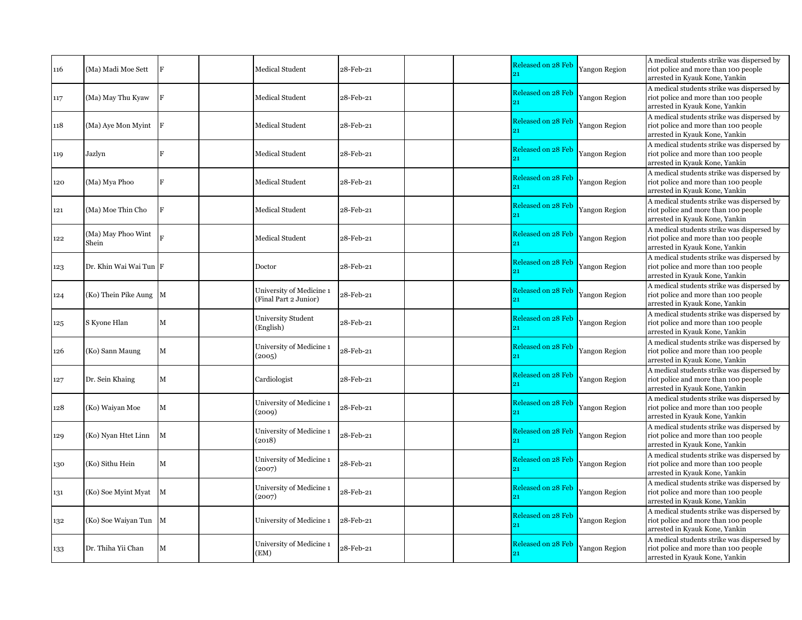| 116 | (Ma) Madi Moe Sett          |              | Medical Student                                   | 28-Feb-21 | Released on 28 Feb<br>21        | Yangon Region        | A medical students strike was dispersed by<br>riot police and more than 100 people<br>arrested in Kyauk Kone, Yankin |
|-----|-----------------------------|--------------|---------------------------------------------------|-----------|---------------------------------|----------------------|----------------------------------------------------------------------------------------------------------------------|
| 117 | (Ma) May Thu Kyaw           | IF           | Medical Student                                   | 28-Feb-21 | Released on 28 Feb<br>21        | <b>Yangon Region</b> | A medical students strike was dispersed by<br>riot police and more than 100 people<br>arrested in Kyauk Kone, Yankin |
| 118 | (Ma) Aye Mon Myint          |              | Medical Student                                   | 28-Feb-21 | <b>Released on 28 Feb</b><br>21 | Yangon Region        | A medical students strike was dispersed by<br>riot police and more than 100 people<br>arrested in Kyauk Kone, Yankin |
| 119 | Jazlyn                      | F            | <b>Medical Student</b>                            | 28-Feb-21 | Released on 28 Feb<br>21        | <b>Yangon Region</b> | A medical students strike was dispersed by<br>riot police and more than 100 people<br>arrested in Kyauk Kone, Yankin |
| 120 | (Ma) Mya Phoo               | F            | Medical Student                                   | 28-Feb-21 | <b>Released on 28 Feb</b><br>21 | Yangon Region        | A medical students strike was dispersed by<br>riot police and more than 100 people<br>arrested in Kyauk Kone, Yankin |
| 121 | (Ma) Moe Thin Cho           | F            | <b>Medical Student</b>                            | 28-Feb-21 | Released on 28 Feb<br>21        | <b>Yangon Region</b> | A medical students strike was dispersed by<br>riot police and more than 100 people<br>arrested in Kyauk Kone, Yankin |
| 122 | (Ma) May Phoo Wint<br>Shein |              | Medical Student                                   | 28-Feb-21 | Released on 28 Feb<br>21        | <b>Yangon Region</b> | A medical students strike was dispersed by<br>riot police and more than 100 people<br>arrested in Kyauk Kone, Yankin |
| 123 | Dr. Khin Wai Wai Tun F      |              | Doctor                                            | 28-Feb-21 | <b>Released on 28 Feb</b><br>21 | Yangon Region        | A medical students strike was dispersed by<br>riot police and more than 100 people<br>arrested in Kyauk Kone, Yankin |
| 124 | (Ko) Thein Pike Aung M      |              | University of Medicine 1<br>(Final Part 2 Junior) | 28-Feb-21 | Released on 28 Feb<br>21        | <b>Yangon Region</b> | A medical students strike was dispersed by<br>riot police and more than 100 people<br>arrested in Kyauk Kone, Yankin |
| 125 | S Kyone Hlan                | $\mathbf M$  | University Student<br>(English)                   | 28-Feb-21 | Released on 28 Feb<br>21        | Yangon Region        | A medical students strike was dispersed by<br>riot police and more than 100 people<br>arrested in Kyauk Kone, Yankin |
| 126 | (Ko) Sann Maung             | $\mathbf M$  | University of Medicine 1<br>(2005)                | 28-Feb-21 | Released on 28 Feb<br>21        | <b>Yangon Region</b> | A medical students strike was dispersed by<br>riot police and more than 100 people<br>arrested in Kyauk Kone, Yankin |
| 127 | Dr. Sein Khaing             | M            | Cardiologist                                      | 28-Feb-21 | Released on 28 Feb<br>21        | Yangon Region        | A medical students strike was dispersed by<br>riot police and more than 100 people<br>arrested in Kyauk Kone, Yankin |
| 128 | (Ko) Waiyan Moe             | M            | University of Medicine 1<br>(2009)                | 28-Feb-21 | Released on 28 Feb<br>21        | <b>Yangon Region</b> | A medical students strike was dispersed by<br>riot police and more than 100 people<br>arrested in Kyauk Kone, Yankin |
| 129 | (Ko) Nyan Htet Linn         | M            | University of Medicine 1<br>(2018)                | 28-Feb-21 | Released on 28 Feb<br>21        | <b>Yangon Region</b> | A medical students strike was dispersed by<br>riot police and more than 100 people<br>arrested in Kyauk Kone, Yankin |
| 130 | (Ko) Sithu Hein             | M            | University of Medicine 1<br>(2007)                | 28-Feb-21 | Released on 28 Feb              | Yangon Region        | A medical students strike was dispersed by<br>riot police and more than 100 people<br>arrested in Kyauk Kone, Yankin |
| 131 | (Ko) Soe Myint Myat         | $\mathbf{M}$ | University of Medicine 1<br>(2007)                | 28-Feb-21 | Released on 28 Feb<br>21        | <b>Yangon Region</b> | A medical students strike was dispersed by<br>riot police and more than 100 people<br>arrested in Kyauk Kone, Yankin |
| 132 | (Ko) Soe Waiyan Tun M       |              | University of Medicine 1                          | 28-Feb-21 | Released on 28 Feb<br>21        | <b>Yangon Region</b> | A medical students strike was dispersed by<br>riot police and more than 100 people<br>arrested in Kyauk Kone, Yankin |
| 133 | Dr. Thiha Yii Chan          | M            | University of Medicine 1<br>(EM)                  | 28-Feb-21 | Released on 28 Feb<br>21        | <b>Yangon Region</b> | A medical students strike was dispersed by<br>riot police and more than 100 people<br>arrested in Kyauk Kone, Yankin |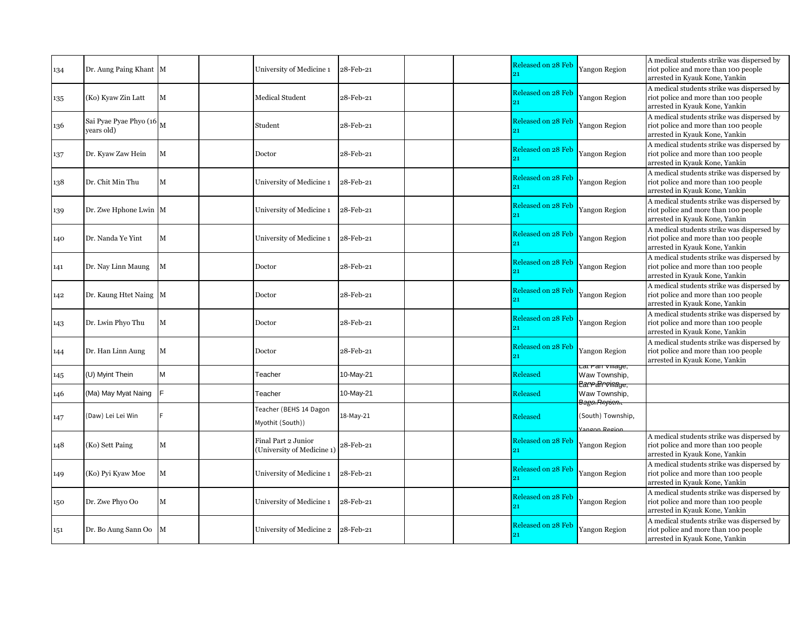| 134 | Dr. Aung Paing Khant M                                  |             | University of Medicine 1                          | 28-Feb-21 | Released on 28 Feb              | Yangon Region                                                  | A medical students strike was dispersed by<br>riot police and more than 100 people<br>arrested in Kyauk Kone, Yankin |
|-----|---------------------------------------------------------|-------------|---------------------------------------------------|-----------|---------------------------------|----------------------------------------------------------------|----------------------------------------------------------------------------------------------------------------------|
| 135 | (Ko) Kyaw Zin Latt                                      | M           | <b>Medical Student</b>                            | 28-Feb-21 | Released on 28 Feb              | <b>Yangon Region</b>                                           | A medical students strike was dispersed by<br>riot police and more than 100 people<br>arrested in Kyauk Kone, Yankin |
| 136 | Sai Pyae Pyae Phyo (16 $\vert_{\text{M}}$<br>vears old) |             | Student                                           | 28-Feb-21 | Released on 28 Feb              | Yangon Region                                                  | A medical students strike was dispersed by<br>riot police and more than 100 people<br>arrested in Kyauk Kone, Yankin |
| 137 | Dr. Kyaw Zaw Hein                                       | M           | Doctor                                            | 28-Feb-21 | Released on 28 Feb              | <b>Yangon Region</b>                                           | A medical students strike was dispersed by<br>riot police and more than 100 people<br>arrested in Kyauk Kone, Yankin |
| 138 | Dr. Chit Min Thu                                        | M           | University of Medicine 1                          | 28-Feb-21 | <b>Released on 28 Feb</b><br>21 | Yangon Region                                                  | A medical students strike was dispersed by<br>riot police and more than 100 people<br>arrested in Kyauk Kone, Yankin |
| 139 | Dr. Zwe Hphone Lwin   M                                 |             | University of Medicine 1                          | 28-Feb-21 | Released on 28 Feb<br>21        | <b>Yangon Region</b>                                           | A medical students strike was dispersed by<br>riot police and more than 100 people<br>arrested in Kyauk Kone, Yankin |
| 140 | Dr. Nanda Ye Yint                                       | M           | University of Medicine 1                          | 28-Feb-21 | Released on 28 Feb              | <b>Yangon Region</b>                                           | A medical students strike was dispersed by<br>riot police and more than 100 people<br>arrested in Kyauk Kone, Yankin |
| 141 | Dr. Nay Linn Maung                                      | M           | Doctor                                            | 28-Feb-21 | Released on 28 Feb<br>21        | Yangon Region                                                  | A medical students strike was dispersed by<br>riot police and more than 100 people<br>arrested in Kyauk Kone, Yankin |
| 142 | Dr. Kaung Htet Naing M                                  |             | Doctor                                            | 28-Feb-21 | Released on 28 Feb              | <b>Yangon Region</b>                                           | A medical students strike was dispersed by<br>riot police and more than 100 people<br>arrested in Kyauk Kone, Yankin |
| 143 | Dr. Lwin Phyo Thu                                       | M           | Doctor                                            | 28-Feb-21 | Released on 28 Feb              | Yangon Region                                                  | A medical students strike was dispersed by<br>riot police and more than 100 people<br>arrested in Kyauk Kone, Yankin |
| 144 | Dr. Han Linn Aung                                       | M           | Doctor                                            | 28-Feb-21 | Released on 28 Feb<br>21        | <b>Yangon Region</b>                                           | A medical students strike was dispersed by<br>riot police and more than 100 people<br>arrested in Kyauk Kone, Yankin |
| 145 | (U) Myint Thein                                         | M           | Teacher                                           | 10-May-21 | Released                        | Lat Pan village,<br>Waw Township,<br>EarraRrvinage,            |                                                                                                                      |
| 146 | (Ma) May Myat Naing                                     |             | Teacher                                           | 10-May-21 | <b>Released</b>                 | Waw Township,                                                  |                                                                                                                      |
| 147 | (Daw) Lei Lei Win                                       |             | Teacher (BEHS 14 Dagon<br>Myothit (South))        | 18-May-21 | Released                        | <del>Bago Pnyบ่ถาเ</del><br>(South) Township,<br>Vangon Region |                                                                                                                      |
| 148 | (Ko) Sett Paing                                         | $\mathbf M$ | Final Part 2 Junior<br>(University of Medicine 1) | 28-Feb-21 | Released on 28 Feb<br>21        | Yangon Region                                                  | A medical students strike was dispersed by<br>riot police and more than 100 people<br>arrested in Kyauk Kone, Yankin |
| 149 | (Ko) Pyi Kyaw Moe                                       | M           | University of Medicine 1                          | 28-Feb-21 | Released on 28 Feb              | Yangon Region                                                  | A medical students strike was dispersed by<br>riot police and more than 100 people<br>arrested in Kyauk Kone, Yankin |
| 150 | Dr. Zwe Phyo Oo                                         | M           | University of Medicine 1                          | 28-Feb-21 | Released on 28 Feb              | Yangon Region                                                  | A medical students strike was dispersed by<br>riot police and more than 100 people<br>arrested in Kyauk Kone, Yankin |
| 151 | Dr. Bo Aung Sann Oo M                                   |             | University of Medicine 2                          | 28-Feb-21 | Released on 28 Feb<br>21        | Yangon Region                                                  | A medical students strike was dispersed by<br>riot police and more than 100 people<br>arrested in Kyauk Kone, Yankin |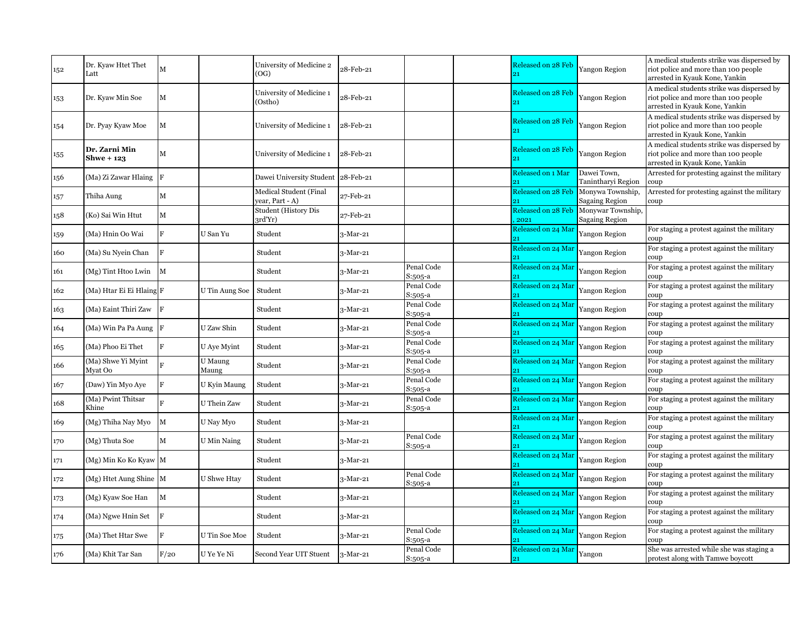| 152 | Dr. Kyaw Htet Thet<br>Latt         | M              |                  | University of Medicine 2<br>(OG)                 | 28-Feb-21  |                       | Released on 28 Feb<br>21          | Yangon Region                              | A medical students strike was dispersed by<br>riot police and more than 100 people<br>arrested in Kyauk Kone, Yankin |
|-----|------------------------------------|----------------|------------------|--------------------------------------------------|------------|-----------------------|-----------------------------------|--------------------------------------------|----------------------------------------------------------------------------------------------------------------------|
| 153 | Dr. Kyaw Min Soe                   | M              |                  | University of Medicine 1<br>(Ostho)              | 28-Feb-21  |                       | Released on 28 Feb<br>21          | Yangon Region                              | A medical students strike was dispersed by<br>riot police and more than 100 people<br>arrested in Kyauk Kone, Yankin |
| 154 | Dr. Pyay Kyaw Moe                  | M              |                  | University of Medicine 1                         | 28-Feb-21  |                       | Released on 28 Feb<br>21          | Yangon Region                              | A medical students strike was dispersed by<br>riot police and more than 100 people<br>arrested in Kyauk Kone, Yankin |
| 155 | Dr. Zarni Min<br><b>Shwe + 123</b> | M              |                  | University of Medicine 1                         | 28-Feb-21  |                       | Released on 28 Feb<br>21          | Yangon Region                              | A medical students strike was dispersed by<br>riot police and more than 100 people<br>arrested in Kyauk Kone, Yankin |
| 156 | (Ma) Zi Zawar Hlaing   F           |                |                  | Dawei University Student                         | 28-Feb-21  |                       | Released on 1 Mar<br>91           | Dawei Town,<br>Tanintharvi Region          | Arrested for protesting against the military<br>coup                                                                 |
| 157 | Thiha Aung                         | M              |                  | <b>Medical Student (Final</b><br>year, Part - A) | 27-Feb-21  |                       | Released on 28 Feb                | Monywa Township,<br><b>Sagaing Region</b>  | Arrested for protesting against the military<br>coup                                                                 |
| 158 | (Ko) Sai Win Htut                  | $\mathbf M$    |                  | <b>Student (History Dis</b><br>3rd'Yr)           | 27-Feb-21  |                       | <b>Released on 28 Feb</b><br>2021 | Monywar Township,<br><b>Sagaing Region</b> |                                                                                                                      |
| 159 | (Ma) Hnin Oo Wai                   | F              | U San Yu         | Student                                          | 3-Mar-21   |                       | Released on 24 Mar                | Yangon Region                              | For staging a protest against the military<br>coup                                                                   |
| 160 | (Ma) Su Nyein Chan                 | F              |                  | Student                                          | 3-Mar-21   |                       | Released on 24 Mar                | Yangon Region                              | For staging a protest against the military<br>coup                                                                   |
| 161 | (Mg) Tint Htoo Lwin                | $\mathbf{M}$   |                  | Student                                          | 3-Mar-21   | Penal Code<br>S:505-a | Released on 24 Mar                | Yangon Region                              | For staging a protest against the military<br>coup                                                                   |
| 162 | (Ma) Htar Ei Ei Hlaing F           |                | U Tin Aung Soe   | Student                                          | $3-Mar-21$ | Penal Code<br>S:505-a | Released on 24 Mar<br>21          | Yangon Region                              | For staging a protest against the military<br>coup                                                                   |
| 163 | (Ma) Eaint Thiri Zaw F             |                |                  | Student                                          | 3-Mar-21   | Penal Code<br>S:505-a | Released on 24 Mar<br>21          | Yangon Region                              | For staging a protest against the military<br>coup                                                                   |
| 164 | (Ma) Win Pa Pa Aung F              |                | U Zaw Shin       | Student                                          | 3-Mar-21   | Penal Code<br>S:505-a | Released on 24 Mar                | Yangon Region                              | For staging a protest against the military<br>coup                                                                   |
| 165 | (Ma) Phoo Ei Thet                  | F              | U Aye Myint      | Student                                          | 3-Mar-21   | Penal Code<br>S:505-a | Released on 24 Mar                | Yangon Region                              | For staging a protest against the military<br>coup                                                                   |
| 166 | (Ma) Shwe Yi Myint<br>Myat Oo      |                | U Maung<br>Maung | Student                                          | $3-Mar-21$ | Penal Code<br>S:505-a | Released on 24 Mar                | Yangon Region                              | For staging a protest against the military<br>coup                                                                   |
| 167 | (Daw) Yin Myo Aye                  | F              | U Kyin Maung     | Student                                          | 3-Mar-21   | Penal Code<br>S:505-a | Released on 24 Mar<br>21          | Yangon Region                              | For staging a protest against the military<br>coup                                                                   |
| 168 | (Ma) Pwint Thitsar<br>Khine        | $\overline{R}$ | U Thein Zaw      | Student                                          | 3-Mar-21   | Penal Code<br>S:505-a | Released on 24 Mar                | Yangon Region                              | For staging a protest against the military<br>coup                                                                   |
| 169 | (Mg) Thiha Nay Myo                 | $\mathbf{M}$   | U Nay Myo        | Student                                          | 3-Mar-21   |                       | Released on 24 Mar<br>91          | Yangon Region                              | For staging a protest against the military<br>coup                                                                   |
| 170 | (Mg) Thuta Soe                     | M              | U Min Naing      | Student                                          | 3-Mar-21   | Penal Code<br>S:505-a | Released on 24 Mar                | Yangon Region                              | For staging a protest against the military<br>coup                                                                   |
| 171 | (Mg) Min Ko Ko Kyaw M              |                |                  | Student                                          | $3-Mar-21$ |                       | Released on 24 Mar<br>21          | Yangon Region                              | For staging a protest against the military<br>coup                                                                   |
| 172 | (Mg) Htet Aung Shine M             |                | U Shwe Htav      | Student                                          | 3-Mar-21   | Penal Code<br>S:505-a | Released on 24 Mar                | Yangon Region                              | For staging a protest against the military<br>coup                                                                   |
| 173 | (Mg) Kyaw Soe Han                  | M              |                  | Student                                          | 3-Mar-21   |                       | Released on 24 Mar                | Yangon Region                              | For staging a protest against the military<br>coup                                                                   |
| 174 | (Ma) Ngwe Hnin Set                 | ΙF             |                  | Student                                          | 3-Mar-21   |                       | Released on 24 Mar                | Yangon Region                              | For staging a protest against the military<br>coup                                                                   |
| 175 | (Ma) Thet Htar Swe                 | F              | U Tin Soe Moe    | Student                                          | $3-Mar-21$ | Penal Code<br>S:505-a | Released on 24 Mar<br>21          | Yangon Region                              | For staging a protest against the military<br>coup                                                                   |
| 176 | (Ma) Khit Tar San                  | F/20           | U Ye Ye Ni       | Second Year UIT Stuent                           | 3-Mar-21   | Penal Code<br>S:505-a | Released on 24 Mar<br>21          | Yangon                                     | She was arrested while she was staging a<br>protest along with Tamwe boycott                                         |
|     |                                    |                |                  |                                                  |            |                       |                                   |                                            |                                                                                                                      |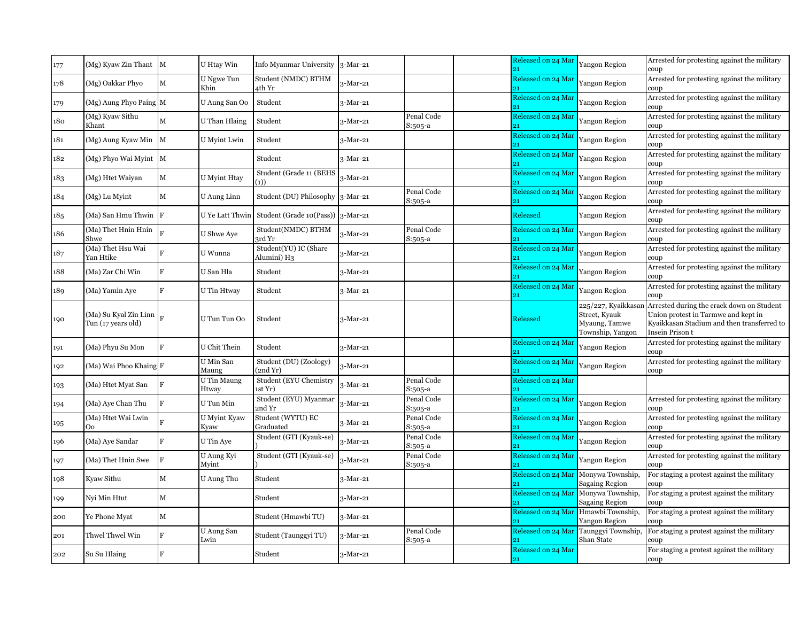| 177 | (Mg) Kyaw Zin Thant M                       |                | U Htay Win           | Info Myanmar University              | $3-Mar-21$ |                       | Released on 24 Mar<br>21 | <b>Yangon Region</b>                                                      | Arrested for protesting against the military<br>coup                                                                                                     |
|-----|---------------------------------------------|----------------|----------------------|--------------------------------------|------------|-----------------------|--------------------------|---------------------------------------------------------------------------|----------------------------------------------------------------------------------------------------------------------------------------------------------|
| 178 | (Mg) Oakkar Phyo                            | $\mathbf M$    | U Ngwe Tun<br>Khin   | Student (NMDC) BTHM<br>4th Yr        | 3-Mar-21   |                       | Released on 24 Mar       | Yangon Region                                                             | Arrested for protesting against the military<br>coup                                                                                                     |
| 179 | (Mg) Aung Phyo Paing M                      |                | U Aung San Oo        | Student                              | 3-Mar-21   |                       | Released on 24 Mar       | Yangon Region                                                             | Arrested for protesting against the military<br>coup                                                                                                     |
| 180 | (Mg) Kyaw Sithu<br>Khant                    | $\mathbf{M}$   | U Than Hlaing        | Student                              | 3-Mar-21   | Penal Code<br>S:505-a | Released on 24 Mar       | Yangon Region                                                             | Arrested for protesting against the military<br>coup                                                                                                     |
| 181 | (Mg) Aung Kyaw Min M                        |                | U Myint Lwin         | Student                              | $3-Mar-21$ |                       | Released on 24 Mar<br>21 | Yangon Region                                                             | Arrested for protesting against the military<br>coup                                                                                                     |
| 182 | (Mg) Phyo Wai Myint M                       |                |                      | Student                              | 3-Mar-21   |                       | Released on 24 Mar       | Yangon Region                                                             | Arrested for protesting against the military<br>coup                                                                                                     |
| 183 | (Mg) Htet Waiyan                            | M              | U Myint Htay         | Student (Grade 11 (BEHS<br>(1))      | 3-Mar-21   |                       | Released on 24 Mar       | Yangon Region                                                             | Arrested for protesting against the military<br>coup                                                                                                     |
| 184 | (Mg) Lu Myint                               | M              | U Aung Linn          | Student (DU) Philosophy              | $3-Mar-21$ | Penal Code<br>S:505-a | Released on 24 Mar       | Yangon Region                                                             | Arrested for protesting against the military<br>coup                                                                                                     |
| 185 | $(Ma)$ San Hmu Thwin $ F $                  |                | U Ye Latt Thwin      | Student (Grade 10(Pass))             | 3-Mar-21   |                       | Released                 | Yangon Region                                                             | Arrested for protesting against the military<br>coup                                                                                                     |
| 186 | (Ma) Thet Hnin Hnin<br>Shwe                 |                | <b>U</b> Shwe Aye    | Student(NMDC) BTHM<br>3rd Yr         | 3-Mar-21   | Penal Code<br>S:505-a | Released on 24 Mar<br>21 | Yangon Region                                                             | Arrested for protesting against the military<br>coup                                                                                                     |
| 187 | (Ma) Thet Hsu Wai<br>Yan Htike              | R              | U Wunna              | Student(YU) IC (Share<br>Alumini) H3 | 3-Mar-21   |                       | Released on 24 Mar       | Yangon Region                                                             | Arrested for protesting against the military<br>coup                                                                                                     |
| 188 | (Ma) Zar Chi Win                            | F              | U San Hla            | Student                              | 3-Mar-21   |                       | Released on 24 Mar       | Yangon Region                                                             | Arrested for protesting against the military<br>coup                                                                                                     |
| 189 | (Ma) Yamin Aye                              | F              | U Tin Htway          | Student                              | $3-Mar-21$ |                       | Released on 24 Mar       | Yangon Region                                                             | Arrested for protesting against the military<br>coup                                                                                                     |
| 190 | (Ma) Su Kyal Zin Linn<br>Tun (17 years old) |                | U Tun Tun Oo         | Student                              | 3-Mar-21   |                       | Released                 | 225/227, Kyaikkasar<br>Street, Kyauk<br>Myaung, Tamwe<br>Township, Yangon | Arrested during the crack down on Student<br>Union protest in Tarmwe and kept in<br>Kyaikkasan Stadium and then transferred to<br><b>Insein Prison t</b> |
| 191 | (Ma) Phyu Su Mon                            | F              | U Chit Thein         | Student                              | 3-Mar-21   |                       | Released on 24 Mar       | Yangon Region                                                             | Arrested for protesting against the military<br>coup                                                                                                     |
| 192 | (Ma) Wai Phoo Khaing F                      |                | U Min San<br>Maung   | Student (DU) (Zoology)<br>(2ndYr)    | 3-Mar-21   |                       | Released on 24 Mar       | Yangon Region                                                             | Arrested for protesting against the military<br>coup                                                                                                     |
| 193 | (Ma) Htet Myat San                          | F              | U Tin Maung<br>Htway | Student (EYU Chemistry<br>1st Yr)    | 3-Mar-21   | Penal Code<br>S:505-a | Released on 24 Mar<br>21 |                                                                           |                                                                                                                                                          |
| 194 | (Ma) Aye Chan Thu                           | $\overline{F}$ | U Tun Min            | Student (EYU) Myanmar<br>2nd Yr      | $3-Mar-21$ | Penal Code<br>S:505-a | Released on 24 Mar       | Yangon Region                                                             | Arrested for protesting against the military<br>coup                                                                                                     |
| 195 | (Ma) Htet Wai Lwin<br>O <sub>o</sub>        |                | U Myint Kyaw<br>Kyaw | Student (WYTU) EC<br>Graduated       | 3-Mar-21   | Penal Code<br>S:505-a | Released on 24 Mar<br>91 | Yangon Region                                                             | Arrested for protesting against the military<br>coup                                                                                                     |
| 196 | (Ma) Aye Sandar                             | $\mathbf{F}$   | U Tin Aye            | Student (GTI (Kyauk-se)              | 3-Mar-21   | Penal Code<br>S:505-a | Released on 24 Mar       | Yangon Region                                                             | Arrested for protesting against the military<br>coup                                                                                                     |
| 197 | (Ma) Thet Hnin Swe                          | $\mathbf F$    | U Aung Kyi<br>Mvint  | Student (GTI (Kyauk-se)              | 3-Mar-21   | Penal Code<br>S:505-a | Released on 24 Mar<br>21 | Yangon Region                                                             | Arrested for protesting against the military<br>coup                                                                                                     |
| 198 | Kyaw Sithu                                  | M              | U Aung Thu           | Student                              | 3-Mar-21   |                       | Released on 24 Mar       | Monywa Township,<br><b>Sagaing Region</b>                                 | For staging a protest against the military<br>coup                                                                                                       |
| 199 | Nyi Min Htut                                | M              |                      | Student                              | 3-Mar-21   |                       | Released on 24 Mar       | Monywa Township,<br>Sagaing Region                                        | For staging a protest against the military<br>coup                                                                                                       |
| 200 | Ye Phone Myat                               | M              |                      | Student (Hmawbi TU)                  | 3-Mar-21   |                       | Released on 24 Mar       | Hmawbi Township,<br>Yangon Region                                         | For staging a protest against the military<br>coup                                                                                                       |
| 201 | Thwel Thwel Win                             | $\rm F$        | U Aung San<br>Lwin   | Student (Taunggyi TU)                | $3-Mar-21$ | Penal Code<br>S:505-a | Released on 24 Mar<br>21 | Taunggyi Township,<br>Shan State                                          | For staging a protest against the military<br>coup                                                                                                       |
| 202 | Su Su Hlaing                                | F              |                      | Student                              | 3-Mar-21   |                       | Released on 24 Mar<br>21 |                                                                           | For staging a protest against the military<br>coup                                                                                                       |
|     |                                             |                |                      |                                      |            |                       |                          |                                                                           |                                                                                                                                                          |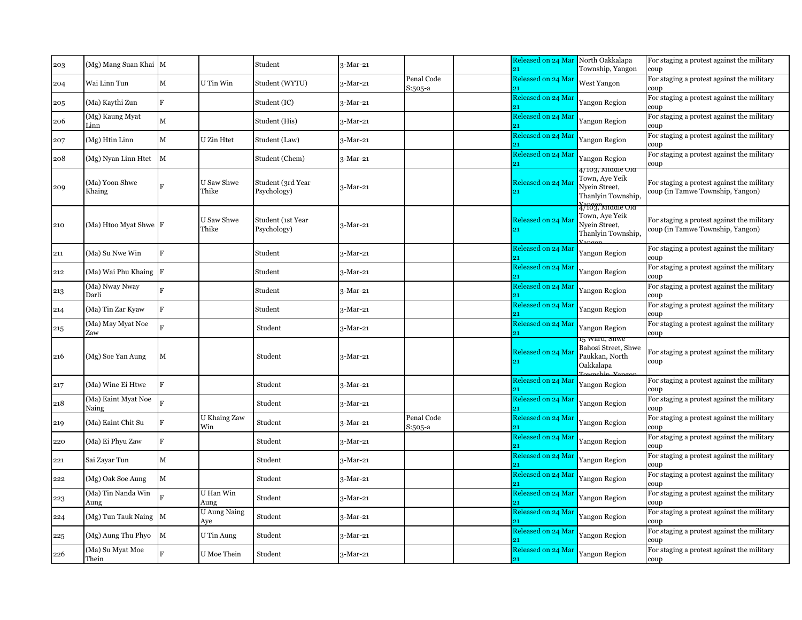| 203 | (Mg) Mang Suan Khai M        |                |                            | Student                          | 3-Mar-21   |                         | Released on 24 Mar<br>21              | North Oakkalapa<br>Township, Yangon                                                         | For staging a protest against the military<br>coup                             |
|-----|------------------------------|----------------|----------------------------|----------------------------------|------------|-------------------------|---------------------------------------|---------------------------------------------------------------------------------------------|--------------------------------------------------------------------------------|
| 204 | Wai Linn Tun                 | $\mathbf M$    | U Tin Win                  | Student (WYTU)                   | 3-Mar-21   | Penal Code<br>$S:505-a$ | Released on 24 Mar                    | West Yangon                                                                                 | For staging a protest against the military<br>coup                             |
| 205 | (Ma) Kaythi Zun              | F              |                            | Student (IC)                     | 3-Mar-21   |                         | Released on 24 Mar                    | Yangon Region                                                                               | For staging a protest against the military<br>coup                             |
| 206 | (Mg) Kaung Myat<br>Linn      | $\mathbf M$    |                            | Student (His)                    | 3-Mar-21   |                         | Released on 24 Mar                    | Yangon Region                                                                               | For staging a protest against the military<br>coup                             |
| 207 | (Mg) Htin Linn               | $\mathbf M$    | U Zin Htet                 | Student (Law)                    | $3-Mar-21$ |                         | Released on 24 Mai<br>21              | Yangon Region                                                                               | For staging a protest against the military<br>coup                             |
| 208 | (Mg) Nyan Linn Htet          | $\mathbf M$    |                            | Student (Chem)                   | $3-Mar-21$ |                         | Released on 24 Mai                    | Yangon Region                                                                               | For staging a protest against the military<br>coup                             |
| 209 | (Ma) Yoon Shwe<br>Khaing     | $\overline{F}$ | U Saw Shwe<br>Thike        | Student (3rd Year<br>Psychology) | 3-Mar-21   |                         | Released on 24 Mai<br>21              | 4/103, M1001e Old<br>Town, Aye Yeik<br>Nyein Street,<br>Thanlyin Township,                  | For staging a protest against the military<br>coup (in Tamwe Township, Yangon) |
| 210 | (Ma) Htoo Myat Shwe F        |                | U Saw Shwe<br>Thike        | Student (1st Year<br>Psychology) | 3-Mar-21   |                         | Released on 24 Mar<br>21              | <del>.<br/>47103, мтаате ота</del><br>Town, Aye Yeik<br>Nyein Street,<br>Thanlyin Township, | For staging a protest against the military<br>coup (in Tamwe Township, Yangon) |
| 211 | (Ma) Su Nwe Win              | F              |                            | Student                          | 3-Mar-21   |                         | Released on 24 Mar                    | Yangon Region                                                                               | For staging a protest against the military<br>coup                             |
| 212 | (Ma) Wai Phu Khaing F        |                |                            | Student                          | 3-Mar-21   |                         | Released on 24 Mar                    | Yangon Region                                                                               | For staging a protest against the military<br>coup                             |
| 213 | (Ma) Nway Nway<br>Darli      | $\mathbf{F}$   |                            | Student                          | 3-Mar-21   |                         | Released on 24 Mar                    | Yangon Region                                                                               | For staging a protest against the military<br>coup                             |
| 214 | (Ma) Tin Zar Kyaw            | $\mathbf{F}$   |                            | Student                          | 3-Mar-21   |                         | Released on 24 Mar                    | Yangon Region                                                                               | For staging a protest against the military<br>coup                             |
| 215 | (Ma) May Myat Noe<br>Zaw     | Ŕ              |                            | Student                          | 3-Mar-21   |                         | Released on 24 Mar                    | Yangon Region                                                                               | For staging a protest against the military<br>coup                             |
| 216 | (Mg) Soe Yan Aung            | $\mathbf M$    |                            | Student                          | $3-Mar-21$ |                         | Released on 24 Mai                    | 15 ward, snwe<br>Bahosi Street, Shwe<br>Paukkan, North<br>Oakkalapa<br>'ownship Vangor      | For staging a protest against the military<br>coup                             |
| 217 | (Ma) Wine Ei Htwe            | F              |                            | Student                          | $3-Mar-21$ |                         | Released on 24 Mai<br>21              | Yangon Region                                                                               | For staging a protest against the military<br>coup                             |
| 218 | (Ma) Eaint Myat Noe<br>Naing |                |                            | Student                          | 3-Mar-21   |                         | Released on 24 Mai                    | Yangon Region                                                                               | For staging a protest against the military<br>coup                             |
| 219 | (Ma) Eaint Chit Su           | F              | U Khaing Zaw<br>Win        | Student                          | 3-Mar-21   | Penal Code<br>S:505-a   | Released on 24 Mar                    | Yangon Region                                                                               | For staging a protest against the military<br>coup                             |
| 220 | (Ma) Ei Phyu Zaw             | F              |                            | Student                          | 3-Mar-21   |                         | Released on 24 Mar                    | Yangon Region                                                                               | For staging a protest against the military<br>coup                             |
| 221 | Sai Zayar Tun                | $\mathbf M$    |                            | Student                          | 3-Mar-21   |                         | Released on 24 Mai<br>$\overline{21}$ | Yangon Region                                                                               | For staging a protest against the military<br>coup                             |
| 222 | (Mg) Oak Soe Aung            | $\mathbf M$    |                            | Student                          | 3-Mar-21   |                         | Released on 24 Mar                    | Yangon Region                                                                               | For staging a protest against the military<br>coup                             |
| 223 | (Ma) Tin Nanda Win<br>Aung   | D.             | U Han Win<br>Aung          | Student                          | 3-Mar-21   |                         | Released on 24 Mar                    | Yangon Region                                                                               | For staging a protest against the military<br>coup                             |
| 224 | (Mg) Tun Tauk Naing M        |                | <b>U Aung Naing</b><br>Ave | Student                          | 3-Mar-21   |                         | Released on 24 Mar                    | Yangon Region                                                                               | For staging a protest against the military<br>coup                             |
| 225 | (Mg) Aung Thu Phyo           | $\mathbf M$    | U Tin Aung                 | Student                          | 3-Mar-21   |                         | Released on 24 Mai                    | Yangon Region                                                                               | For staging a protest against the military<br>coup                             |
| 226 | (Ma) Su Myat Moe<br>Thein    | F              | U Moe Thein                | Student                          | $3-Mar-21$ |                         | Released on 24 Mar<br>21              | Yangon Region                                                                               | For staging a protest against the military<br>coup                             |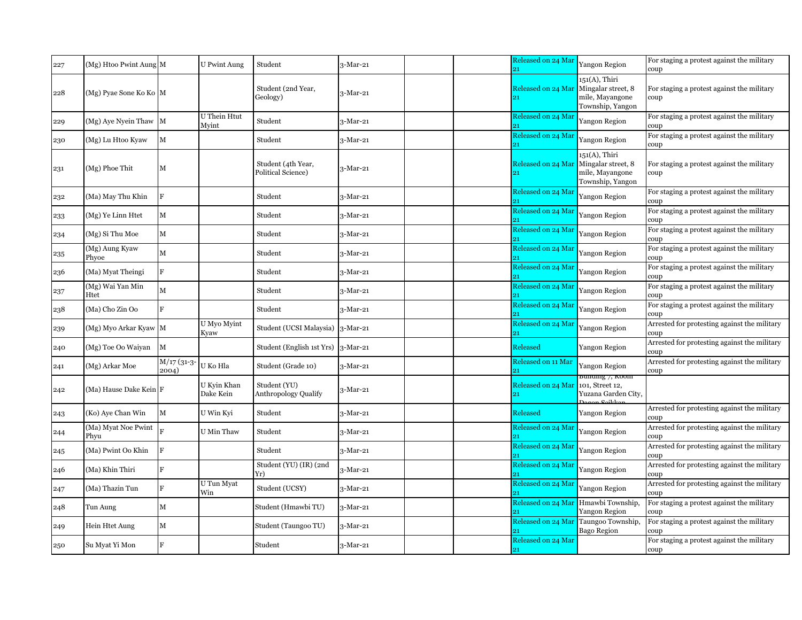| 227 | (Mg) Htoo Pwint Aung M      |                         | <b>U</b> Pwint Aung          | Student                                     | $3-Mar-21$ |  | Released on 24 Mar<br>21 | <b>Yangon Region</b>                                                       | For staging a protest against the military<br>coup                  |
|-----|-----------------------------|-------------------------|------------------------------|---------------------------------------------|------------|--|--------------------------|----------------------------------------------------------------------------|---------------------------------------------------------------------|
| 228 | (Mg) Pyae Sone Ko Ko M      |                         |                              | Student (2nd Year,<br>Geology)              | 3-Mar-21   |  | Released on 24 Mar<br>21 | 151(A), Thiri<br>Mingalar street, 8<br>mile, Mayangone<br>Township, Yangon | For staging a protest against the military<br>coup                  |
| 229 | (Mg) Aye Nyein Thaw M       |                         | <b>U</b> Thein Htut<br>Mvint | Student                                     | $3-Mar-21$ |  | Released on 24 Mar       | <b>Yangon Region</b>                                                       | For staging a protest against the military<br>coup                  |
| 230 | (Mg) Lu Htoo Kyaw           | $\mathbf M$             |                              | Student                                     | 3-Mar-21   |  | Released on 24 Mar       | Yangon Region                                                              | For staging a protest against the military<br>coup                  |
| 231 | (Mg) Phoe Thit              | $\mathbf M$             |                              | Student (4th Year,<br>Political Science)    | 3-Mar-21   |  | Released on 24 Mar<br>21 | 151(A), Thiri<br>Mingalar street, 8<br>mile, Mayangone<br>Township, Yangon | For staging a protest against the military<br>coup                  |
| 232 | (Ma) May Thu Khin           | F                       |                              | Student                                     | 3-Mar-21   |  | Released on 24 Mar       | Yangon Region                                                              | For staging a protest against the military<br>coup                  |
| 233 | (Mg) Ye Linn Htet           | $\mathbf{M}$            |                              | Student                                     | 3-Mar-21   |  | Released on 24 Mar       | Yangon Region                                                              | For staging a protest against the military<br>coup                  |
| 234 | (Mg) Si Thu Moe             | $\mathbf M$             |                              | Student                                     | $3-Mar-21$ |  | Released on 24 Mar       | Yangon Region                                                              | For staging a protest against the military<br>coup                  |
| 235 | (Mg) Aung Kyaw<br>Phyoe     | $\mathbf M$             |                              | Student                                     | $3-Mar-21$ |  | Released on 24 Mar       | <b>Yangon Region</b>                                                       | For staging a protest against the military<br>coup                  |
| 236 | (Ma) Myat Theingi           | $\mathbf{F}$            |                              | Student                                     | 3-Mar-21   |  | Released on 24 Mar<br>21 | <b>Yangon Region</b>                                                       | For staging a protest against the military<br>coup                  |
| 237 | (Mg) Wai Yan Min<br>Htet    | $\mathbf M$             |                              | Student                                     | 3-Mar-21   |  | Released on 24 Mar       | Yangon Region                                                              | For staging a protest against the military<br>coup                  |
| 238 | (Ma) Cho Zin Oo             | F                       |                              | Student                                     | 3-Mar-21   |  | Released on 24 Mar<br>21 | <b>Yangon Region</b>                                                       | For staging a protest against the military<br>coup                  |
| 239 | (Mg) Myo Arkar Kyaw M       |                         | U Myo Myint<br>Kyaw          | Student (UCSI Malaysia)                     | 3-Mar-21   |  | Released on 24 Mar       | Yangon Region                                                              | Arrested for protesting against the military<br>coup                |
| 240 | (Mg) Toe Oo Waiyan          | $\mathbf M$             |                              | Student (English 1st Yrs)                   | $3-Mar-21$ |  | Released                 | <b>Yangon Region</b>                                                       | Arrested for protesting against the military<br>coup                |
| 241 | (Mg) Arkar Moe              | $M/17$ (31-3-<br>2004)  | U Ko Hla                     | Student (Grade 10)                          | $3-Mar-21$ |  | Released on 11 Mar<br>21 | Yangon Region                                                              | Arrested for protesting against the military<br>coup                |
| 242 | (Ma) Hause Dake Kein F      |                         | U Kyin Khan<br>Dake Kein     | Student (YU)<br><b>Anthropology Qualify</b> | 3-Mar-21   |  | Released on 24 Mar<br>21 | bunaing 7, Koom<br>101, Street 12,<br>Yuzana Garden City,                  |                                                                     |
| 243 | (Ko) Aye Chan Win           | $\mathbf M$             | U Win Kyi                    | Student                                     | 3-Mar-21   |  | Released                 | Yangon Region                                                              | Arrested for protesting against the military<br>coup                |
| 244 | (Ma) Myat Noe Pwint<br>Phyu | $\overline{\mathbf{R}}$ | U Min Thaw                   | Student                                     | 3-Mar-21   |  | Released on 24 Mar       | <b>Yangon Region</b>                                                       | Arrested for protesting against the military<br>coup                |
| 245 | (Ma) Pwint Oo Khin          | F                       |                              | Student                                     | 3-Mar-21   |  | Released on 24 Mar       | Yangon Region                                                              | Arrested for protesting against the military<br>coup                |
| 246 | (Ma) Khin Thiri             | F                       |                              | Student (YU) (IR) (2nd<br>Yr)               | 3-Mar-21   |  | Released on 24 Mar       | Yangon Region                                                              | Arrested for protesting against the military<br>coup                |
| 247 | (Ma) Thazin Tun             | $\mathbf{F}$            | U Tun Myat<br>Win            | Student (UCSY)                              | $3-Mar-21$ |  | Released on 24 Mar       | Yangon Region                                                              | Arrested for protesting against the military<br>coup                |
| 248 | Tun Aung                    | $\mathbf M$             |                              | Student (Hmawbi TU)                         | $3-Mar-21$ |  | Released on 24 Mar<br>21 | Hmawbi Township,<br><b>Yangon Region</b>                                   | For staging a protest against the military<br>coup                  |
| 249 | Hein Htet Aung              | $\mathbf M$             |                              | Student (Taungoo TU)                        | 3-Mar-21   |  | Released on 24 Mar       | Taungoo Township,<br>Bago Region                                           | For staging a protest against the military<br>coup                  |
| 250 | Su Myat Yi Mon              | F                       |                              | Student                                     | $3-Mar-21$ |  | Released on 24 Mar<br>21 |                                                                            | For staging a protest against the military<br>$\operatorname{coup}$ |
|     |                             |                         |                              |                                             |            |  |                          |                                                                            |                                                                     |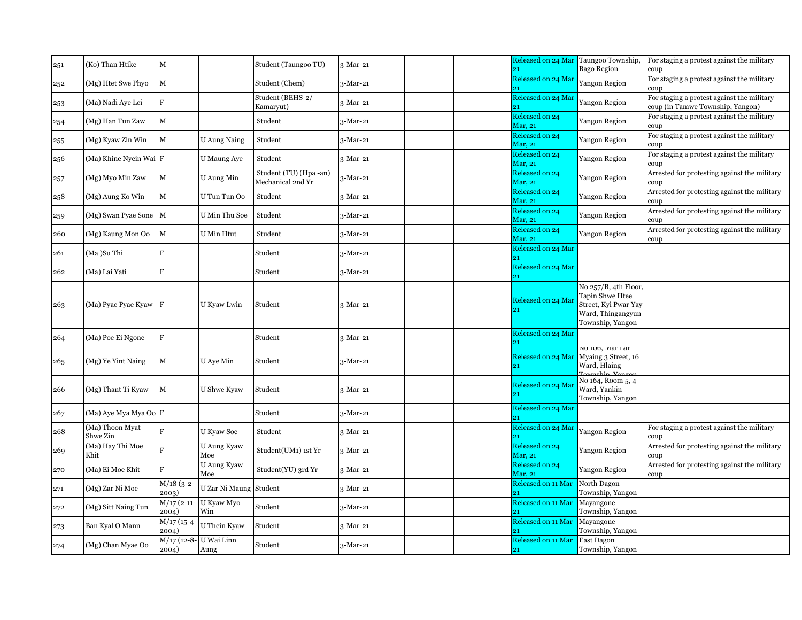| 251 | (Ko) Than Htike             | $\mathbf M$                       |                               | Student (Taungoo TU)                       | $3-Mar-21$ |  | Released on 24 Mar Taungoo Township,<br>21 | <b>Bago Region</b>                                                                                       | For staging a protest against the military<br>coup                             |
|-----|-----------------------------|-----------------------------------|-------------------------------|--------------------------------------------|------------|--|--------------------------------------------|----------------------------------------------------------------------------------------------------------|--------------------------------------------------------------------------------|
| 252 | (Mg) Htet Swe Phyo          | $\mathbf M$                       |                               | Student (Chem)                             | $3-Mar-21$ |  | Released on 24 Mar<br>21                   | Yangon Region                                                                                            | For staging a protest against the military<br>coup                             |
| 253 | (Ma) Nadi Aye Lei           | F                                 |                               | Student (BEHS-2/<br>Kamaryut)              | $3-Mar-21$ |  | Released on 24 Mar                         | Yangon Region                                                                                            | For staging a protest against the military<br>coup (in Tamwe Township, Yangon) |
| 254 | (Mg) Han Tun Zaw            | $\mathbf M$                       |                               | Student                                    | 3-Mar-21   |  | Released on 24<br>Mar, 21                  | Yangon Region                                                                                            | For staging a protest against the military<br>coup                             |
| 255 | (Mg) Kyaw Zin Win           | $\mathbf M$                       | U Aung Naing                  | Student                                    | 3-Mar-21   |  | Released on 24<br>Mar, 21                  | <b>Yangon Region</b>                                                                                     | For staging a protest against the military<br>coup                             |
| 256 | (Ma) Khine Nyein Wai F      |                                   | U Maung Aye                   | Student                                    | 3-Mar-21   |  | Released on 24<br>Mar, 21                  | Yangon Region                                                                                            | For staging a protest against the military<br>coup                             |
| 257 | (Mg) Myo Min Zaw            | $\mathbf M$                       | U Aung Min                    | Student (TU) (Hpa-an)<br>Mechanical 2nd Yr | 3-Mar-21   |  | Released on 24<br>Mar, 21                  | Yangon Region                                                                                            | Arrested for protesting against the military<br>coup                           |
| 258 | (Mg) Aung Ko Win            | $\mathbf M$                       | U Tun Tun Oo                  | Student                                    | 3-Mar-21   |  | Released on 24<br>Mar, 21                  | Yangon Region                                                                                            | Arrested for protesting against the military<br>coup                           |
| 259 | (Mg) Swan Pyae Sone M       |                                   | U Min Thu Soe                 | Student                                    | 3-Mar-21   |  | Released on 24<br>Mar, 21                  | Yangon Region                                                                                            | Arrested for protesting against the military<br>coup                           |
| 260 | (Mg) Kaung Mon Oo           | $\mathbf M$                       | <b>U</b> Min Htut             | Student                                    | 3-Mar-21   |  | Released on 24<br>Mar, 21                  | Yangon Region                                                                                            | Arrested for protesting against the military<br>coup                           |
| 261 | (Ma)Su Thi                  | F                                 |                               | Student                                    | 3-Mar-21   |  | Released on 24 Mar                         |                                                                                                          |                                                                                |
| 262 | (Ma) Lai Yati               | $\mathbf F$                       |                               | Student                                    | $3-Mar-21$ |  | Released on 24 Mar<br>21                   |                                                                                                          |                                                                                |
| 263 | (Ma) Pyae Pyae Kyaw F       |                                   | U Kyaw Lwin                   | Student                                    | 3-Mar-21   |  | Released on 24 Mai<br>21                   | No 257/B, 4th Floor,<br>Tapin Shwe Htee<br>Street, Kyi Pwar Yay<br>Ward, Thingangyun<br>Township, Yangon |                                                                                |
| 264 | (Ma) Poe Ei Ngone           | F                                 |                               | Student                                    | $3-Mar-21$ |  | Released on 24 Mar                         |                                                                                                          |                                                                                |
| 265 | (Mg) Ye Yint Naing          | $\mathbf M$                       | U Aye Min                     | Student                                    | $3-Mar-21$ |  | Released on 24 Mar<br>21                   | NO 100, Mar Lar<br>Myaing 3 Street, 16<br>Ward, Hlaing                                                   |                                                                                |
| 266 | (Mg) Thant Ti Kyaw          | $\mathbf{M}$                      | U Shwe Kyaw                   | Student                                    | 3-Mar-21   |  | Released on 24 Mar<br>21                   | No 164, Room 5, 4<br>Ward, Yankin<br>Township, Yangon                                                    |                                                                                |
| 267 | (Ma) Aye Mya Mya Oo F       |                                   |                               | Student                                    | 3-Mar-21   |  | Released on 24 Mar                         |                                                                                                          |                                                                                |
| 268 | (Ma) Thoon Myat<br>Shwe Zin | $\mathbf{F}$                      | U Kyaw Soe                    | Student                                    | 3-Mar-21   |  | Released on 24 Mar<br>21                   | Yangon Region                                                                                            | For staging a protest against the military<br>coup                             |
| 269 | (Ma) Hay Thi Moe<br>Khit    | F                                 | <b>U</b> Aung Kyaw<br>Moe     | Student(UM1) 1st Yr                        | 3-Mar-21   |  | Released on 24<br>Mar, 21                  | Yangon Region                                                                                            | Arrested for protesting against the military<br>coup                           |
| 270 | (Ma) Ei Moe Khit            | F                                 | U Aung Kyaw<br>Moe            | Student(YU) 3rd Yr                         | 3-Mar-21   |  | Released on 24<br>Mar, 21                  | Yangon Region                                                                                            | Arrested for protesting against the military<br>coup                           |
| 271 | (Mg) Zar Ni Moe             | $M/18$ (3-2-<br>2003)             | U Zar Ni Maung Student        |                                            | 3-Mar-21   |  | Released on 11 Mar                         | North Dagon<br>Township, Yangon                                                                          |                                                                                |
| 272 | (Mg) Sitt Naing Tun         | 2004)                             | M/17 (2-11- U Kyaw Myo<br>Win | Student                                    | 3-Mar-21   |  | Released on 11 Mar<br>21                   | Mayangone<br>Township, Yangon                                                                            |                                                                                |
| 273 | Ban Kyal O Mann             | $\overline{M}/17$ (15-4-<br>2004) | U Thein Kyaw                  | Student                                    | 3-Mar-21   |  | Released on 11 Mar                         | Mayangone<br>Township, Yangon                                                                            |                                                                                |
| 274 | (Mg) Chan Myae Oo           | $M/17$ (12-8-<br>2004)            | U Wai Linn<br>Aung            | Student                                    | $3-Mar-21$ |  | Released on 11 Mar<br>21                   | East Dagon<br>Township, Yangon                                                                           |                                                                                |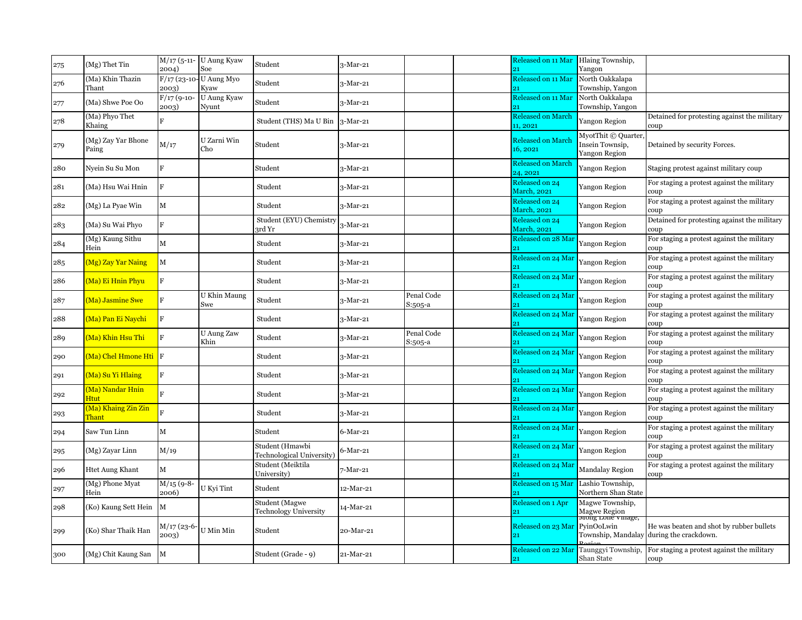| 275 | (Mg) Thet Tin                        | 2004)                  | M/17 (5-11- U Aung Kyaw<br>Soe  | Student                                        | 3-Mar-21   |                       | Released on 11 Mar<br>21              | Hlaing Township,<br>Yangon                             |                                                                                      |
|-----|--------------------------------------|------------------------|---------------------------------|------------------------------------------------|------------|-----------------------|---------------------------------------|--------------------------------------------------------|--------------------------------------------------------------------------------------|
| 276 | (Ma) Khin Thazin<br>Thant            | 2003)                  | F/17 (23-10- U Aung Myo<br>Kyaw | Student                                        | 3-Mar-21   |                       | <b>Released on 11 Mar</b>             | North Oakkalapa<br>Township, Yangon                    |                                                                                      |
| 277 | (Ma) Shwe Poe Oo                     | $F/17$ (9-10-<br>2003) | U Aung Kyaw<br>Nyunt            | Student                                        | 3-Mar-21   |                       | Released on 11 Mar                    | North Oakkalapa<br>Township, Yangon                    |                                                                                      |
| 278 | (Ma) Phyo Thet<br>Khaing             | $\overline{F}$         |                                 | Student (THS) Ma U Bin                         | $3-Mar-21$ |                       | <b>Released on March</b><br>11, 2021  | Yangon Region                                          | Detained for protesting against the military<br>coup                                 |
| 279 | (Mg) Zay Yar Bhone<br>Paing          | M/17                   | U Zarni Win<br>Cho              | Student                                        | 3-Mar-21   |                       | <b>Released on March</b><br>16, 2021  | MyotThit © Quarter<br>Insein Townsip,<br>Yangon Region | Detained by security Forces.                                                         |
| 280 | Nyein Su Su Mon                      | F                      |                                 | Student                                        | 3-Mar-21   |                       | <b>Released on March</b><br>24, 2021  | Yangon Region                                          | Staging protest against military coup                                                |
| 281 | (Ma) Hsu Wai Hnin                    | F                      |                                 | Student                                        | 3-Mar-21   |                       | Released on 24<br><b>March</b> , 2021 | Yangon Region                                          | For staging a protest against the military<br>coup                                   |
| 282 | (Mg) La Pyae Win                     | $\mathbf M$            |                                 | Student                                        | 3-Mar-21   |                       | Released on 24<br><b>March</b> , 2021 | Yangon Region                                          | For staging a protest against the military<br>coup                                   |
| 283 | (Ma) Su Wai Phyo                     | F                      |                                 | Student (EYU) Chemistry<br>3rd Yr              | 3-Mar-21   |                       | Released on 24<br><b>March</b> , 2021 | Yangon Region                                          | Detained for protesting against the military<br>coup                                 |
| 284 | (Mg) Kaung Sithu<br>Hein             | $\mathbf M$            |                                 | Student                                        | 3-Mar-21   |                       | Released on 28 Mar                    | Yangon Region                                          | For staging a protest against the military<br>coup                                   |
| 285 | (Mg) Zay Yar Naing                   | M                      |                                 | Student                                        | 3-Mar-21   |                       | Released on 24 Mar<br>21              | Yangon Region                                          | For staging a protest against the military<br>coup                                   |
| 286 | Ma) Ei Hnin Phyu                     | F                      |                                 | Student                                        | 3-Mar-21   |                       | Released on 24 Mar                    | Yangon Region                                          | For staging a protest against the military<br>coup                                   |
| 287 | Ma) Jasmine Swe                      | F                      | U Khin Maung<br>Swe             | Student                                        | 3-Mar-21   | Penal Code<br>S:505-a | Released on 24 Mar                    | Yangon Region                                          | For staging a protest against the military<br>coup                                   |
| 288 | <u>(Ma) Pan Ei Naychi</u>            | F                      |                                 | Student                                        | 3-Mar-21   |                       | Released on 24 Mar                    | Yangon Region                                          | For staging a protest against the military<br>coup                                   |
| 289 | (Ma) Khin Hsu Thi                    | F                      | <b>U</b> Aung Zaw<br>Khin       | Student                                        | 3-Mar-21   | Penal Code<br>S:505-a | Released on 24 Mar                    | Yangon Region                                          | For staging a protest against the military<br>coup                                   |
| 290 | <mark>(Ma) Chel Hmone Hti  </mark> F |                        |                                 | Student                                        | 3-Mar-21   |                       | Released on 24 Mar<br>21              | Yangon Region                                          | For staging a protest against the military<br>coup                                   |
| 291 | (Ma) Su Yi Hlaing                    | F                      |                                 | Student                                        | 3-Mar-21   |                       | Released on 24 Mar                    | Yangon Region                                          | For staging a protest against the military<br>coup                                   |
| 292 | (Ma) Nandar Hnin<br>Htut             | $\mathbf{F}$           |                                 | Student                                        | 3-Mar-21   |                       | Released on 24 Mar                    | Yangon Region                                          | For staging a protest against the military<br>coup                                   |
| 293 | (Ma) Khaing Zin Zin<br><b>Thant</b>  |                        |                                 | Student                                        | 3-Mar-21   |                       | Released on 24 Mar                    | Yangon Region                                          | For staging a protest against the military<br>coup                                   |
| 294 | Saw Tun Linn                         | $\mathbf M$            |                                 | Student                                        | 6-Mar-21   |                       | Released on 24 Mar<br>21              | Yangon Region                                          | For staging a protest against the military<br>coup                                   |
| 295 | (Mg) Zayar Linn                      | M/19                   |                                 | Student (Hmawbi<br>Technological University)   | 5-Mar-21   |                       | Released on 24 Mar                    | Yangon Region                                          | For staging a protest against the military<br>coup                                   |
| 296 | <b>Htet Aung Khant</b>               | $\mathbf M$            |                                 | Student (Meiktila<br>University)               | 7-Mar-21   |                       | Released on 24 Mar                    | Mandalay Region                                        | For staging a protest against the military<br>coup                                   |
| 297 | (Mg) Phone Myat<br>Hein              | $M/15$ (9-8-<br>2006)  | U Kyi Tint                      | Student                                        | 12-Mar-21  |                       | Released on 15 Mar                    | Lashio Township,<br>Northern Shan State                |                                                                                      |
| 298 | (Ko) Kaung Sett Hein                 | $\mathbf{M}$           |                                 | Student (Magwe<br><b>Technology University</b> | 14-Mar-21  |                       | Released on 1 Apr<br>21               | Magwe Township,                                        |                                                                                      |
| 299 | (Ko) Shar Thaik Han                  | M/17 (23-6-<br>2003)   | U Min Min                       | Student                                        | 20-Mar-21  |                       | Released on 23 Mar                    | Magwe Region<br>mong Lone vinage,<br>PyinOoLwin        | He was beaten and shot by rubber bullets<br>Township, Mandalay during the crackdown. |
| 300 | (Mg) Chit Kaung San                  | $\mathbf{M}$           |                                 | Student (Grade - 9)                            | 21-Mar-21  |                       | Released on 22 Mar<br>21              | Taunggyi Township,<br>Shan State                       | For staging a protest against the military<br>coup                                   |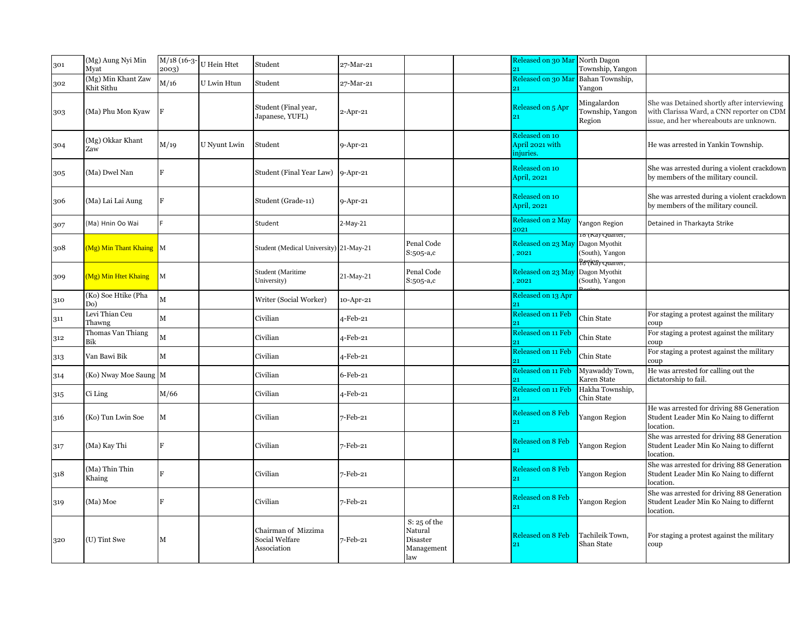| 301 | (Mg) Aung Nyi Min<br>Myat        | M/18 (16-3-<br>2003) | U Hein Htet  | Student                                              | 27-Mar-21      |                                                            | Released on 30 Mar North Dagon<br>21           | Township, Yangon                                                                   |                                                                                                                                     |
|-----|----------------------------------|----------------------|--------------|------------------------------------------------------|----------------|------------------------------------------------------------|------------------------------------------------|------------------------------------------------------------------------------------|-------------------------------------------------------------------------------------------------------------------------------------|
| 302 | (Mg) Min Khant Zaw<br>Khit Sithu | M/16                 | U Lwin Htun  | Student                                              | 27-Mar-21      |                                                            | Released on 30 Mar                             | Bahan Township,<br>Yangon                                                          |                                                                                                                                     |
| 303 | (Ma) Phu Mon Kyaw                |                      |              | Student (Final year,<br>Japanese, YUFL)              | 2-Apr-21       |                                                            | Released on 5 Apr                              | Mingalardon<br>Township, Yangon<br>Region                                          | She was Detained shortly after interviewing<br>with Clarissa Ward, a CNN reporter on CDM<br>issue, and her whereabouts are unknown. |
| 304 | (Mg) Okkar Khant<br>Zaw          | M/19                 | U Nyunt Lwin | Student                                              | $9 - Apr - 21$ |                                                            | Released on 10<br>April 2021 with<br>iniuries. |                                                                                    | He was arrested in Yankin Township.                                                                                                 |
| 305 | (Ma) Dwel Nan                    | F                    |              | Student (Final Year Law)                             | $9 - Apr - 21$ |                                                            | Released on 10<br>April, 2021                  |                                                                                    | She was arrested during a violent crackdown<br>by members of the military council.                                                  |
| 306 | (Ma) Lai Lai Aung                | F                    |              | Student (Grade-11)                                   | $9 - Apr - 21$ |                                                            | Released on 10<br>April, 2021                  |                                                                                    | She was arrested during a violent crackdown<br>by members of the military council.                                                  |
| 307 | (Ma) Hnin Oo Wai                 |                      |              | Student                                              | 2-May-21       |                                                            | Released on 2 May<br>2021                      | Yangon Region                                                                      | Detained in Tharkayta Strike                                                                                                        |
| 308 | (Mg) Min Thant Khaing M          |                      |              | Student (Medical University) 21-May-21               |                | Penal Code<br>S:505-a,c                                    | Released on 23 May<br>2021                     | to (Ka) Quarter,<br>Dagon Myothit<br>(South), Yangon<br>Ps (Kä) <del>Ouaner,</del> |                                                                                                                                     |
| 309 | (Mg) Min Htet Khaing             | $\mathbf{M}$         |              | <b>Student (Maritime</b><br>University)              | 21-May-21      | Penal Code<br>S:505-a,c                                    | Released on 23 May<br>2021                     | Dagon Myothit<br>(South), Yangon                                                   |                                                                                                                                     |
| 310 | (Ko) Soe Htike (Pha<br>Do)       | $\mathbf M$          |              | Writer (Social Worker)                               | 10-Apr-21      |                                                            | Released on 13 Apr                             |                                                                                    |                                                                                                                                     |
| 311 | Levi Thian Ceu<br>Thawng         | $\mathbf M$          |              | Civilian                                             | 4-Feb-21       |                                                            | Released on 11 Feb                             | Chin State                                                                         | For staging a protest against the military<br>coup                                                                                  |
| 312 | Thomas Van Thiang<br>Bik         | M                    |              | Civilian                                             | 4-Feb-21       |                                                            | Released on 11 Feb<br>21                       | Chin State                                                                         | For staging a protest against the military<br>coup                                                                                  |
| 313 | Van Bawi Bik                     | $\mathbf M$          |              | Civilian                                             | 4-Feb-21       |                                                            | Released on 11 Feb<br>21                       | Chin State                                                                         | For staging a protest against the military<br>coup                                                                                  |
| 314 | (Ko) Nway Moe Saung M            |                      |              | Civilian                                             | 6-Feb-21       |                                                            | Released on 11 Feb<br>91                       | Myawaddy Town,<br>Karen State                                                      | He was arrested for calling out the<br>dictatorship to fail.                                                                        |
| 315 | Ci Ling                          | M/66                 |              | Civilian                                             | 4-Feb-21       |                                                            | Released on 11 Feb                             | Hakha Township,<br>Chin State                                                      |                                                                                                                                     |
| 316 | (Ko) Tun Lwin Soe                | $\mathbf M$          |              | Civilian                                             | 7-Feb-21       |                                                            | Released on 8 Feb<br>21                        | Yangon Region                                                                      | He was arrested for driving 88 Generation<br>Student Leader Min Ko Naing to differnt<br>location.                                   |
| 317 | (Ma) Kay Thi                     | R                    |              | Civilian                                             | 7-Feb-21       |                                                            | Released on 8 Feb<br>21                        | Yangon Region                                                                      | She was arrested for driving 88 Generation<br>Student Leader Min Ko Naing to differnt<br>location.                                  |
| 318 | (Ma) Thin Thin<br>Khaing         |                      |              | Civilian                                             | 7-Feb-21       |                                                            | Released on 8 Feb                              | <b>Yangon Region</b>                                                               | She was arrested for driving 88 Generation<br>Student Leader Min Ko Naing to differnt<br>location.                                  |
| 319 | (Ma) Moe                         | F                    |              | Civilian                                             | 7-Feb-21       |                                                            | <b>Released on 8 Feb</b>                       | Yangon Region                                                                      | She was arrested for driving 88 Generation<br>Student Leader Min Ko Naing to differnt<br>location.                                  |
| 320 | (U) Tint Swe                     | M                    |              | Chairman of Mizzima<br>Social Welfare<br>Association | 7-Feb-21       | $S: 25$ of the<br>Natural<br>Disaster<br>Management<br>law | Released on 8 Feb                              | Tachileik Town,<br>Shan State                                                      | For staging a protest against the military<br>coup                                                                                  |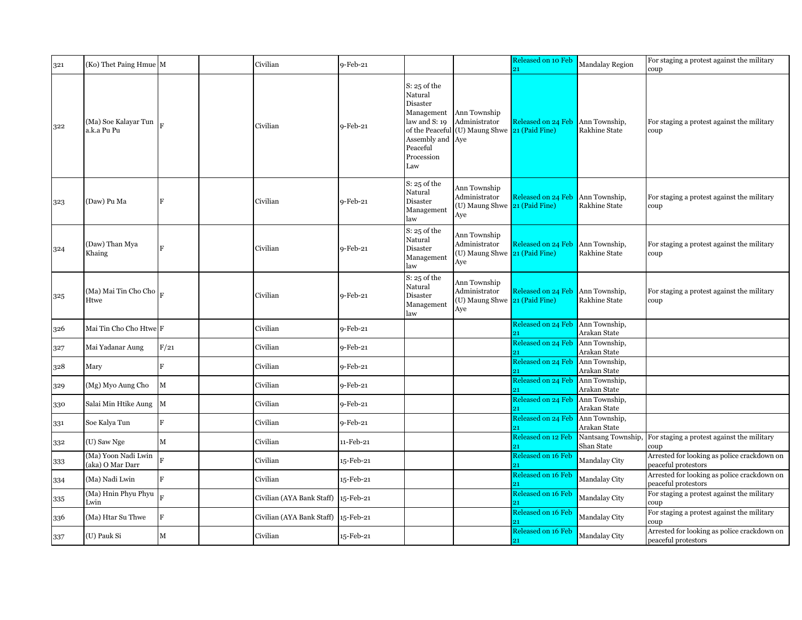| 321            | (Ko) Thet Paing Hmue M                  |                | Civilian                  | $9-Feb-21$  |                                                                                                                           |                                                                                | Released on 10 Feb<br>21 | <b>Mandalay Region</b>                | For staging a protest against the military<br>coup                 |
|----------------|-----------------------------------------|----------------|---------------------------|-------------|---------------------------------------------------------------------------------------------------------------------------|--------------------------------------------------------------------------------|--------------------------|---------------------------------------|--------------------------------------------------------------------|
| 322            | (Ma) Soe Kalayar Tun<br>a.k.a Pu Pu     |                | Civilian                  | $9$ -Feb-21 | $S: 25$ of the<br>Natural<br>Disaster<br>Management<br>law and S: 19<br>Assembly and Aye<br>Peaceful<br>Procession<br>Law | Ann Township<br>Administrator<br>of the Peaceful (U) Maung Shwe 21 (Paid Fine) | Released on 24 Feb       | Ann Township,<br><b>Rakhine State</b> | For staging a protest against the military<br>coup                 |
| 323            | (Daw) Pu Ma                             | F              | Civilian                  | $9-Feb-21$  | $S: 25$ of the<br>Natural<br>Disaster<br>Management<br>law                                                                | Ann Township<br>Administrator<br>(U) Maung Shwe 21 (Paid Fine)<br>Aye          | Released on 24 Feb       | Ann Township,<br><b>Rakhine State</b> | For staging a protest against the military<br>coup                 |
| 324            | (Daw) Than Mya<br>Khaing                | $\mathbf{F}$   | Civilian                  | $9$ -Feb-21 | $S: 25$ of the<br>Natural<br>Disaster<br>Management<br>law                                                                | Ann Township<br>Administrator<br>(U) Maung Shwe 21 (Paid Fine)<br>Aye          | Released on 24 Feb       | Ann Township,<br>Rakhine State        | For staging a protest against the military<br>coup                 |
| $3\mathbf{2}5$ | (Ma) Mai Tin Cho Cho<br>Htwe            |                | Civilian                  | $9$ -Feb-21 | $\mathrm{S}\colon 25$ of the<br>Natural<br>Disaster<br>Management<br>law                                                  | Ann Township<br>Administrator<br>(U) Maung Shwe 21 (Paid Fine)<br>Aye          | Released on 24 Feb       | Ann Township,<br>Rakhine State        | For staging a protest against the military<br>coup                 |
| 326            | Mai Tin Cho Cho Htwe F                  |                | Civilian                  | $9$ -Feb-21 |                                                                                                                           |                                                                                | Released on 24 Feb       | Ann Township,<br>Arakan State         |                                                                    |
| 327            | Mai Yadanar Aung                        | F/21           | Civilian                  | 9-Feb-21    |                                                                                                                           |                                                                                | Released on 24 Feb       | Ann Township,<br>Arakan State         |                                                                    |
| 328            | Mary                                    | $\mathbf{F}$   | Civilian                  | $9-Feb-21$  |                                                                                                                           |                                                                                | Released on 24 Feb<br>21 | Ann Township,<br>Arakan State         |                                                                    |
| 329            | (Mg) Myo Aung Cho                       | $\mathbf M$    | Civilian                  | $9$ -Feb-21 |                                                                                                                           |                                                                                | Released on 24 Feb       | Ann Township,<br>Arakan State         |                                                                    |
| 330            | Salai Min Htike Aung M                  |                | Civilian                  | 9-Feb-21    |                                                                                                                           |                                                                                | Released on 24 Feb       | Ann Township,<br>Arakan State         |                                                                    |
| 331            | Soe Kalya Tun                           | F              | Civilian                  | 9-Feb-21    |                                                                                                                           |                                                                                | Released on 24 Feb       | Ann Township,<br>Arakan State         |                                                                    |
| 332            | (U) Saw Nge                             | $\mathbf M$    | Civilian                  | 11-Feb-21   |                                                                                                                           |                                                                                | Released on 12 Feb<br>91 | Nantsang Township,<br>Shan State      | For staging a protest against the military<br>coup                 |
| 333            | (Ma) Yoon Nadi Lwin<br>(aka) O Mar Darr |                | Civilian                  | 15-Feb-21   |                                                                                                                           |                                                                                | Released on 16 Feb<br>21 | Mandalay City                         | Arrested for looking as police crackdown on<br>peaceful protestors |
| 334            | (Ma) Nadi Lwin                          | $\overline{F}$ | Civilian                  | 15-Feb-21   |                                                                                                                           |                                                                                | Released on 16 Feb       | Mandalay City                         | Arrested for looking as police crackdown on<br>peaceful protestors |
| 335            | (Ma) Hnin Phyu Phyu<br>Lwin             |                | Civilian (AYA Bank Staff) | 15-Feb-21   |                                                                                                                           |                                                                                | Released on 16 Feb<br>21 | Mandalay City                         | For staging a protest against the military<br>coup                 |
| 336            | (Ma) Htar Su Thwe                       | $\mathbf F$    | Civilian (AYA Bank Staff) | 15-Feb-21   |                                                                                                                           |                                                                                | Released on 16 Feb<br>21 | Mandalay City                         | For staging a protest against the military<br>coup                 |
| 337            | (U) Pauk Si                             | $\mathbf M$    | Civilian                  | 15-Feb-21   |                                                                                                                           |                                                                                | Released on 16 Feb<br>21 | Mandalay City                         | Arrested for looking as police crackdown on<br>peaceful protestors |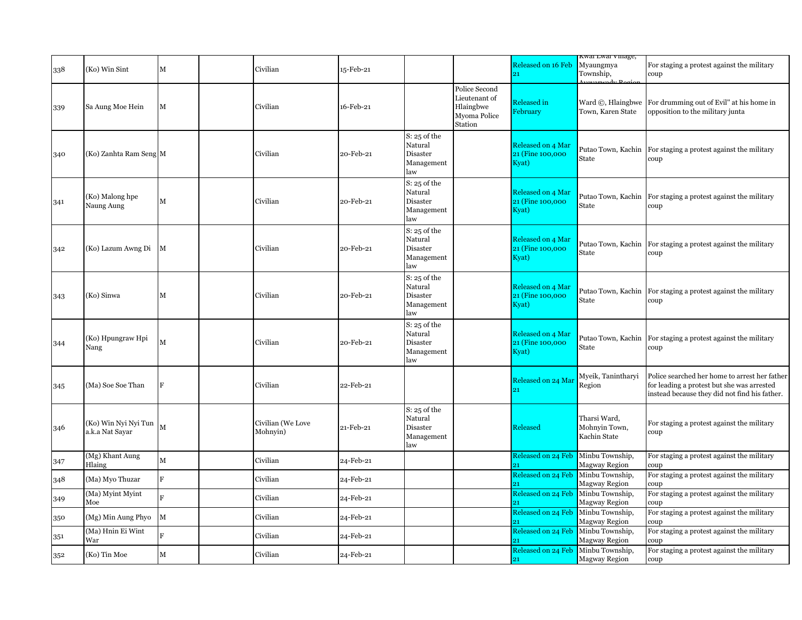| 338 | (Ko) Win Sint                             | $\mathbf M$  | Civilian                      | 15-Feb-21 |                                                                          |                                                                        | Released on 16 Feb<br>21                       | Kwai Lwai viiiage,<br>Myaungmya<br>Township,<br>$\overline{A} \cdot \overline{D}$ | For staging a protest against the military<br>coup                                                                                           |
|-----|-------------------------------------------|--------------|-------------------------------|-----------|--------------------------------------------------------------------------|------------------------------------------------------------------------|------------------------------------------------|-----------------------------------------------------------------------------------|----------------------------------------------------------------------------------------------------------------------------------------------|
| 339 | Sa Aung Moe Hein                          | M            | Civilian                      | 16-Feb-21 |                                                                          | Police Second<br>Lieutenant of<br>Hlaingbwe<br>Myoma Police<br>Station | <b>Released</b> in<br>February                 | Ward ©, Hlaingbwe<br>Town, Karen State                                            | For drumming out of Evil" at his home in<br>opposition to the military junta                                                                 |
| 340 | (Ko) Zanhta Ram Seng M                    |              | Civilian                      | 20-Feb-21 | $S: 25$ of the<br>Natural<br>Disaster<br>Management<br>law               |                                                                        | Released on 4 Mar<br>21 (Fine 100,000<br>Kyat) | Putao Town, Kachin<br>State                                                       | For staging a protest against the military<br>coup                                                                                           |
| 341 | (Ko) Malong hpe<br>Naung Aung             | $\mathbf M$  | Civilian                      | 20-Feb-21 | $S: 25$ of the<br>Natural<br>Disaster<br>Management<br>law               |                                                                        | Released on 4 Mar<br>21 (Fine 100,000<br>Kyat) | Putao Town, Kachin<br>State                                                       | For staging a protest against the military<br>coup                                                                                           |
| 342 | (Ko) Lazum Awng Di                        | $\mathbf{M}$ | Civilian                      | 20-Feb-21 | $S: 25$ of the<br>Natural<br>Disaster<br>Management<br>law               |                                                                        | Released on 4 Mar<br>21 (Fine 100,000<br>Kyat) | Putao Town, Kachin<br>State                                                       | For staging a protest against the military<br>coup                                                                                           |
| 343 | (Ko) Sinwa                                | M            | Civilian                      | 20-Feb-21 | $S: 25$ of the<br>Natural<br>Disaster<br>Management<br>law               |                                                                        | Released on 4 Mar<br>21 (Fine 100,000<br>Kyat) | Putao Town, Kachin<br>State                                                       | For staging a protest against the military<br>coup                                                                                           |
| 344 | (Ko) Hpungraw Hpi<br>Nang                 | M            | Civilian                      | 20-Feb-21 | $S: 25$ of the<br>Natural<br>Disaster<br>Management<br>law               |                                                                        | Released on 4 Mar<br>21 (Fine 100,000<br>Kyat) | Putao Town, Kachin<br>State                                                       | For staging a protest against the military<br>coup                                                                                           |
| 345 | (Ma) Soe Soe Than                         | F            | Civilian                      | 22-Feb-21 |                                                                          |                                                                        | Released on 24 Mai<br>91                       | Myeik, Tanintharyi<br>Region                                                      | Police searched her home to arrest her father<br>for leading a protest but she was arrested<br>instead because they did not find his father. |
| 346 | (Ko) Win Nyi Nyi Tun M<br>a.k.a Nat Sayar |              | Civilian (We Love<br>Mohnyin) | 21-Feb-21 | $\mathrm{S}\colon 25$ of the<br>Natural<br>Disaster<br>Management<br>law |                                                                        | Released                                       | Tharsi Ward,<br>Mohnyin Town,<br>Kachin State                                     | For staging a protest against the military<br>coup                                                                                           |
| 347 | (Mg) Khant Aung<br>Hlaing                 | $\mathbf M$  | Civilian                      | 24-Feb-21 |                                                                          |                                                                        | Released on 24 Feb<br>21                       | Minbu Township,<br><b>Magway Region</b>                                           | For staging a protest against the military<br>coup                                                                                           |
| 348 | (Ma) Myo Thuzar                           | $\mathbf{F}$ | Civilian                      | 24-Feb-21 |                                                                          |                                                                        | <b>Released on 24 Feb</b>                      | Minbu Township,<br>Magway Region                                                  | For staging a protest against the military<br>coup                                                                                           |
| 349 | (Ma) Myint Myint<br>Moe                   | $\mathbf{E}$ | Civilian                      | 24-Feb-21 |                                                                          |                                                                        | Released on 24 Feb                             | Minbu Township,<br><b>Magway Region</b>                                           | For staging a protest against the military<br>coup                                                                                           |
| 350 | (Mg) Min Aung Phyo                        | M            | Civilian                      | 24-Feb-21 |                                                                          |                                                                        | <b>Released on 24 Feb</b>                      | Minbu Township,<br><b>Magway Region</b>                                           | For staging a protest against the military<br>coup                                                                                           |
| 351 | (Ma) Hnin Ei Wint<br>War                  |              | Civilian                      | 24-Feb-21 |                                                                          |                                                                        | Released on 24 Feb<br>21                       | Minbu Township,<br><b>Magway Region</b>                                           | For staging a protest against the military<br>coup                                                                                           |
| 352 | (Ko) Tin Moe                              | M            | Civilian                      | 24-Feb-21 |                                                                          |                                                                        | Released on 24 Feb<br>21                       | Minbu Township,<br><b>Magway Region</b>                                           | For staging a protest against the military<br>coup                                                                                           |
|     |                                           |              |                               |           |                                                                          |                                                                        |                                                |                                                                                   |                                                                                                                                              |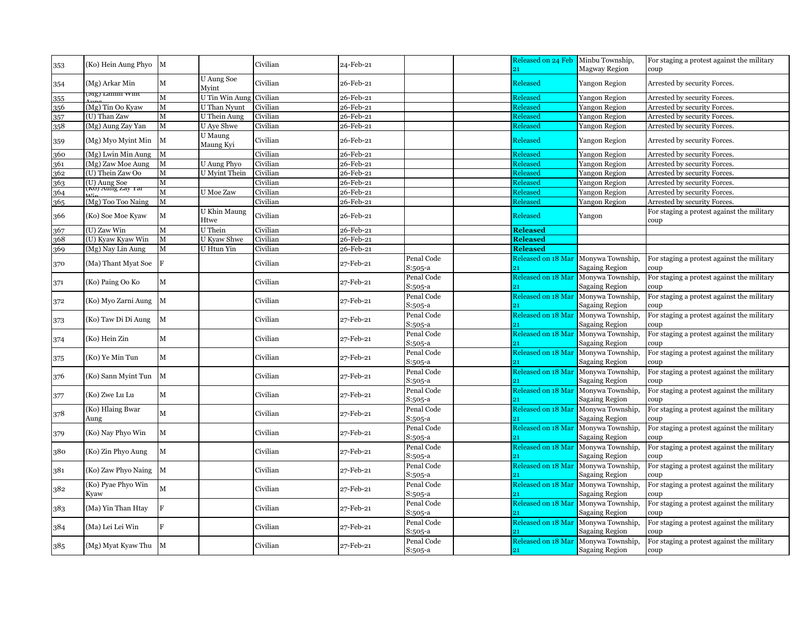| 353 | (Ko) Hein Aung Phyo               | M            |                            | Civilian | 24-Feb-21 |                       | Released on 24 Feb<br>21 | Minbu Township,<br><b>Magway Region</b>   | For staging a protest against the military<br>coup |
|-----|-----------------------------------|--------------|----------------------------|----------|-----------|-----------------------|--------------------------|-------------------------------------------|----------------------------------------------------|
| 354 | (Mg) Arkar Min                    | $\mathbf M$  | <b>U</b> Aung Soe<br>Myint | Civilian | 26-Feb-21 |                       | Released                 | Yangon Region                             | Arrested by security Forces.                       |
| 355 | мg) баши win                      | M            | U Tin Win Aung             | Civilian | 26-Feb-21 |                       | Released                 | Yangon Region                             | Arrested by security Forces.                       |
| 356 | (Mg) Tin Oo Kyaw                  | M            | U Than Nyunt               | Civilian | 26-Feb-21 |                       | Released                 | Yangon Region                             | Arrested by security Forces.                       |
| 357 | (U) Than Zaw                      | $\mathbf M$  | U Thein Aung               | Civilian | 26-Feb-21 |                       | Released                 | <b>Yangon Region</b>                      | Arrested by security Forces.                       |
| 358 | (Mg) Aung Zay Yan                 | $\mathbf M$  | <b>U</b> Aye Shwe          | Civilian | 26-Feb-21 |                       | Released                 | Yangon Region                             | Arrested by security Forces.                       |
| 359 | (Mg) Myo Myint Min                | M            | U Maung<br>Maung Kyi       | Civilian | 26-Feb-21 |                       | Released                 | Yangon Region                             | Arrested by security Forces.                       |
| 360 | (Mg) Lwin Min Aung                | M            |                            | Civilian | 26-Feb-21 |                       | Released                 | Yangon Region                             | Arrested by security Forces.                       |
| 361 | (Mg) Zaw Moe Aung                 | M            | U Aung Phyo                | Civilian | 26-Feb-21 |                       | Released                 | Yangon Region                             | Arrested by security Forces.                       |
| 362 | (U) Thein Zaw Oo                  | M            | <b>U</b> Myint Thein       | Civilian | 26-Feb-21 |                       | Released                 | <b>Yangon Region</b>                      | Arrested by security Forces.                       |
| 363 |                                   | $\mathbf M$  |                            | Civilian | 26-Feb-21 |                       | Released                 | Yangon Region                             | Arrested by security Forces.                       |
| 364 | (U) Aung Soe<br>(KU) Aung Zay Tai | M            | <b>U</b> Moe Zaw           | Civilian | 26-Feb-21 |                       | Released                 | Yangon Region                             | Arrested by security Forces.                       |
| 365 | (Mg) Too Too Naing                | $\mathbf M$  |                            | Civilian | 26-Feb-21 |                       | Released                 | <b>Yangon Region</b>                      | Arrested by security Forces.                       |
|     |                                   |              | U Khin Maung               |          |           |                       |                          |                                           | For staging a protest against the military         |
| 366 | (Ko) Soe Moe Kyaw                 | M            | Htwe                       | Civilian | 26-Feb-21 |                       | Released                 | Yangon                                    | coup                                               |
| 367 | (U) Zaw Win                       | $\mathbf M$  | U Thein                    | Civilian | 26-Feb-21 |                       | <b>Released</b>          |                                           |                                                    |
| 368 | (U) Kyaw Kyaw Win                 | $\mathbf M$  | U Kyaw Shwe                | Civilian | 26-Feb-21 |                       | <b>Released</b>          |                                           |                                                    |
| 369 | (Mg) Nay Lin Aung                 | $\mathbf M$  | U Htun Yin                 | Civilian | 26-Feb-21 |                       | <b>Released</b>          |                                           |                                                    |
| 370 | (Ma) Thant Myat Soe               | F            |                            | Civilian | 27-Feb-21 | Penal Code<br>S:505-a | Released on 18 Mar       | Monywa Township,<br><b>Sagaing Region</b> | For staging a protest against the military<br>coup |
| 371 | (Ko) Paing Oo Ko                  | $\mathbf M$  |                            | Civilian | 27-Feb-21 | Penal Code<br>S:505-a | Released on 18 Mar       | Monywa Township,<br><b>Sagaing Region</b> | For staging a protest against the military<br>coup |
|     |                                   |              |                            |          |           | Penal Code            | Released on 18 Mar       | Monywa Township,                          | For staging a protest against the military         |
| 372 | (Ko) Myo Zarni Aung               | M            |                            | Civilian | 27-Feb-21 | S:505-a               |                          | <b>Sagaing Region</b>                     | coup                                               |
|     |                                   |              |                            |          |           | Penal Code            | Released on 18 Mar       | Monywa Township,                          | For staging a protest against the military         |
| 373 | (Ko) Taw Di Di Aung               | $\mathbf{M}$ |                            | Civilian | 27-Feb-21 | S:505-a               |                          | <b>Sagaing Region</b>                     | coup                                               |
|     |                                   |              |                            |          |           | Penal Code            | Released on 18 Mar       | Monywa Township,                          | For staging a protest against the military         |
| 374 | (Ko) Hein Zin                     | $\mathbf M$  |                            | Civilian | 27-Feb-21 | S:505-a               | 91                       | Sagaing Region                            | coup                                               |
| 375 | (Ko) Ye Min Tun                   | M            |                            | Civilian | 27-Feb-21 | Penal Code<br>S:505-a | Released on 18 Mar       | Monywa Township,<br><b>Sagaing Region</b> | For staging a protest against the military<br>coup |
|     |                                   |              |                            |          |           | Penal Code            | Released on 18 Mar       | Monywa Township,                          | For staging a protest against the military         |
| 376 | (Ko) Sann Myint Tun M             |              |                            | Civilian | 27-Feb-21 | S:505-a               |                          | <b>Sagaing Region</b>                     | coup:                                              |
|     |                                   |              |                            |          |           | Penal Code            | Released on 18 Mar       | Monywa Township,                          | For staging a protest against the military         |
| 377 | (Ko) Zwe Lu Lu                    | $\mathbf M$  |                            | Civilian | 27-Feb-21 | S:505-a               |                          | <b>Sagaing Region</b>                     | coup                                               |
|     | (Ko) Hlaing Bwar                  |              |                            |          |           | Penal Code            | Released on 18 Mar       | Monywa Township,                          | For staging a protest against the military         |
| 378 | Aung                              | $\mathbf M$  |                            | Civilian | 27-Feb-21 | S:505-a               |                          | <b>Sagaing Region</b>                     | coup                                               |
|     |                                   |              |                            |          |           | Penal Code            | Released on 18 Mar       | Monywa Township,                          | For staging a protest against the military         |
| 379 | (Ko) Nay Phyo Win                 | $\mathbf M$  |                            | Civilian | 27-Feb-21 | S:505-a               |                          | <b>Sagaing Region</b>                     | coup                                               |
|     |                                   |              |                            |          |           | Penal Code            | Released on 18 Mar       | Monywa Township,                          | For staging a protest against the military         |
| 380 | (Ko) Zin Phyo Aung                | $\mathbf M$  |                            | Civilian | 27-Feb-21 | S:505-a               |                          | Sagaing Region                            | coup                                               |
|     |                                   |              |                            |          |           | Penal Code            | Released on 18 Mar       | Monywa Township,                          | For staging a protest against the military         |
| 381 | (Ko) Zaw Phyo Naing               | M            |                            | Civilian | 27-Feb-21 | S:505-a               |                          | <b>Sagaing Region</b>                     | coup                                               |
|     | (Ko) Pyae Phyo Win                |              |                            |          |           | Penal Code            | Released on 18 Mar       | Monywa Township,                          | For staging a protest against the military         |
| 382 | Kyaw                              | M            |                            | Civilian | 27-Feb-21 | S:505-a               |                          | <b>Sagaing Region</b>                     | coup                                               |
|     |                                   |              |                            |          |           | Penal Code            | Released on 18 Mar       | Monywa Township,                          | For staging a protest against the military         |
| 383 | (Ma) Yin Than Htay                | $\mathbf{F}$ |                            | Civilian | 27-Feb-21 | S:505-a               |                          | <b>Sagaing Region</b>                     | coup                                               |
|     |                                   |              |                            |          |           | Penal Code            | Released on 18 Mar       | Monywa Township,                          | For staging a protest against the military         |
| 384 | (Ma) Lei Lei Win                  | $\mathbf F$  |                            | Civilian | 27-Feb-21 | S:505-a               |                          | Sagaing Region                            | coup                                               |
|     |                                   |              |                            |          |           | Penal Code            |                          | Monywa Township,                          |                                                    |
| 385 | (Mg) Myat Kyaw Thu                | M            |                            | Civilian | 27-Feb-21 |                       | Released on 18 Mar       |                                           | For staging a protest against the military         |
|     |                                   |              |                            |          |           | S:505-a               | 21                       | <b>Sagaing Region</b>                     | coup                                               |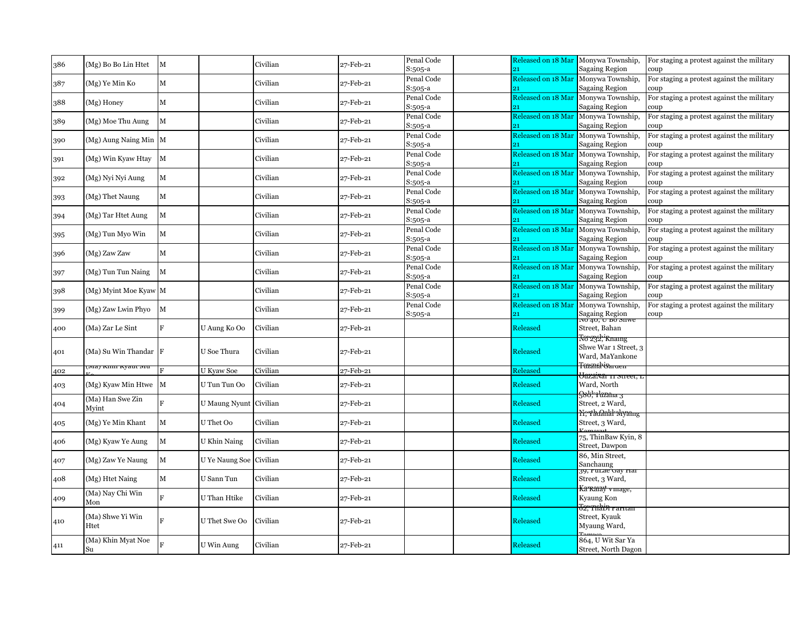| 386 | (Mg) Bo Bo Lin Htet       | $\mathbf M$             |                | Civilian | 27-Feb-21 | Penal Code            | Released on 18 Mar<br>21 | Monywa Township,                                              | For staging a protest against the military         |
|-----|---------------------------|-------------------------|----------------|----------|-----------|-----------------------|--------------------------|---------------------------------------------------------------|----------------------------------------------------|
| 387 | (Mg) Ye Min Ko            | $\mathbf M$             |                | Civilian | 27-Feb-21 | S:505-a<br>Penal Code | Released on 18 Mar       | Sagaing Region<br>Monywa Township,                            | coup<br>For staging a protest against the military |
| 388 | $(Mg)$ Honey              | $\mathbf M$             |                | Civilian | 27-Feb-21 | S:505-a<br>Penal Code | Released on 18 Mar       | <b>Sagaing Region</b><br>Monywa Township,                     | coup<br>For staging a protest against the military |
| 389 | (Mg) Moe Thu Aung         | M                       |                | Civilian | 27-Feb-21 | S:505-a<br>Penal Code | Released on 18 Mar       | <b>Sagaing Region</b><br>Monywa Township,                     | coup<br>For staging a protest against the military |
| 390 | (Mg) Aung Naing Min M     |                         |                | Civilian | 27-Feb-21 | S:505-a<br>Penal Code | Released on 18 Mar       | Sagaing Region<br>Monywa Township,                            | coup<br>For staging a protest against the military |
| 391 | (Mg) Win Kyaw Htay        | M                       |                | Civilian | 27-Feb-21 | S:505-a<br>Penal Code | Released on 18 Mar       | Sagaing Region<br>Monywa Township,                            | coup<br>For staging a protest against the military |
| 392 | (Mg) Nyi Nyi Aung         | $\mathbf M$             |                | Civilian | 27-Feb-21 | S:505-a<br>Penal Code | 21<br>Released on 18 Mar | <b>Sagaing Region</b><br>Monywa Township,                     | coup<br>For staging a protest against the military |
| 393 | (Mg) Thet Naung           | $\mathbf M$             |                | Civilian | 27-Feb-21 | S:505-a<br>Penal Code | 91<br>Released on 18 Mar | Sagaing Region<br>Monywa Township,                            | coup<br>For staging a protest against the military |
| 394 | (Mg) Tar Htet Aung        | M                       |                | Civilian | 27-Feb-21 | S:505-a<br>Penal Code | Released on 18 Mar       | Sagaing Region<br>Monywa Township,                            | coup<br>For staging a protest against the military |
| 395 | (Mg) Tun Myo Win          | $\mathbf M$             |                | Civilian | 27-Feb-21 | S:505-a<br>Penal Code | Released on 18 Mar       | Sagaing Region<br>Monywa Township,                            | coup<br>For staging a protest against the military |
| 396 | (Mg) Zaw Zaw              | $\mathbf M$             |                | Civilian | 27-Feb-21 | S:505-a<br>Penal Code | Released on 18 Mar       | Sagaing Region<br>Monywa Township,                            | coup<br>For staging a protest against the military |
|     |                           |                         |                |          |           | S:505-a<br>Penal Code | Released on 18 Mar       | Sagaing Region<br>Monywa Township,                            | coup<br>For staging a protest against the military |
| 397 | (Mg) Tun Tun Naing        | $\mathbf M$             |                | Civilian | 27-Feb-21 | S:505-a<br>Penal Code | Released on 18 Mar       | Sagaing Region<br>Monywa Township,                            | coup<br>For staging a protest against the military |
| 398 | (Mg) Myint Moe Kyaw M     |                         |                | Civilian | 27-Feb-21 | S:505-a<br>Penal Code | Released on 18 Mar       | Sagaing Region<br>Monywa Township,                            | coup<br>For staging a protest against the military |
| 399 | (Mg) Zaw Lwin Phyo        | $\mathbf M$             |                | Civilian | 27-Feb-21 | S:505-a               | 91                       | <b>Sagaing Region</b>                                         | coup                                               |
| 400 | (Ma) Zar Le Sint          | F                       | U Aung Ko Oo   | Civilian | 27-Feb-21 |                       | Released                 | Street, Bahan<br><del>Vo 232, Knamg</del>                     |                                                    |
| 401 | (Ma) Su Win Thandar F     |                         | U Soe Thura    | Civilian | 27-Feb-21 |                       | Released                 | Shwe War 1 Street, 3<br>Ward, MaYankone                       |                                                    |
| 402 | .wia) Kinii Kyaut mu      | $\mathbf{F}$            | U Kyaw Soe     | Civilian | 27-Feb-21 |                       | Released                 | <del>Tazznakiyarae</del><br><del>Jazaivar 11 street,</del> 1  |                                                    |
| 403 | (Mg) Kyaw Min Htwe M      |                         | U Tun Tun Oo   | Civilian | 27-Feb-21 |                       | Released                 | Ward, North<br><del>S80,'Yuzana 3</del>                       |                                                    |
| 404 | (Ma) Han Swe Zin<br>Mvint | $\mathbf{F}$            | U Maung Nyunt  | Civilian | 27-Feb-21 |                       | <b>Released</b>          | Street, 2 Ward,<br>Nerthdanklr whyanng                        |                                                    |
| 405 | (Mg) Ye Min Khant         | $\mathbf M$             | U Thet Oo      | Civilian | 27-Feb-21 |                       | Released                 | Street, 3 Ward,                                               |                                                    |
| 406 | (Mg) Kyaw Ye Aung         | M                       | U Khin Naing   | Civilian | 27-Feb-21 |                       | Released                 | 75, ThinBaw Kyin, 8<br>Street, Dawpon                         |                                                    |
| 407 | (Mg) Zaw Ye Naung         | M                       | U Ye Naung Soe | Civilian | 27-Feb-21 |                       | <b>Released</b>          | 86, Min Street,<br>Sanchaung<br>39, runae Gay nar             |                                                    |
| 408 | (Mg) Htet Naing           | $\mathbf M$             | U Sann Tun     | Civilian | 27-Feb-21 |                       | Released                 | Street, 3 Ward,                                               |                                                    |
| 409 | (Ma) Nay Chi Win<br>Mon   | $\overline{\mathbf{R}}$ | U Than Htike   | Civilian | 27-Feb-21 |                       | Released                 | <del>Ka Karay vinage,</del><br>Kyaung Kon                     |                                                    |
| 410 | (Ma) Shwe Yi Win<br>Htet  |                         | U Thet Swe Oo  | Civilian | 27-Feb-21 |                       | Released                 | <del>52, Tuabin rantan</del><br>Street, Kyauk<br>Myaung Ward, |                                                    |
| 411 | (Ma) Khin Myat Noe<br>Su  |                         | U Win Aung     | Civilian | 27-Feb-21 |                       | Released                 | 864, U Wit Sar Ya<br>Street, North Dagon                      |                                                    |
|     |                           |                         |                |          |           |                       |                          |                                                               |                                                    |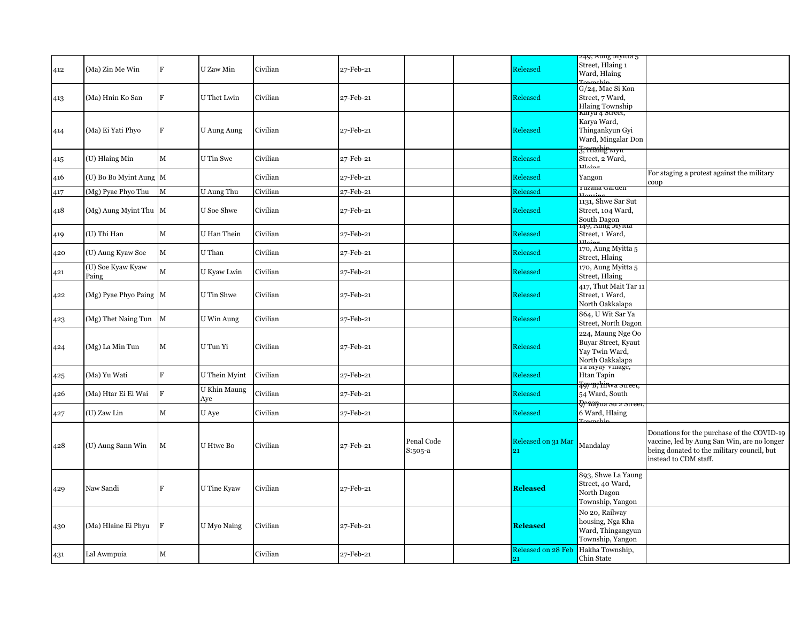|     |                            |               |                     |          |           |                       |                                 | 249, Aung mynta 5                                                                                   |                                                                                                                                                                  |
|-----|----------------------------|---------------|---------------------|----------|-----------|-----------------------|---------------------------------|-----------------------------------------------------------------------------------------------------|------------------------------------------------------------------------------------------------------------------------------------------------------------------|
| 412 | (Ma) Zin Me Win            | F             | U Zaw Min           | Civilian | 27-Feb-21 |                       | Released                        | Street, Hlaing 1<br>Ward, Hlaing                                                                    |                                                                                                                                                                  |
| 413 | (Ma) Hnin Ko San           | F             | U Thet Lwin         | Civilian | 27-Feb-21 |                       | Released                        | G/24, Mae Si Kon<br>Street, 7 Ward,<br><b>Hlaing Township</b>                                       |                                                                                                                                                                  |
| 414 | (Ma) Ei Yati Phyo          | F             | <b>U Aung Aung</b>  | Civilian | 27-Feb-21 |                       | Released                        | Karya 4 Street,<br>Karya Ward,<br>Thingankyun Gyi<br>Ward, Mingalar Don<br><del>J. wrahip wyn</del> |                                                                                                                                                                  |
| 415 | (U) Hlaing Min             | $\mathbf M$   | U Tin Swe           | Civilian | 27-Feb-21 |                       | Released                        | Street, 2 Ward,                                                                                     |                                                                                                                                                                  |
| 416 | (U) Bo Bo Myint Aung M     |               |                     | Civilian | 27-Feb-21 |                       | Released                        | Yangon                                                                                              | For staging a protest against the military<br>coup                                                                                                               |
| 417 | (Mg) Pyae Phyo Thu         | М             | U Aung Thu          | Civilian | 27-Feb-21 |                       | Released                        | i uzana Garuen                                                                                      |                                                                                                                                                                  |
| 418 | (Mg) Aung Myint Thu M      |               | U Soe Shwe          | Civilian | 27-Feb-21 |                       | Released                        | 1131, Shwe Sar Sut<br>Street, 104 Ward,<br>South Dagon                                              |                                                                                                                                                                  |
| 419 | (U) Thi Han                | $\mathbf M$   | U Han Thein         | Civilian | 27-Feb-21 |                       | Released                        | 149, Aung mynia<br>Street, 1 Ward,                                                                  |                                                                                                                                                                  |
| 420 | (U) Aung Kyaw Soe          | $\mathbf M$   | U Than              | Civilian | 27-Feb-21 |                       | Released                        | 170, Aung Myitta 5<br>Street, Hlaing                                                                |                                                                                                                                                                  |
| 421 | (U) Soe Kyaw Kyaw<br>Paing | $\mathbf{M}$  | U Kyaw Lwin         | Civilian | 27-Feb-21 |                       | Released                        | 170, Aung Myitta 5<br>Street, Hlaing                                                                |                                                                                                                                                                  |
| 422 | (Mg) Pyae Phyo Paing M     |               | U Tin Shwe          | Civilian | 27-Feb-21 |                       | Released                        | 417, Thut Mait Tar 11<br>Street, 1 Ward,<br>North Oakkalapa                                         |                                                                                                                                                                  |
| 423 | (Mg) Thet Naing Tun M      |               | U Win Aung          | Civilian | 27-Feb-21 |                       | Released                        | 864, U Wit Sar Ya<br>Street, North Dagon                                                            |                                                                                                                                                                  |
| 424 | (Mg) La Min Tun            | $\mathbf M$   | U Tun Yi            | Civilian | 27-Feb-21 |                       | Released                        | 224, Maung Nge Oo<br>Buyar Street, Kyaut<br>Yay Twin Ward,<br>North Oakkalapa                       |                                                                                                                                                                  |
| 425 | (Ma) Yu Wati               | F             | U Thein Myint       | Civilian | 27-Feb-21 |                       | Released                        | Ta myay vinage,<br>Htan Tapin                                                                       |                                                                                                                                                                  |
| 426 | (Ma) Htar Ei Ei Wai        | ١F            | U Khin Maung<br>Aye | Civilian | 27-Feb-21 |                       | Released                        | <del>T97'B; hifwa street</del><br>54 Ward, South                                                    |                                                                                                                                                                  |
| 427 | (U) Zaw Lin                | $\mathbf M$   | U Aye               | Civilian | 27-Feb-21 |                       | Released                        | $9$ <sup>2</sup> Bayua su z street<br>6 Ward, Hlaing                                                |                                                                                                                                                                  |
| 428 | (U) Aung Sann Win          | M             | U Htwe Bo           | Civilian | 27-Feb-21 | Penal Code<br>S:505-a | Released on 31 Mar<br>21        | Mandalay                                                                                            | Donations for the purchase of the COVID-19<br>vaccine, led by Aung San Win, are no longer<br>being donated to the military council, but<br>instead to CDM staff. |
| 429 | Naw Sandi                  | F             | U Tine Kyaw         | Civilian | 27-Feb-21 |                       | <b>Released</b>                 | 893, Shwe La Yaung<br>Street, 40 Ward,<br>North Dagon<br>Township, Yangon                           |                                                                                                                                                                  |
| 430 | (Ma) Hlaine Ei Phyu        | <sup>IF</sup> | U Myo Naing         | Civilian | 27-Feb-21 |                       | <b>Released</b>                 | No 20, Railway<br>housing, Nga Kha<br>Ward, Thingangyun<br>Township, Yangon                         |                                                                                                                                                                  |
| 431 | Lal Awmpuia                | $\mathbf M$   |                     | Civilian | 27-Feb-21 |                       | <b>Released on 28 Feb</b><br>21 | Hakha Township,<br>Chin State                                                                       |                                                                                                                                                                  |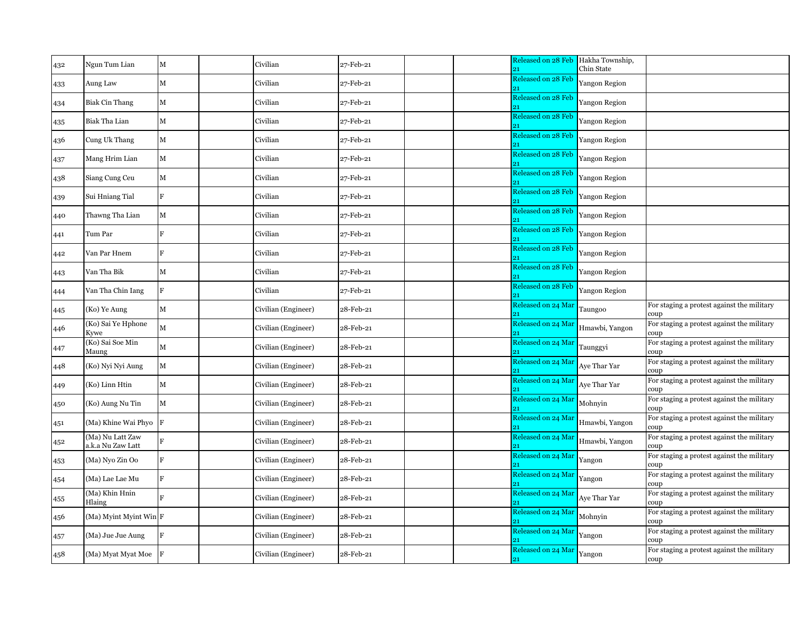| 432 | Ngun Tum Lian                         | $\mathbf M$  | Civilian            | 27-Feb-21 |  | Released on 28 Feb<br>21  | Hakha Township,<br>Chin State |                                                     |
|-----|---------------------------------------|--------------|---------------------|-----------|--|---------------------------|-------------------------------|-----------------------------------------------------|
| 433 | Aung Law                              | $\mathbf M$  | Civilian            | 27-Feb-21 |  | <b>Released on 28 Feb</b> | Yangon Region                 |                                                     |
| 434 | <b>Biak Cin Thang</b>                 | $\mathbf M$  | Civilian            | 27-Feb-21 |  | Released on 28 Feb        | <b>Yangon Region</b>          |                                                     |
| 435 | Biak Tha Lian                         | $\mathbf M$  | Civilian            | 27-Feb-21 |  | Released on 28 Feb        | <b>Yangon Region</b>          |                                                     |
| 436 | Cung Uk Thang                         | M            | Civilian            | 27-Feb-21 |  | Released on 28 Feb<br>91  | Yangon Region                 |                                                     |
| 437 | Mang Hrim Lian                        | $\mathbf M$  | Civilian            | 27-Feb-21 |  | Released on 28 Feb        | Yangon Region                 |                                                     |
| 438 | Siang Cung Ceu                        | $\mathbf M$  | Civilian            | 27-Feb-21 |  | Released on 28 Feb<br>91  | Yangon Region                 |                                                     |
| 439 | Sui Hniang Tial                       | $\mathbf F$  | Civilian            | 27-Feb-21 |  | Released on 28 Feb        | <b>Yangon Region</b>          |                                                     |
| 440 | Thawng Tha Lian                       | $\mathbf M$  | Civilian            | 27-Feb-21 |  | Released on 28 Feb<br>21  | <b>Yangon Region</b>          |                                                     |
| 441 | Tum Par                               | $\mathbf F$  | Civilian            | 27-Feb-21 |  | Released on 28 Feb        | Yangon Region                 |                                                     |
| 442 | Van Par Hnem                          | F            | Civilian            | 27-Feb-21 |  | Released on 28 Feb        | <b>Yangon Region</b>          |                                                     |
| 443 | Van Tha Bik                           | $\mathbf M$  | Civilian            | 27-Feb-21 |  | Released on 28 Feb        | Yangon Region                 |                                                     |
| 444 | Van Tha Chin Iang                     | $\mathbf F$  | Civilian            | 27-Feb-21 |  | Released on 28 Feb        | Yangon Region                 |                                                     |
| 445 | (Ko) Ye Aung                          | $\mathbf M$  | Civilian (Engineer) | 28-Feb-21 |  | Released on 24 Mar<br>21  | Taungoo                       | For staging a protest against the military<br>coup  |
| 446 | (Ko) Sai Ye Hphone<br>Kywe            | $\mathbf M$  | Civilian (Engineer) | 28-Feb-21 |  | Released on 24 Mar        | Hmawbi, Yangon                | For staging a protest against the military<br>oup:  |
| 447 | (Ko) Sai Soe Min<br>Maung             | $\mathbf M$  | Civilian (Engineer) | 28-Feb-21 |  | Released on 24 Mar        | Taunggyi                      | For staging a protest against the military<br>coup  |
| 448 | (Ko) Nyi Nyi Aung                     | $\mathbf M$  | Civilian (Engineer) | 28-Feb-21 |  | Released on 24 Mar        | Aye Thar Yar                  | For staging a protest against the military<br>coup  |
| 449 | (Ko) Linn Htin                        | $\mathbf M$  | Civilian (Engineer) | 28-Feb-21 |  | Released on 24 Mar<br>91  | Aye Thar Yar                  | For staging a protest against the military<br>coup  |
| 450 | (Ko) Aung Nu Tin                      | $\mathbf M$  | Civilian (Engineer) | 28-Feb-21 |  | Released on 24 Mar        | Mohnyin                       | For staging a protest against the military<br>coup  |
| 451 | (Ma) Khine Wai Phyo F                 |              | Civilian (Engineer) | 28-Feb-21 |  | Released on 24 Mar<br>91  | Hmawbi, Yangon                | For staging a protest against the military<br>coup  |
| 452 | (Ma) Nu Latt Zaw<br>a.k.a Nu Zaw Latt | $\rm F$      | Civilian (Engineer) | 28-Feb-21 |  | Released on 24 Mar        | Hmawbi, Yangon                | For staging a protest against the military<br>coup  |
| 453 | (Ma) Nyo Zin Oo                       | $\mathbf F$  | Civilian (Engineer) | 28-Feb-21 |  | Released on 24 Mar<br>21  | Yangon                        | For staging a protest against the military<br>coup  |
| 454 | (Ma) Lae Lae Mu                       | F            | Civilian (Engineer) | 28-Feb-21 |  | Released on 24 Mar        | Yangon                        | For staging a protest against the military<br>coup  |
| 455 | (Ma) Khin Hnin<br>Hlaing              | $\mathbf{F}$ | Civilian (Engineer) | 28-Feb-21 |  | Released on 24 Mar        | Aye Thar Yar                  | For staging a protest against the military<br>coup  |
| 456 | (Ma) Myint Myint Win F                |              | Civilian (Engineer) | 28-Feb-21 |  | Released on 24 Mar        | Mohnyin                       | For staging a protest against the military<br>coup  |
| 457 | (Ma) Jue Jue Aung                     | F            | Civilian (Engineer) | 28-Feb-21 |  | Released on 24 Mar        | Yangon                        | For staging a protest against the military<br>coup: |
| 458 | (Ma) Myat Myat Moe                    | $\mathbf F$  | Civilian (Engineer) | 28-Feb-21 |  | Released on 24 Mar<br>21  | Yangon                        | For staging a protest against the military<br>coup  |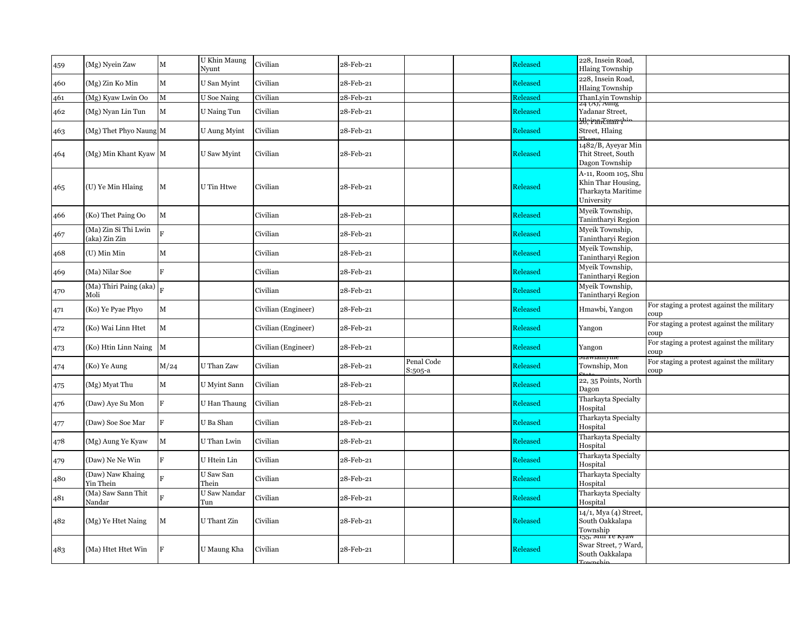| 459 | (Mg) Nyein Zaw                        | $\mathbf M$             | U Khin Maung<br>Nyunt | Civilian            | 28-Feb-21 |                       | Released        | 228, Insein Road,<br><b>Hlaing Township</b>                                   |                                                    |
|-----|---------------------------------------|-------------------------|-----------------------|---------------------|-----------|-----------------------|-----------------|-------------------------------------------------------------------------------|----------------------------------------------------|
| 460 | (Mg) Zin Ko Min                       | $\mathbf M$             | U San Myint           | Civilian            | 28-Feb-21 |                       | Released        | 228, Insein Road,<br><b>Hlaing Township</b>                                   |                                                    |
| 461 | (Mg) Kyaw Lwin Oo                     | M                       | <b>U</b> Soe Naing    | Civilian            | 28-Feb-21 |                       | Released        | ThanLyin Township                                                             |                                                    |
| 462 | (Mg) Nyan Lin Tun                     | $\mathbf M$             | U Naing Tun           | Civilian            | 28-Feb-21 |                       | Released        | 24 (A), Aung<br>Yadanar Street,                                               |                                                    |
| 463 | (Mg) Thet Phyo Naung M                |                         | U Aung Myint          | Civilian            | 28-Feb-21 |                       | Released        | <del>ZU; iranCnam i<sup>1</sup></del><br>Street, Hlaing                       |                                                    |
| 464 | (Mg) Min Khant Kyaw M                 |                         | U Saw Myint           | Civilian            | 28-Feb-21 |                       | Released        | 1482/B, Ayeyar Min<br>Thit Street, South<br>Dagon Township                    |                                                    |
| 465 | (U) Ye Min Hlaing                     | $\mathbf M$             | U Tin Htwe            | Civilian            | 28-Feb-21 |                       | Released        | A-11, Room 105, Shu<br>Khin Thar Housing,<br>Tharkayta Maritime<br>University |                                                    |
| 466 | (Ko) Thet Paing Oo                    | $\mathbf M$             |                       | Civilian            | 28-Feb-21 |                       | Released        | Myeik Township,<br>Tanintharyi Region                                         |                                                    |
| 467 | (Ma) Zin Si Thi Lwin<br>(aka) Zin Zin |                         |                       | Civilian            | 28-Feb-21 |                       | Released        | Myeik Township,<br>Tanintharyi Region                                         |                                                    |
| 468 | (U) Min Min                           | M                       |                       | Civilian            | 28-Feb-21 |                       | Released        | Myeik Township,<br>Tanintharyi Region                                         |                                                    |
| 469 | (Ma) Nilar Soe                        | F                       |                       | Civilian            | 28-Feb-21 |                       | Released        | Myeik Township,<br>Tanintharyi Region                                         |                                                    |
| 470 | (Ma) Thiri Paing (aka)<br>Moli        | $\overline{\mathbf{R}}$ |                       | Civilian            | 28-Feb-21 |                       | Released        | Myeik Township,<br>Tanintharyi Region                                         |                                                    |
| 471 | (Ko) Ye Pyae Phyo                     | $\mathbf M$             |                       | Civilian (Engineer) | 28-Feb-21 |                       | Released        | Hmawbi, Yangon                                                                | For staging a protest against the military<br>coup |
| 472 | (Ko) Wai Linn Htet                    | $\mathbf M$             |                       | Civilian (Engineer) | 28-Feb-21 |                       | <b>Released</b> | Yangon                                                                        | For staging a protest against the military<br>coup |
| 473 | (Ko) Htin Linn Naing                  | $\mathbf{M}$            |                       | Civilian (Engineer) | 28-Feb-21 |                       | Released        | Yangon                                                                        | For staging a protest against the military<br>coup |
| 474 | (Ko) Ye Aung                          | M/24                    | U Than Zaw            | Civilian            | 28-Feb-21 | Penal Code<br>S:505-a | Released        | mawiainyine<br>Township, Mon                                                  | For staging a protest against the military<br>coup |
| 475 | (Mg) Myat Thu                         | $\mathbf M$             | U Myint Sann          | Civilian            | 28-Feb-21 |                       | Released        | 22, 35 Points, North<br>Dagon                                                 |                                                    |
| 476 | (Daw) Aye Su Mon                      | F                       | U Han Thaung          | Civilian            | 28-Feb-21 |                       | Released        | Tharkayta Specialty<br>Hospital                                               |                                                    |
| 477 | (Daw) Soe Soe Mar                     | $\mathbf F$             | U Ba Shan             | Civilian            | 28-Feb-21 |                       | Released        | Tharkayta Specialty<br>Hospital                                               |                                                    |
| 478 | (Mg) Aung Ye Kyaw                     | $\mathbf M$             | U Than Lwin           | Civilian            | 28-Feb-21 |                       | <b>Released</b> | Tharkayta Specialty<br>Hospital                                               |                                                    |
| 479 | (Daw) Ne Ne Win                       | F                       | U Htein Lin           | Civilian            | 28-Feb-21 |                       | <b>Released</b> | Tharkayta Specialty<br>Hospital                                               |                                                    |
| 480 | (Daw) Naw Khaing<br>Yin Thein         | R                       | U Saw San<br>Thein    | Civilian            | 28-Feb-21 |                       | <b>Released</b> | Tharkayta Specialty<br>Hospital                                               |                                                    |
| 481 | (Ma) Saw Sann Thit<br>Nandar          |                         | U Saw Nandar<br>Tun   | Civilian            | 28-Feb-21 |                       | Released        | Tharkayta Specialty<br>Hospital                                               |                                                    |
| 482 | (Mg) Ye Htet Naing                    | M                       | U Thant Zin           | Civilian            | 28-Feb-21 |                       | Released        | 14/1, Mya (4) Street,<br>South Oakkalapa<br>Township                          |                                                    |
| 483 | (Ma) Htet Htet Win                    | F                       | U Maung Kha           | Civilian            | 28-Feb-21 |                       | Released        | 155, мш те куам<br>Swar Street, 7 Ward,<br>South Oakkalapa                    |                                                    |
|     |                                       |                         |                       |                     |           |                       |                 |                                                                               |                                                    |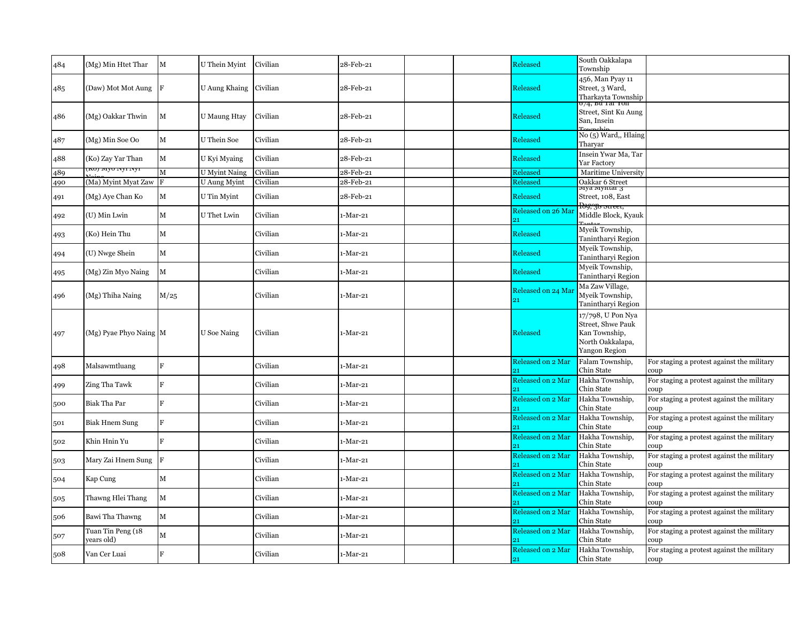| 484 | (Mg) Min Htet Thar              | M            | U Thein Myint        | Civilian | 28-Feb-21 |  | Released                 | South Oakkalapa<br>Township                                                                         |                                                    |
|-----|---------------------------------|--------------|----------------------|----------|-----------|--|--------------------------|-----------------------------------------------------------------------------------------------------|----------------------------------------------------|
| 485 | (Daw) Mot Mot Aung F            |              | U Aung Khaing        | Civilian | 28-Feb-21 |  | Released                 | 456, Man Pyay 11<br>Street, 3 Ward,<br>Tharkayta Township<br>074, bu rar ron                        |                                                    |
| 486 | (Mg) Oakkar Thwin               | M            | <b>U</b> Maung Htay  | Civilian | 28-Feb-21 |  | <b>Released</b>          | Street, Sint Ku Aung<br>San. Insein                                                                 |                                                    |
| 487 | (Mg) Min Soe Oo                 | $\mathbf M$  | U Thein Soe          | Civilian | 28-Feb-21 |  | <b>Released</b>          | No (5) Ward,, Hlaing<br>Tharvar                                                                     |                                                    |
| 488 | (Ko) Zay Yar Than               | M            | U Kyi Myaing         | Civilian | 28-Feb-21 |  | <b>Released</b>          | Insein Ywar Ma, Tar<br>Yar Factory                                                                  |                                                    |
| 489 | KUJ IVIYU IVYI IVYI             | $\mathbf{M}$ | <b>U</b> Myint Naing | Civilian | 28-Feb-21 |  | Released                 | Maritime University                                                                                 |                                                    |
| 490 | (Ma) Myint Myat Zaw             | R            | U Aung Myint         | Civilian | 28-Feb-21 |  | Released                 | Oakkar 6 Street                                                                                     |                                                    |
| 491 | (Mg) Aye Chan Ko                | M            | U Tin Myint          | Civilian | 28-Feb-21 |  | <b>Released</b>          | муа муніаг з<br>Street, 108, East                                                                   |                                                    |
| 492 | (U) Min Lwin                    | M            | U Thet Lwin          | Civilian | 1-Mar-21  |  | Released on 26 Mar<br>21 | <del>ldy, 30 sueet,</del><br>Middle Block, Kyauk                                                    |                                                    |
| 493 | (Ko) Hein Thu                   | $\mathbf M$  |                      | Civilian | 1-Mar-21  |  | Released                 | Myeik Township,<br>Tanintharyi Region                                                               |                                                    |
| 494 | (U) Nwge Shein                  | $\mathbf M$  |                      | Civilian | 1-Mar-21  |  | Released                 | Myeik Township,<br>Tanintharyi Region                                                               |                                                    |
| 495 | (Mg) Zin Myo Naing              | M            |                      | Civilian | 1-Mar-21  |  | Released                 | Myeik Township,<br>Tanintharyi Region                                                               |                                                    |
| 496 | (Mg) Thiha Naing                | M/25         |                      | Civilian | 1-Mar-21  |  | Released on 24 Mar<br>21 | Ma Zaw Village,<br>Myeik Township,<br>Tanintharyi Region                                            |                                                    |
| 497 | (Mg) Pyae Phyo Naing M          |              | <b>U</b> Soe Naing   | Civilian | 1-Mar-21  |  | Released                 | 17/798, U Pon Nya<br>Street, Shwe Pauk<br>Kan Township,<br>North Oakkalapa,<br><b>Yangon Region</b> |                                                    |
| 498 | Malsawmtluang                   | $\mathbf{F}$ |                      | Civilian | 1-Mar-21  |  | Released on 2 Mar        | Falam Township,<br>Chin State                                                                       | For staging a protest against the military<br>coup |
| 499 | Zing Tha Tawk                   | F            |                      | Civilian | 1-Mar-21  |  | Released on 2 Mar<br>21  | Hakha Township,<br>Chin State                                                                       | For staging a protest against the military<br>coup |
| 500 | Biak Tha Par                    | $\mathbf{F}$ |                      | Civilian | 1-Mar-21  |  | Released on 2 Mar        | Hakha Township,<br>Chin State                                                                       | For staging a protest against the military<br>coup |
| 501 | <b>Biak Hnem Sung</b>           | $\mathbf{F}$ |                      | Civilian | 1-Mar-21  |  | Released on 2 Mar        | Hakha Township,<br>Chin State                                                                       | For staging a protest against the military<br>coup |
| 502 | Khin Hnin Yu                    | F            |                      | Civilian | 1-Mar-21  |  | Released on 2 Mar        | Hakha Township,<br>Chin State                                                                       | For staging a protest against the military<br>coup |
| 503 | Mary Zai Hnem Sung F            |              |                      | Civilian | 1-Mar-21  |  | Released on 2 Mar<br>91  | Hakha Township,<br>Chin State                                                                       | For staging a protest against the military<br>coup |
| 504 | Kap Cung                        | $\mathbf M$  |                      | Civilian | 1-Mar-21  |  | Released on 2 Mar        | Hakha Township,<br>Chin State                                                                       | For staging a protest against the military<br>coup |
| 505 | Thawng Hlei Thang               | $\mathbf M$  |                      | Civilian | 1-Mar-21  |  | Released on 2 Mar<br>91  | Hakha Township,<br>Chin State                                                                       | For staging a protest against the military<br>coup |
| 506 | Bawi Tha Thawng                 | $\mathbf M$  |                      | Civilian | 1-Mar-21  |  | Released on 2 Mar        | Hakha Township,<br>Chin State                                                                       | For staging a protest against the military<br>coup |
| 507 | Tuan Tin Peng (18<br>vears old) | $\mathbf M$  |                      | Civilian | 1-Mar-21  |  | Released on 2 Mar<br>91  | Hakha Township,<br>Chin State                                                                       | For staging a protest against the military<br>coup |
| 508 | Van Cer Luai                    | F            |                      | Civilian | 1-Mar-21  |  | Released on 2 Mar<br>21  | Hakha Township,<br>Chin State                                                                       | For staging a protest against the military<br>coup |
|     |                                 |              |                      |          |           |  |                          |                                                                                                     |                                                    |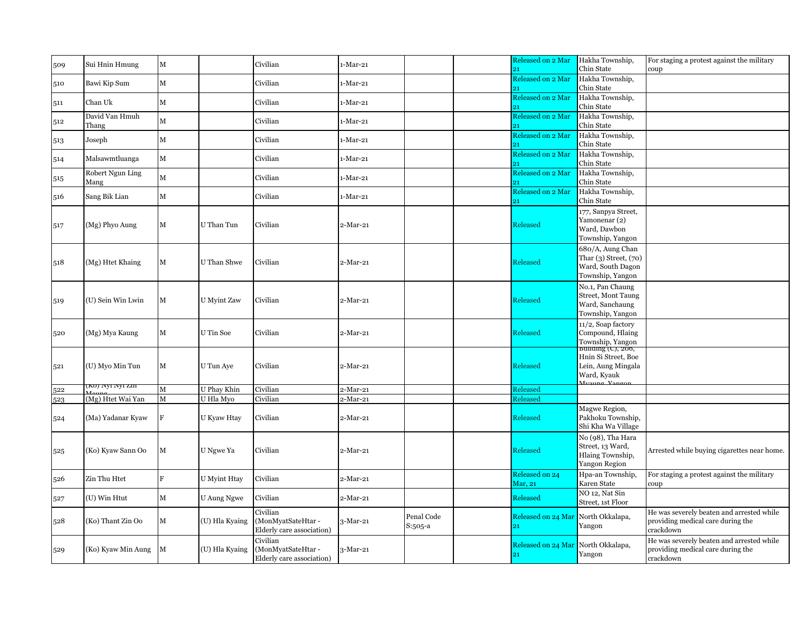| 509 | Sui Hnin Hmung          | $\mathbf M$  |                    | Civilian                                                    | 1-Mar-21   |                       | Released on 2 Mar<br>21.  | Hakha Township,<br>Chin State                                                      | For staging a protest against the military<br>coup                                          |
|-----|-------------------------|--------------|--------------------|-------------------------------------------------------------|------------|-----------------------|---------------------------|------------------------------------------------------------------------------------|---------------------------------------------------------------------------------------------|
| 510 | Bawi Kip Sum            | $\mathbf M$  |                    | Civilian                                                    | 1-Mar-21   |                       | Released on 2 Mar         | Hakha Township,<br>Chin State                                                      |                                                                                             |
|     | Chan Uk                 | $\mathbf M$  |                    | Civilian                                                    |            |                       | Released on 2 Mar         | Hakha Township,                                                                    |                                                                                             |
| 511 |                         |              |                    |                                                             | ı-Mar-21   |                       | 21                        | Chin State                                                                         |                                                                                             |
| 512 | David Van Hmuh<br>Thang | $\mathbf M$  |                    | Civilian                                                    | 1-Mar-21   |                       | Released on 2 Mar         | Hakha Township,<br>Chin State                                                      |                                                                                             |
| 513 | Joseph                  | $\mathbf M$  |                    | Civilian                                                    | 1-Mar-21   |                       | Released on 2 Mar<br>21   | Hakha Township,<br>Chin State                                                      |                                                                                             |
| 514 | Malsawmtluanga          | $\mathbf M$  |                    | Civilian                                                    | 1-Mar-21   |                       | Released on 2 Mar         | Hakha Township,<br>Chin State                                                      |                                                                                             |
| 515 | Robert Ngun Ling        | $\mathbf{M}$ |                    | Civilian                                                    | 1-Mar-21   |                       | Released on 2 Mar<br>91   | Hakha Township,<br>Chin State                                                      |                                                                                             |
|     | Mang                    |              |                    |                                                             |            |                       | Released on 2 Mar         | Hakha Township,                                                                    |                                                                                             |
| 516 | Sang Bik Lian           | $\mathbf M$  |                    | Civilian                                                    | 1-Mar-21   |                       | 21                        | Chin State                                                                         |                                                                                             |
| 517 | (Mg) Phyo Aung          | $\mathbf M$  | U Than Tun         | Civilian                                                    | 2-Mar-21   |                       | <b>Released</b>           | 177, Sanpya Street,<br>Yamonenar (2)<br>Ward, Dawbon<br>Township, Yangon           |                                                                                             |
| 518 | (Mg) Htet Khaing        | $\mathbf M$  | U Than Shwe        | Civilian                                                    | 2-Mar-21   |                       | Released                  | 680/A, Aung Chan<br>Thar (3) Street, (70)<br>Ward, South Dagon<br>Township, Yangon |                                                                                             |
| 519 | (U) Sein Win Lwin       | $\mathbf M$  | <b>U</b> Myint Zaw | Civilian                                                    | 2-Mar-21   |                       | <b>Released</b>           | No.1, Pan Chaung<br>Street, Mont Taung<br>Ward, Sanchaung<br>Township, Yangon      |                                                                                             |
| 520 | (Mg) Mya Kaung          | $\mathbf M$  | U Tin Soe          | Civilian                                                    | $2-Mar-21$ |                       | Released                  | 11/2, Soap factory<br>Compound, Hlaing<br>Township, Yangon<br>Bunding (C), 200,    |                                                                                             |
| 521 | (U) Myo Min Tun         | $\mathbf M$  | U Tun Aye          | Civilian                                                    | $2-Mar-21$ |                       | Released                  | Hnin Si Street, Boe<br>Lein, Aung Mingala<br>Ward, Kyauk<br>$M_{\text{boundary}}$  |                                                                                             |
| 522 | (KOJ IVYI IVYI ZIII     | M            | U Phay Khin        | Civilian                                                    | 2-Mar-21   |                       | Released                  |                                                                                    |                                                                                             |
| 523 | (Mg) Htet Wai Yan       | M            | U Hla Myo          | Civilian                                                    | $2-Mar-21$ |                       | Released                  |                                                                                    |                                                                                             |
| 524 | (Ma) Yadanar Kyaw       | $\mathbf F$  | U Kyaw Htay        | Civilian                                                    | 2-Mar-21   |                       | Released                  | Magwe Region,<br>Pakhoku Township,<br>Shi Kha Wa Village                           |                                                                                             |
| 525 | (Ko) Kyaw Sann Oo       | М            | U Ngwe Ya          | Civilian                                                    | 2-Mar-21   |                       | <b>Released</b>           | No (98), Tha Hara<br>Street, 13 Ward,<br>Hlaing Township,<br><b>Yangon Region</b>  | Arrested while buying cigarettes near home.                                                 |
| 526 | Zin Thu Htet            | F            | U Myint Htay       | Civilian                                                    | 2-Mar-21   |                       | Released on 24<br>Mar, 21 | Hpa-an Township,<br>Karen State                                                    | For staging a protest against the military<br>coup                                          |
| 527 | (U) Win Htut            | $\mathbf M$  | U Aung Ngwe        | Civilian                                                    | 2-Mar-21   |                       | Released                  | NO 12, Nat Sin<br>Street, 1st Floor                                                |                                                                                             |
| 528 | (Ko) Thant Zin Oo       | $\mathbf M$  | (U) Hla Kyaing     | Civilian<br>(MonMyatSateHtar -<br>Elderly care association) | $3-Mar-21$ | Penal Code<br>S:505-a | Released on 24 Mar<br>21  | North Okkalapa,<br>Yangon                                                          | He was severely beaten and arrested while<br>providing medical care during the<br>crackdown |
| 529 | (Ko) Kyaw Min Aung      | M            | (U) Hla Kyaing     | Civilian<br>(MonMyatSateHtar-<br>Elderly care association)  | $3-Mar-21$ |                       | Released on 24 Mar<br>21  | North Okkalapa,<br>Yangon                                                          | He was severely beaten and arrested while<br>providing medical care during the<br>crackdown |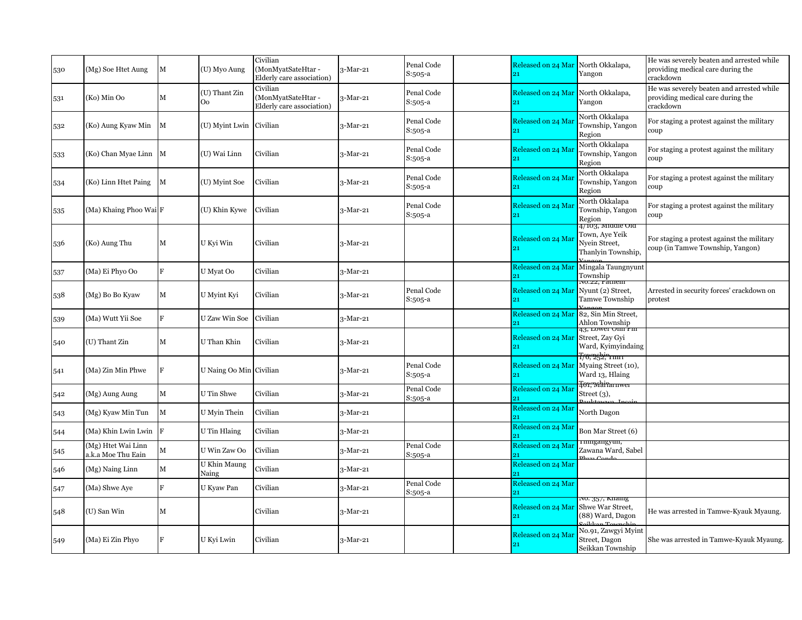| 530 | (Mg) Soe Htet Aung                       | M            | (U) Myo Aung            | Civilian<br>(MonMyatSateHtar -<br>Elderly care association) | 3-Mar-21   | Penal Code<br>S:505-a |    | Released on 24 Mar | North Okkalapa,<br>Yangon                                                                         | He was severely beaten and arrested while<br>providing medical care during the<br>crackdown |
|-----|------------------------------------------|--------------|-------------------------|-------------------------------------------------------------|------------|-----------------------|----|--------------------|---------------------------------------------------------------------------------------------------|---------------------------------------------------------------------------------------------|
| 531 | (Ko) Min Oo                              | $\mathbf M$  | (U) Thant Zin<br>Oo.    | Civilian<br>(MonMyatSateHtar-<br>Elderly care association)  | 3-Mar-21   | Penal Code<br>S:505-a | 91 | Released on 24 Mar | North Okkalapa,<br>Yangon                                                                         | He was severely beaten and arrested while<br>providing medical care during the<br>crackdown |
| 532 | (Ko) Aung Kyaw Min                       | M            | (U) Myint Lwin          | Civilian                                                    | 3-Mar-21   | Penal Code<br>S:505-a |    | Released on 24 Mai | North Okkalapa<br>Township, Yangon<br>Region                                                      | For staging a protest against the military<br>coup                                          |
| 533 | (Ko) Chan Myae Linn M                    |              | (U) Wai Linn            | Civilian                                                    | 3-Mar-21   | Penal Code<br>S:505-a |    | Released on 24 Mar | North Okkalapa<br>Township, Yangon<br>Region                                                      | For staging a protest against the military<br>coup                                          |
| 534 | (Ko) Linn Htet Paing                     | $\mathbf{M}$ | (U) Myint Soe           | Civilian                                                    | 3-Mar-21   | Penal Code<br>S:505-a |    | Released on 24 Mai | North Okkalapa<br>Township, Yangon<br>Region                                                      | For staging a protest against the military<br>coup                                          |
| 535 | (Ma) Khaing Phoo Wai F                   |              | (U) Khin Kywe           | Civilian                                                    | 3-Mar-21   | Penal Code<br>S:505-a | 21 | Released on 24 Mar | North Okkalapa<br>Township, Yangon<br>Region                                                      | For staging a protest against the military<br>coup                                          |
| 536 | (Ko) Aung Thu                            | $\mathbf M$  | U Kyi Win               | Civilian                                                    | 3-Mar-21   |                       |    | Released on 24 Mai | 4/103, Miaale Ola<br>Town, Aye Yeik<br>Nyein Street,<br>Thanlyin Township,                        | For staging a protest against the military<br>coup (in Tamwe Township, Yangon)              |
| 537 | (Ma) Ei Phyo Oo                          | $\mathbf F$  | U Myat Oo               | Civilian                                                    | $3-Mar-21$ |                       | 21 | Released on 24 Mar | Mingala Taungnyunt<br>Township                                                                    |                                                                                             |
| 538 | (Mg) Bo Bo Kyaw                          | $\mathbf M$  | U Myint Kyi             | Civilian                                                    | 3-Mar-21   | Penal Code<br>S:505-a | 21 | Released on 24 Mar | no.22, ràthein<br>Nyunt (2) Street,<br>Tamwe Township                                             | Arrested in security forces' crackdown on<br>protest                                        |
| 539 | (Ma) Wutt Yii Soe                        | F            | U Zaw Win Soe           | Civilian                                                    | $3-Mar-21$ |                       |    | Released on 24 Mar | 82, Sin Min Street,<br>Ahlon Township                                                             |                                                                                             |
| 540 | (U) Thant Zin                            | $\mathbf M$  | U Than Khin             | Civilian                                                    | 3-Mar-21   |                       | 21 | Released on 24 Mar | <del>13, Lower Omn Pm</del><br>Street, Zay Gyi<br>Ward, Kyimyindaing<br><del>178;"252;"1 mm</del> |                                                                                             |
| 541 | (Ma) Zin Min Phwe                        | F            | U Naing Oo Min Civilian |                                                             | 3-Mar-21   | Penal Code<br>S:505-a | 21 | Released on 24 Mar | Myaing Street (10),<br>Ward 13, Hlaing<br>Tor, whiramwe                                           |                                                                                             |
| 542 | (Mg) Aung Aung                           | $\mathbf M$  | U Tin Shwe              | Civilian                                                    | $3-Mar-21$ | Penal Code<br>S:505-a |    | Released on 24 Mar | Street $(3)$ ,                                                                                    |                                                                                             |
| 543 | (Mg) Kyaw Min Tun                        | M            | U Myin Thein            | Civilian                                                    | 3-Mar-21   |                       |    | Released on 24 Mar | North Dagon                                                                                       |                                                                                             |
| 544 | (Ma) Khin Lwin Lwin F                    |              | U Tin Hlaing            | Civilian                                                    | 3-Mar-21   |                       | 21 | Released on 24 Mar | Bon Mar Street (6)                                                                                |                                                                                             |
| 545 | (Mg) Htet Wai Linn<br>a.k.a Moe Thu Eain | М            | U Win Zaw Oo            | Civilian                                                    | 3-Mar-21   | Penal Code<br>S:505-a | 21 | Released on 24 Mar | rmngangyun,<br>Zawana Ward, Sabel                                                                 |                                                                                             |
| 546 | (Mg) Naing Linn                          | $\mathbf M$  | U Khin Maung<br>Naing   | Civilian                                                    | 3-Mar-21   |                       |    | Released on 24 Mar |                                                                                                   |                                                                                             |
| 547 | (Ma) Shwe Aye                            | F            | U Kyaw Pan              | Civilian                                                    | 3-Mar-21   | Penal Code<br>S:505-a | 21 | Released on 24 Mar |                                                                                                   |                                                                                             |
| 548 | (U) San Win                              | M            |                         | Civilian                                                    | $3-Mar-21$ |                       | 21 | Released on 24 Mar | vo. 357, кнаш <u>g</u><br>Shwe War Street,<br>(88) Ward, Dagon                                    | He was arrested in Tamwe-Kyauk Myaung.                                                      |
| 549 | (Ma) Ei Zin Phyo                         | F            | U Kyi Lwin              | Civilian                                                    | $3-Mar-21$ |                       | 21 | Released on 24 Mar | No.91, Zawgyi Myint<br>Street, Dagon<br>Seikkan Township                                          | She was arrested in Tamwe-Kyauk Myaung.                                                     |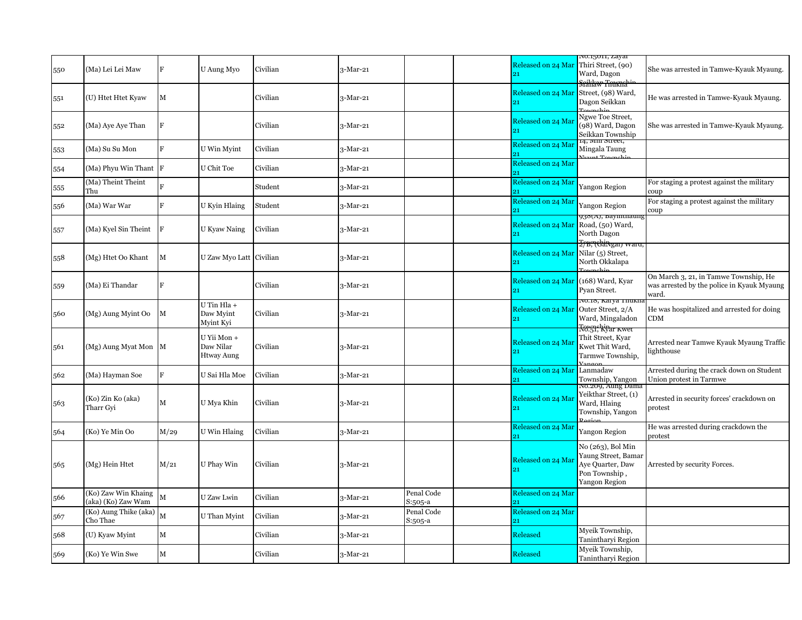|     |                                           |                |                                               |          |          |                       |                          | ло.15011, <i>д</i> ауаг                                                                            |                                                                                              |
|-----|-------------------------------------------|----------------|-----------------------------------------------|----------|----------|-----------------------|--------------------------|----------------------------------------------------------------------------------------------------|----------------------------------------------------------------------------------------------|
| 550 | (Ma) Lei Lei Maw                          | F              | U Aung Myo                                    | Civilian | 3-Mar-21 |                       | Released on 24 Mar<br>21 | Thiri Street, (90)<br>Ward, Dagon<br><del>.<br/>Seikkav Touknabir</del>                            | She was arrested in Tamwe-Kyauk Myaung.                                                      |
| 551 | (U) Htet Htet Kyaw                        | M              |                                               | Civilian | 3-Mar-21 |                       | Released on 24 Mar<br>91 | Street, (98) Ward,<br>Dagon Seikkan                                                                | He was arrested in Tamwe-Kyauk Myaung.                                                       |
| 552 | (Ma) Aye Aye Than                         | F              |                                               | Civilian | 3-Mar-21 |                       | Released on 24 Mar<br>91 | Ngwe Toe Street,<br>98) Ward, Dagon<br>Seikkan Township                                            | She was arrested in Tamwe-Kyauk Myaung.                                                      |
| 553 | (Ma) Su Su Mon                            | $\overline{R}$ | U Win Myint                                   | Civilian | 3-Mar-21 |                       | Released on 24 Mar       | Mingala Taung                                                                                      |                                                                                              |
| 554 | (Ma) Phyu Win Thant F                     |                | U Chit Toe                                    | Civilian | 3-Mar-21 |                       | Released on 24 Mar       |                                                                                                    |                                                                                              |
| 555 | (Ma) Theint Theint<br>Thu                 |                |                                               | Student  | 3-Mar-21 |                       | Released on 24 Mar<br>21 | Yangon Region                                                                                      | For staging a protest against the military<br>coup                                           |
| 556 | (Ma) War War                              | F              | U Kyin Hlaing                                 | Student  | 3-Mar-21 |                       | Released on 24 Mar       | Yangon Region                                                                                      | For staging a protest against the military<br>coup                                           |
| 557 | (Ma) Kyel Sin Theint                      | IF             | U Kyaw Naing                                  | Civilian | 3-Mar-21 |                       | Released on 24 Mar<br>21 | 938(A), bayınınatıng<br>Road, (50) Ward,<br>North Dagon                                            |                                                                                              |
| 558 | (Mg) Htet Oo Khant                        | M              | U Zaw Myo Latt Civilian                       |          | 3-Mar-21 |                       | Released on 24 Mar<br>21 | <del>Z⁄B, (chiNgar) waru,</del><br>Nilar (5) Street,<br>North Okkalapa                             |                                                                                              |
| 559 | (Ma) Ei Thandar                           | F              |                                               | Civilian | 3-Mar-21 |                       | Released on 24 Mar       | (168) Ward, Kyar<br>Pyan Street.                                                                   | On March 3, 21, in Tamwe Township, He<br>was arrested by the police in Kyauk Myaung<br>ward. |
| 560 | (Mg) Aung Myint Oo                        | M              | U Tin Hla +<br>Daw Myint<br>Myint Kyi         | Civilian | 3-Mar-21 |                       | Released on 24 Mar       | <u>ло.18, кагуа тпикп</u><br>Outer Street, 2/A<br>Ward, Mingaladon<br><del>Torgi, kiyar Kwet</del> | He was hospitalized and arrested for doing<br>CDM                                            |
| 561 | (Mg) Aung Myat Mon   M                    |                | U Yii Mon +<br>Daw Nilar<br><b>Htway Aung</b> | Civilian | 3-Mar-21 |                       | Released on 24 Mai<br>91 | Thit Street, Kvar<br>Kwet Thit Ward,<br>Tarmwe Township,                                           | Arrested near Tamwe Kyauk Myaung Traffic<br>lighthouse                                       |
| 562 | (Ma) Hayman Soe                           | F              | U Sai Hla Moe                                 | Civilian | 3-Mar-21 |                       | Released on 24 Mar       | Lanmadaw<br>Township, Yangon<br>No.209, Aung Dam                                                   | Arrested during the crack down on Student<br>Union protest in Tarmwe                         |
| 563 | (Ko) Zin Ko (aka)<br>Tharr Gyi            | $\mathbf M$    | U Mya Khin                                    | Civilian | 3-Mar-21 |                       | Released on 24 Mai<br>21 | Yeikthar Street, (1)<br>Ward, Hlaing<br>Township, Yangon                                           | Arrested in security forces' crackdown on<br>protest                                         |
| 564 | (Ko) Ye Min Oo                            | M/29           | U Win Hlaing                                  | Civilian | 3-Mar-21 |                       | Released on 24 Mar<br>91 | Yangon Region                                                                                      | He was arrested during crackdown the<br>protest                                              |
| 565 | (Mg) Hein Htet                            | M/21           | U Phay Win                                    | Civilian | 3-Mar-21 |                       | Released on 24 Mai       | No (263), Bol Min<br>Yaung Street, Bamar<br>Aye Quarter, Daw<br>Pon Township,<br>Yangon Region     | Arrested by security Forces.                                                                 |
| 566 | (Ko) Zaw Win Khaing<br>(aka) (Ko) Zaw Wam | M              | U Zaw Lwin                                    | Civilian | 3-Mar-21 | Penal Code<br>S:505-a | Released on 24 Mar       |                                                                                                    |                                                                                              |
| 567 | (Ko) Aung Thike (aka)<br>Cho Thae         | M              | U Than Myint                                  | Civilian | 3-Mar-21 | Penal Code<br>S:505-a | Released on 24 Mar       |                                                                                                    |                                                                                              |
| 568 | (U) Kyaw Myint                            | $\mathbf M$    |                                               | Civilian | 3-Mar-21 |                       | Released                 | Myeik Township,<br>Tanintharyi Region                                                              |                                                                                              |
| 569 | (Ko) Ye Win Swe                           | $\mathbf M$    |                                               | Civilian | 3-Mar-21 |                       | Released                 | Myeik Township,<br>Tanintharyi Region                                                              |                                                                                              |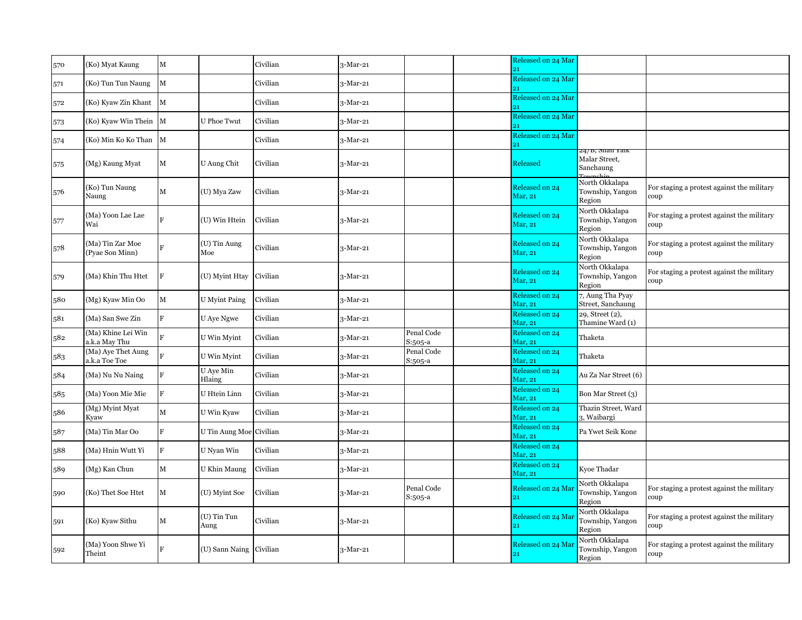| 570 | (Ko) Myat Kaung                     | $\mathbf M$             |                         | Civilian | $3-Mar-21$ |                         | Released on 24 Mar<br>21  |                                                           |                                                    |
|-----|-------------------------------------|-------------------------|-------------------------|----------|------------|-------------------------|---------------------------|-----------------------------------------------------------|----------------------------------------------------|
| 571 | (Ko) Tun Tun Naung                  | $\mathbf M$             |                         | Civilian | 3-Mar-21   |                         | Released on 24 Mar        |                                                           |                                                    |
| 572 | (Ko) Kyaw Zin Khant                 | M                       |                         | Civilian | 3-Mar-21   |                         | Released on 24 Mar        |                                                           |                                                    |
| 573 | (Ko) Kyaw Win Thein M               |                         | <b>U</b> Phoe Twut      | Civilian | 3-Mar-21   |                         | Released on 24 Mar        |                                                           |                                                    |
| 574 | (Ko) Min Ko Ko Than M               |                         |                         | Civilian | $3-Mar-21$ |                         | Released on 24 Mar        |                                                           |                                                    |
| 575 | (Mg) Kaung Myat                     | $\mathbf M$             | U Aung Chit             | Civilian | 3-Mar-21   |                         | Released                  | 24/b, Snan Yaik<br>Malar Street,<br>Sanchaung<br>Townshir |                                                    |
| 576 | (Ko) Tun Naung<br>Naung             | $\mathbf M$             | (U) Mya Zaw             | Civilian | 3-Mar-21   |                         | Released on 24<br>Mar, 21 | North Okkalapa<br>Township, Yangon<br>Region              | For staging a protest against the military<br>coup |
| 577 | (Ma) Yoon Lae Lae<br>Wai            | $\overline{\mathbf{E}}$ | (U) Win Htein           | Civilian | $3-Mar-21$ |                         | Released on 24<br>Mar, 21 | North Okkalapa<br>Township, Yangon<br>Region              | For staging a protest against the military<br>coup |
| 578 | (Ma) Tin Zar Moe<br>(Pyae Son Minn) |                         | (U) Tin Aung<br>Moe     | Civilian | $3-Mar-21$ |                         | Released on 24<br>Mar, 21 | North Okkalapa<br>Township, Yangon<br>Region              | For staging a protest against the military<br>coup |
| 579 | (Ma) Khin Thu Htet                  | lF                      | (U) Myint Htay          | Civilian | 3-Mar-21   |                         | Released on 24<br>Mar, 21 | North Okkalapa<br>Township, Yangon<br>Region              | For staging a protest against the military<br>coup |
| 580 | (Mg) Kyaw Min Oo                    | $\mathbf M$             | U Myint Paing           | Civilian | 3-Mar-21   |                         | Released on 24<br>Mar, 21 | 7, Aung Tha Pyay<br>Street, Sanchaung                     |                                                    |
| 581 | (Ma) San Swe Zin                    | $\mathbf{F}$            | U Aye Ngwe              | Civilian | 3-Mar-21   |                         | Released on 24<br>Mar, 21 | 29, Street (2),<br>Thamine Ward (1)                       |                                                    |
| 582 | (Ma) Khine Lei Win<br>a.k.a May Thu |                         | U Win Myint             | Civilian | 3-Mar-21   | Penal Code<br>S:505-a   | Released on 24<br>Mar, 21 | Thaketa                                                   |                                                    |
| 583 | (Ma) Aye Thet Aung<br>a.k.a Toe Toe |                         | U Win Myint             | Civilian | $3-Mar-21$ | Penal Code<br>S:505-a   | Released on 24<br>Mar, 21 | Thaketa                                                   |                                                    |
| 584 | (Ma) Nu Nu Naing                    | F                       | U Aye Min<br>Hlaing     | Civilian | 3-Mar-21   |                         | Released on 24<br>Mar, 21 | Au Za Nar Street (6)                                      |                                                    |
| 585 | (Ma) Yoon Mie Mie                   | R                       | U Htein Linn            | Civilian | 3-Mar-21   |                         | Released on 24<br>Mar, 21 | Bon Mar Street (3)                                        |                                                    |
| 586 | (Mg) Myint Myat<br>Kyaw             | $\mathbf M$             | U Win Kyaw              | Civilian | 3-Mar-21   |                         | Released on 24<br>Mar, 21 | Thazin Street, Ward<br>3, Waibargi                        |                                                    |
| 587 | (Ma) Tin Mar Oo                     | F                       | U Tin Aung Moe Civilian |          | $3-Mar-21$ |                         | Released on 24<br>Mar, 21 | Pa Ywet Seik Kone                                         |                                                    |
| 588 | (Ma) Hnin Wutt Yi                   | F                       | U Nyan Win              | Civilian | $3-Mar-21$ |                         | Released on 24<br>Mar, 21 |                                                           |                                                    |
| 589 | (Mg) Kan Chun                       | M                       | U Khin Maung            | Civilian | 3-Mar-21   |                         | Released on 24<br>Mar, 21 | Kyoe Thadar                                               |                                                    |
| 590 | (Ko) Thet Soe Htet                  | $\mathbf M$             | (U) Myint Soe           | Civilian | $3-Mar-21$ | Penal Code<br>$S:505-a$ | Released on 24 Ma<br>21   | North Okkalapa<br>Township, Yangon<br>Region              | For staging a protest against the military<br>coup |
| 591 | (Ko) Kyaw Sithu                     | $\mathbf M$             | (U) Tin Tun<br>Aung     | Civilian | 3-Mar-21   |                         | Released on 24 Mai<br>21  | North Okkalapa<br>Township, Yangon<br>Region              | For staging a protest against the military<br>coup |
| 592 | (Ma) Yoon Shwe Yi<br>Theint         | F                       | (U) Sann Naing          | Civilian | $3-Mar-21$ |                         | Released on 24 Mar<br>21  | North Okkalapa<br>Township, Yangon<br>Region              | For staging a protest against the military<br>coup |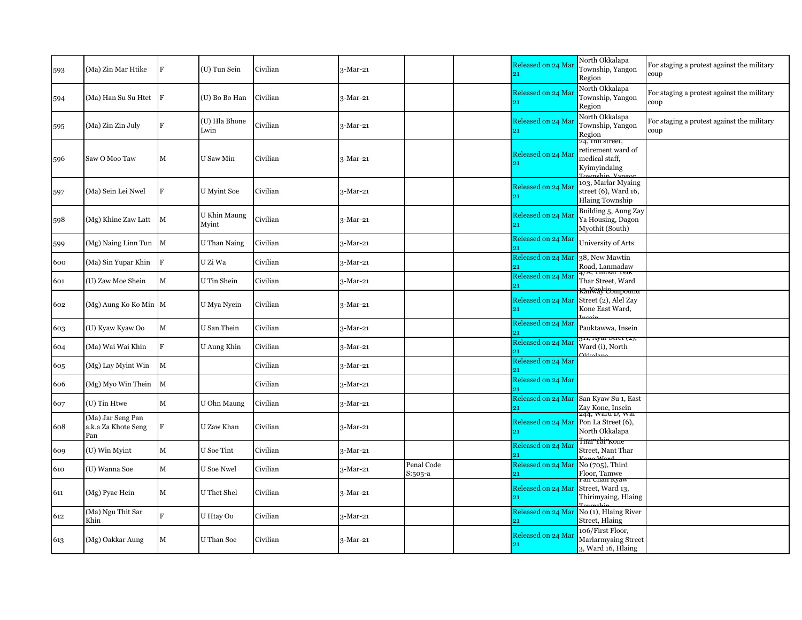| 593 | (Ma) Zin Mar Htike                              | l F          | (U) Tun Sein          | Civilian | 3-Mar-21   |                       | Released on 24 Mar       | North Okkalapa<br>Township, Yangon<br>Region                               | For staging a protest against the military<br>coup |
|-----|-------------------------------------------------|--------------|-----------------------|----------|------------|-----------------------|--------------------------|----------------------------------------------------------------------------|----------------------------------------------------|
| 594 | (Ma) Han Su Su Htet                             | - IF         | (U) Bo Bo Han         | Civilian | $3-Mar-21$ |                       | Released on 24 Mai<br>21 | North Okkalapa<br>Township, Yangon<br>Region                               | For staging a protest against the military<br>coup |
| 595 | (Ma) Zin Zin July                               | $\mathbf F$  | (U) Hla Bhone<br>Lwin | Civilian | 3-Mar-21   |                       | Released on 24 Mar<br>91 | North Okkalapa<br>Township, Yangon<br>Region                               | For staging a protest against the military<br>coup |
| 596 | Saw O Moo Taw                                   | M            | U Saw Min             | Civilian | $3-Mar-21$ |                       | Released on 24 Ma<br>21  | 24, Inn street,<br>retirement ward of<br>medical staff,<br>Kyimyindaing    |                                                    |
| 597 | (Ma) Sein Lei Nwel                              | F            | U Myint Soe           | Civilian | $3-Mar-21$ |                       | Released on 24 Mai<br>21 | 103, Marlar Myaing<br>street $(6)$ , Ward $16$ ,<br><b>Hlaing Township</b> |                                                    |
| 598 | (Mg) Khine Zaw Latt                             | $\mathbf{M}$ | U Khin Maung<br>Myint | Civilian | $3-Mar-21$ |                       | Released on 24 Ma        | Building 5, Aung Zay<br>Ya Housing, Dagon<br>Myothit (South)               |                                                    |
| 599 | (Mg) Naing Linn Tun M                           |              | U Than Naing          | Civilian | 3-Mar-21   |                       | Released on 24 Mar       | University of Arts                                                         |                                                    |
| 600 | (Ma) Sin Yupar Khin                             | IF.          | U Zi Wa               | Civilian | $3-Mar-21$ |                       | Released on 24 Mar       | 38, New Mawtin<br>Road, Lanmadaw                                           |                                                    |
| 601 | (U) Zaw Moe Shein                               | $\mathbf M$  | U Tin Shein           | Civilian | $3-Mar-21$ |                       | Released on 24 Mar       | 4/ <del>л, іш</del> ізаг геік<br>Thar Street, Ward                         |                                                    |
| 602 | (Mg) Aung Ko Ko Min M                           |              | U Mya Nyein           | Civilian | $3-Mar-21$ |                       | Released on 24 Mar<br>21 | <del>RanWay Compound</del><br>Street (2), Alel Zay<br>Kone East Ward,      |                                                    |
| 603 | (U) Kyaw Kyaw Oo                                | $\mathbf M$  | U San Thein           | Civilian | 3-Mar-21   |                       | Released on 24 Mar       | Pauktawwa, Insein                                                          |                                                    |
| 604 | (Ma) Wai Wai Khin                               | F            | U Aung Khin           | Civilian | 3-Mar-21   |                       | Released on 24 Mar       | 511, Ayar Stiet (2 <i>)</i> ,<br>Ward (i), North                           |                                                    |
| 605 | (Mg) Lay Myint Win                              | M            |                       | Civilian | $3-Mar-21$ |                       | Released on 24 Mar<br>21 |                                                                            |                                                    |
| 606 | (Mg) Myo Win Thein                              | $\mathbf{M}$ |                       | Civilian | 3-Mar-21   |                       | Released on 24 Mar<br>21 |                                                                            |                                                    |
| 607 | (U) Tin Htwe                                    | $\mathbf M$  | U Ohn Maung           | Civilian | 3-Mar-21   |                       | Released on 24 Mar       | San Kyaw Su 1, East<br>Zay Kone, Insein                                    |                                                    |
| 608 | (Ma) Jar Seng Pan<br>a.k.a Za Khote Seng<br>Pan | ΙF           | U Zaw Khan            | Civilian | 3-Mar-21   |                       | Released on 24 Mar<br>91 | <del>244, waru D, wa</del> r<br>Pon La Street (6),<br>North Okkalapa       |                                                    |
| 609 | (U) Win Myint                                   | $\mathbf M$  | U Soe Tint            | Civilian | $3-Mar-21$ |                       | Released on 24 Mar       | Tnurrhirkone<br>Street, Nant Thar                                          |                                                    |
| 610 | (U) Wanna Soe                                   | $\mathbf M$  | <b>U</b> Soe Nwel     | Civilian | 3-Mar-21   | Penal Code<br>S:505-a | Released on 24 Mar       | $No(705)$ , Third<br>Floor. Tamwe                                          |                                                    |
| 611 | (Mg) Pyae Hein                                  | $\mathbf M$  | <b>U</b> Thet Shel    | Civilian | $3-Mar-21$ |                       | Released on 24 Mar       | ran Unan Kyaw<br>Street, Ward 13,<br>Thirimyaing, Hlaing                   |                                                    |
| 612 | (Ma) Ngu Thit Sar<br>Khin                       | $\mathbf{F}$ | U Htay Oo             | Civilian | $3-Mar-21$ |                       | 91                       | Released on 24 Mar No (1), Hlaing River<br>Street, Hlaing                  |                                                    |
| 613 | (Mg) Oakkar Aung                                | $\mathbf M$  | U Than Soe            | Civilian | 3-Mar-21   |                       | Released on 24 Mar<br>21 | 106/First Floor,<br>Marlarmyaing Street<br>3, Ward 16, Hlaing              |                                                    |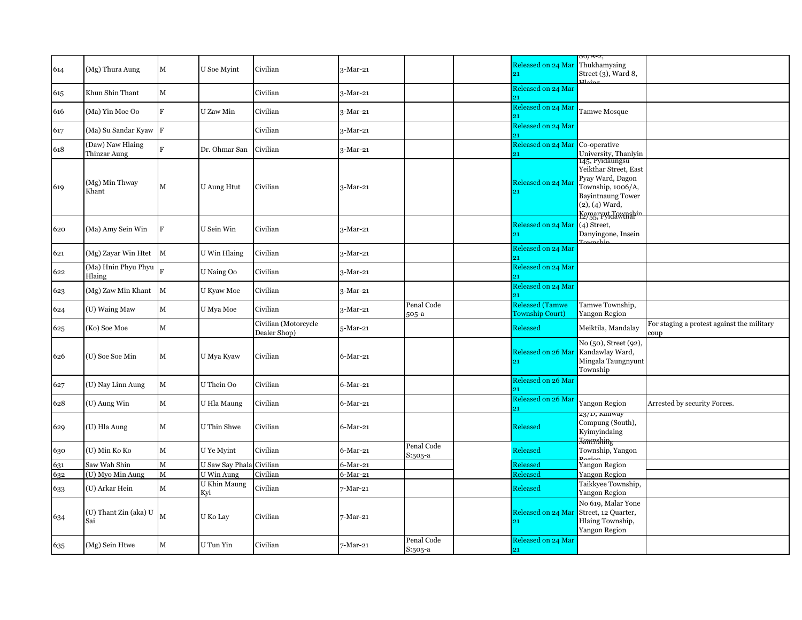| 614 | (Mg) Thura Aung                  | $\mathbf M$  | U Soe Myint         | Civilian                             | $3-Mar-21$  |                         | Released on 24 Mar<br>21                         | 80/A-2,<br>Thukhamyaing<br>Street $(3)$ , Ward 8,                                                                                                      |                                                    |
|-----|----------------------------------|--------------|---------------------|--------------------------------------|-------------|-------------------------|--------------------------------------------------|--------------------------------------------------------------------------------------------------------------------------------------------------------|----------------------------------------------------|
| 615 | Khun Shin Thant                  | $\mathbf M$  |                     | Civilian                             | 3-Mar-21    |                         | Released on 24 Mar                               |                                                                                                                                                        |                                                    |
| 616 | (Ma) Yin Moe Oo                  | F            | U Zaw Min           | Civilian                             | 3-Mar-21    |                         | Released on 24 Mar<br>91                         | Tamwe Mosque                                                                                                                                           |                                                    |
| 617 | (Ma) Su Sandar Kyaw F            |              |                     | Civilian                             | 3-Mar-21    |                         | Released on 24 Mar<br>21                         |                                                                                                                                                        |                                                    |
| 618 | (Daw) Naw Hlaing<br>Thinzar Aung | $\mathbf{F}$ | Dr. Ohmar San       | Civilian                             | 3-Mar-21    |                         | Released on 24 Mar<br>21                         | Co-operative<br>University, Thanlyin                                                                                                                   |                                                    |
| 619 | (Mg) Min Thway<br>Khant          | $\mathbf M$  | <b>U</b> Aung Htut  | Civilian                             | $3-Mar-21$  |                         | Released on 24 Mar                               | 145, Pyidaungsu<br>Yeikthar Street, East<br>Pyay Ward, Dagon<br>Township, 1006/A,<br><b>Bayintnaung Tower</b><br>$(2), (4)$ Ward,<br>Kamaryut Tawnshin |                                                    |
| 620 | (Ma) Amy Sein Win                | F            | U Sein Win          | Civilian                             | 3-Mar-21    |                         | Released on 24 Mar<br>21                         | $(4)$ Street,<br>Danyingone, Insein                                                                                                                    |                                                    |
| 621 | (Mg) Zayar Win Htet              | $\mathbf{M}$ | U Win Hlaing        | Civilian                             | 3-Mar-21    |                         | Released on 24 Mar                               |                                                                                                                                                        |                                                    |
| 622 | (Ma) Hnin Phyu Phyu<br>Hlaing    |              | U Naing Oo          | Civilian                             | $3-Mar-21$  |                         | Released on 24 Mar<br>21                         |                                                                                                                                                        |                                                    |
| 623 | (Mg) Zaw Min Khant M             |              | U Kyaw Moe          | Civilian                             | 3-Mar-21    |                         | Released on 24 Mar<br>21                         |                                                                                                                                                        |                                                    |
| 624 | (U) Waing Maw                    | $\mathbf M$  | U Mya Moe           | Civilian                             | 3-Mar-21    | Penal Code<br>505-a     | <b>Released (Tamwe</b><br><b>Township Court)</b> | Tamwe Township,<br><b>Yangon Region</b>                                                                                                                |                                                    |
| 625 | (Ko) Soe Moe                     | $\mathbf M$  |                     | Civilian (Motorcycle<br>Dealer Shop) | 5-Mar-21    |                         | Released                                         | Meiktila, Mandalay                                                                                                                                     | For staging a protest against the military<br>coup |
| 626 | (U) Soe Soe Min                  | $\mathbf M$  | U Mya Kyaw          | Civilian                             | $6$ -Mar-21 |                         | Released on 26 Mar<br>21                         | No (50), Street (92),<br>Kandawlay Ward,<br>Mingala Taungnyunt<br>Township                                                                             |                                                    |
| 627 | (U) Nay Linn Aung                | M            | U Thein Oo          | Civilian                             | $6$ -Mar-21 |                         | Released on 26 Mar<br>21                         |                                                                                                                                                        |                                                    |
| 628 | (U) Aung Win                     | $\mathbf M$  | U Hla Maung         | Civilian                             | $6$ -Mar-21 |                         | Released on 26 Mar<br>21                         | Yangon Region                                                                                                                                          | Arrested by security Forces.                       |
| 629 | (U) Hla Aung                     | $\mathbf M$  | U Thin Shwe         | Civilian                             | $6$ -Mar-21 |                         | Released                                         | 23/1, Kaliway<br>Compung (South),<br>Kyimyindaing<br><b>Sanculating</b>                                                                                |                                                    |
| 630 | (U) Min Ko Ko                    | $\mathbf M$  | U Ye Myint          | Civilian                             | $6$ -Mar-21 | Penal Code<br>S:505-a   | <b>Released</b>                                  | Township, Yangon                                                                                                                                       |                                                    |
| 631 | Saw Wah Shin                     | $\mathbf M$  | U Saw Say Phala     | Civilian                             | $6$ -Mar-21 |                         | Released                                         | Yangon Region                                                                                                                                          |                                                    |
| 632 | (U) Myo Min Aung                 | $\mathbf M$  | U Win Aung          | Civilian                             | $6$ -Mar-21 |                         | Released                                         | Yangon Region                                                                                                                                          |                                                    |
| 633 | (U) Arkar Hein                   | $\mathbf M$  | U Khin Maung<br>Kvi | Civilian                             | 7-Mar-21    |                         | Released                                         | Taikkyee Township,<br>Yangon Region                                                                                                                    |                                                    |
| 634 | (U) Thant Zin (aka) U<br>Sai     | M            | U Ko Lay            | Civilian                             | 7-Mar-21    |                         | Released on 24 Mai<br>21                         | No 619, Malar Yone<br>Street, 12 Quarter,<br>Hlaing Township,<br>Yangon Region                                                                         |                                                    |
| 635 | (Mg) Sein Htwe                   | M            | U Tun Yin           | Civilian                             | 7-Mar-21    | Penal Code<br>$S:505-a$ | Released on 24 Mar<br>21                         |                                                                                                                                                        |                                                    |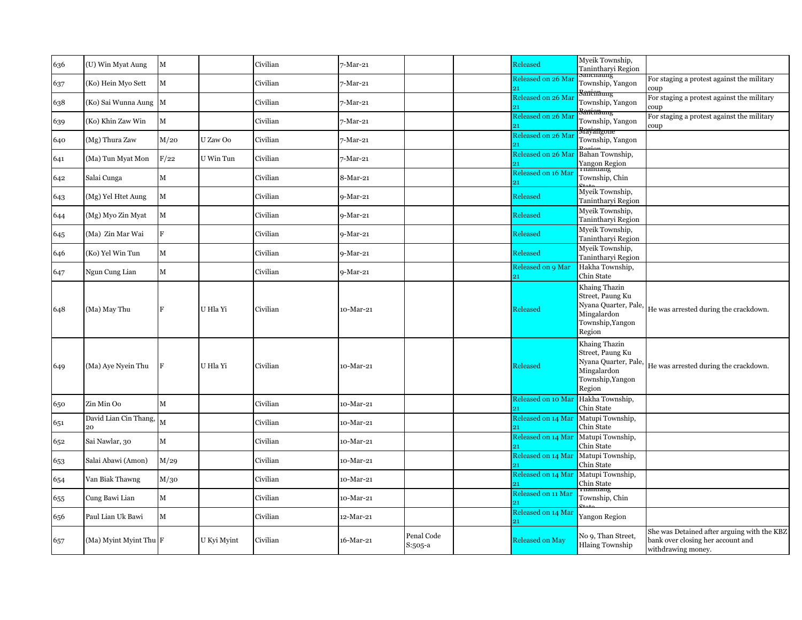| 636 | (U) Win Myat Aung           | M            |             | Civilian | 7-Mar-21   |                       | Released                 | Myeik Township,<br>Tanintharyi Region<br>Sanchaung                                                     |                                                                                                        |
|-----|-----------------------------|--------------|-------------|----------|------------|-----------------------|--------------------------|--------------------------------------------------------------------------------------------------------|--------------------------------------------------------------------------------------------------------|
| 637 | (Ko) Hein Myo Sett          | M            |             | Civilian | 7-Mar-21   |                       | Released on 26 Mai<br>21 | Township, Yangon                                                                                       | For staging a protest against the military<br>coup                                                     |
| 638 | (Ko) Sai Wunna Aung M       |              |             | Civilian | 7-Mar-21   |                       | Released on 26 Mar       | <del>Sanċnaung</del><br>Township, Yangon                                                               | For staging a protest against the military<br>coup                                                     |
| 639 | (Ko) Khin Zaw Win           | $\mathbf M$  |             | Civilian | 7-Mar-21   |                       | Released on 26 Mar<br>91 | <del>3animaung</del><br>Township, Yangon                                                               | For staging a protest against the military<br>coup                                                     |
| 640 | (Mg) Thura Zaw              | M/20         | U Zaw Oo    | Civilian | 7-Mar-21   |                       | Released on 26 Mar<br>21 | <del>Mayangone</del><br>Township, Yangon                                                               |                                                                                                        |
| 641 | (Ma) Tun Myat Mon           | F/22         | U Win Tun   | Civilian | 7-Mar-21   |                       | Released on 26 Mar<br>21 | Bahan Township,<br>Yangon Region                                                                       |                                                                                                        |
| 642 | Salai Cunga                 | $\mathbf M$  |             | Civilian | 8-Mar-21   |                       | Released on 16 Mar<br>21 | Township, Chin                                                                                         |                                                                                                        |
| 643 | (Mg) Yel Htet Aung          | M            |             | Civilian | 9-Mar-21   |                       | Released                 | Myeik Township,<br>Tanintharyi Region                                                                  |                                                                                                        |
| 644 | (Mg) Myo Zin Myat           | $\mathbf M$  |             | Civilian | 9-Mar-21   |                       | Released                 | Myeik Township,<br>Tanintharyi Region                                                                  |                                                                                                        |
| 645 | (Ma) Zin Mar Wai            | F            |             | Civilian | 9-Mar-21   |                       | Released                 | Myeik Township,<br>Tanintharyi Region                                                                  |                                                                                                        |
| 646 | (Ko) Yel Win Tun            | $\mathbf M$  |             | Civilian | 9-Mar-21   |                       | Released                 | Myeik Township,<br>Tanintharyi Region                                                                  |                                                                                                        |
| 647 | Ngun Cung Lian              | $\mathbf M$  |             | Civilian | $9-Mar-21$ |                       | Released on 9 Mar<br>21  | Hakha Township,<br>Chin State                                                                          |                                                                                                        |
| 648 | (Ma) May Thu                | F            | U Hla Yi    | Civilian | 10-Mar-21  |                       | Released                 | Khaing Thazin<br>Street, Paung Ku<br>Nyana Quarter, Pale,<br>Mingalardon<br>Township, Yangon<br>Region | He was arrested during the crackdown.                                                                  |
| 649 | (Ma) Aye Nyein Thu          | F            | U Hla Yi    | Civilian | 10-Mar-21  |                       | Released                 | Khaing Thazin<br>Street, Paung Ku<br>Nyana Quarter, Pale,<br>Mingalardon<br>Township, Yangon<br>Region | He was arrested during the crackdown.                                                                  |
| 650 | Zin Min Oo                  | $\mathbf{M}$ |             | Civilian | 10-Mar-21  |                       | Released on 10 Mar<br>21 | Hakha Township,<br>Chin State                                                                          |                                                                                                        |
| 651 | David Lian Cin Thang,<br>20 | M            |             | Civilian | 10-Mar-21  |                       | Released on 14 Mar       | Matupi Township,<br>Chin State                                                                         |                                                                                                        |
| 652 | Sai Nawlar, 30              | $\mathbf M$  |             | Civilian | 10-Mar-21  |                       | Released on 14 Mar       | Matupi Township,<br>Chin State                                                                         |                                                                                                        |
| 653 | Salai Abawi (Amon)          | M/29         |             | Civilian | 10-Mar-21  |                       | Released on 14 Mar       | Matupi Township,<br>Chin State                                                                         |                                                                                                        |
| 654 | Van Biak Thawng             | M/30         |             | Civilian | 10-Mar-21  |                       | Released on 14 Mar       | Matupi Township,<br>Chin State                                                                         |                                                                                                        |
| 655 | Cung Bawi Lian              | $\mathbf M$  |             | Civilian | 10-Mar-21  |                       | Released on 11 Mar<br>21 | паппанд<br>Township, Chin                                                                              |                                                                                                        |
| 656 | Paul Lian Uk Bawi           | M            |             | Civilian | 12-Mar-21  |                       | Released on 14 Mar<br>21 | Yangon Region                                                                                          |                                                                                                        |
| 657 | (Ma) Myint Myint Thu F      |              | U Kyi Myint | Civilian | 16-Mar-21  | Penal Code<br>S:505-a | <b>Released on May</b>   | No 9, Than Street,<br><b>Hlaing Township</b>                                                           | She was Detained after arguing with the KBZ<br>bank over closing her account and<br>withdrawing money. |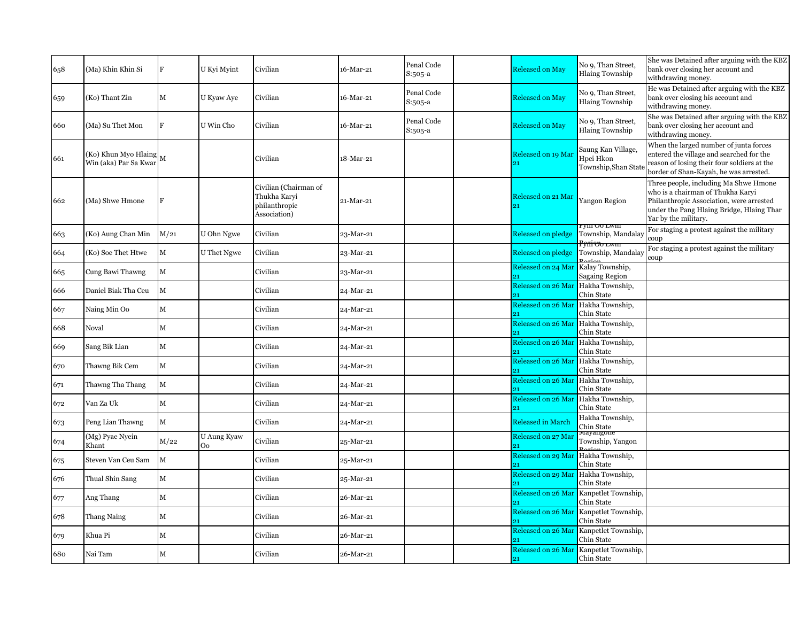| 658 | (Ma) Khin Khin Si                                             | F           | U Kyi Myint        | Civilian                                                               | 16-Mar-21 | Penal Code<br>$S:505-a$ | <b>Released on May</b>             | No 9, Than Street,<br><b>Hlaing Township</b>           | She was Detained after arguing with the KBZ<br>bank over closing her account and<br>withdrawing money.                                                                                      |
|-----|---------------------------------------------------------------|-------------|--------------------|------------------------------------------------------------------------|-----------|-------------------------|------------------------------------|--------------------------------------------------------|---------------------------------------------------------------------------------------------------------------------------------------------------------------------------------------------|
| 659 | (Ko) Thant Zin                                                | M           | U Kyaw Aye         | Civilian                                                               | 16-Mar-21 | Penal Code<br>S:505-a   | <b>Released on May</b>             | No 9, Than Street,<br><b>Hlaing Township</b>           | He was Detained after arguing with the KBZ<br>bank over closing his account and<br>withdrawing money.                                                                                       |
| 660 | (Ma) Su Thet Mon                                              | $\mathbf F$ | U Win Cho          | Civilian                                                               | 16-Mar-21 | Penal Code<br>$S:505-a$ | <b>Released on May</b>             | No 9, Than Street,<br><b>Hlaing Township</b>           | She was Detained after arguing with the KBZ<br>bank over closing her account and<br>withdrawing money.                                                                                      |
| 661 | (Ko) Khun Myo Hlaing $\vert_{\rm M}$<br>Win (aka) Par Sa Kwar |             |                    | Civilian                                                               | 18-Mar-21 |                         | Released on 19 Mai                 | Saung Kan Village,<br>Hpei Hkon<br>Township, Shan Stat | When the larged number of junta forces<br>entered the village and searched for the<br>reason of losing their four soldiers at the<br>border of Shan-Kayah, he was arrested.                 |
| 662 | (Ma) Shwe Hmone                                               | $\mathbf F$ |                    | Civilian (Chairman of<br>Thukha Karvi<br>philanthropic<br>Association) | 21-Mar-21 |                         | Released on 21 Mar                 | <b>Yangon Region</b>                                   | Three people, including Ma Shwe Hmone<br>who is a chairman of Thukha Karvi<br>Philanthropic Association, were arrested<br>under the Pang Hlaing Bridge, Hlaing Thar<br>Yar by the military. |
| 663 | (Ko) Aung Chan Min                                            | M/21        | U Ohn Ngwe         | Civilian                                                               | 23-Mar-21 |                         | Released on pledge                 | YIII U0 LWIII<br>Township, Mandalay                    | For staging a protest against the military<br>coup                                                                                                                                          |
| 664 | (Ko) Soe Thet Htwe                                            | $\mathbf M$ | <b>U</b> Thet Ngwe | Civilian                                                               | 23-Mar-21 |                         | Released on pledge                 | <del>Poni oo lwiii</del><br>Township, Mandalay         | For staging a protest against the military<br>coup                                                                                                                                          |
| 665 | Cung Bawi Thawng                                              | $\mathbf M$ |                    | Civilian                                                               | 23-Mar-21 |                         | Released on 24 Mar Kalay Township, | <b>Sagaing Region</b>                                  |                                                                                                                                                                                             |
| 666 | Daniel Biak Tha Ceu                                           | M           |                    | Civilian                                                               | 24-Mar-21 |                         | Released on 26 Mar<br>21           | Hakha Township,<br>Chin State                          |                                                                                                                                                                                             |
| 667 | Naing Min Oo                                                  | $\mathbf M$ |                    | Civilian                                                               | 24-Mar-21 |                         | <b>Released on 26 Mar</b>          | Hakha Township,<br>Chin State                          |                                                                                                                                                                                             |
| 668 | Noval                                                         | $\mathbf M$ |                    | Civilian                                                               | 24-Mar-21 |                         | Released on 26 Mar                 | Hakha Township,<br>Chin State                          |                                                                                                                                                                                             |
| 669 | Sang Bik Lian                                                 | M           |                    | Civilian                                                               | 24-Mar-21 |                         | Released on 26 Mar                 | Hakha Township,<br>Chin State                          |                                                                                                                                                                                             |
| 670 | Thawng Bik Cem                                                | $\mathbf M$ |                    | Civilian                                                               | 24-Mar-21 |                         | Released on 26 Mar                 | Hakha Township,<br>Chin State                          |                                                                                                                                                                                             |
| 671 | Thawng Tha Thang                                              | $\mathbf M$ |                    | Civilian                                                               | 24-Mar-21 |                         | <b>Released on 26 Mar</b>          | Hakha Township,                                        |                                                                                                                                                                                             |
| 672 | Van Za Uk                                                     | M           |                    | Civilian                                                               | 24-Mar-21 |                         | Released on 26 Mar                 | Chin State<br>Hakha Township,<br>Chin State            |                                                                                                                                                                                             |
| 673 | Peng Lian Thawng                                              | $\mathbf M$ |                    | Civilian                                                               | 24-Mar-21 |                         | Released in March                  | Hakha Township,                                        |                                                                                                                                                                                             |
| 674 | (Mg) Pyae Nyein                                               | M/22        | <b>U</b> Aung Kyaw | Civilian                                                               | 25-Mar-21 |                         | Released on 27 Mar                 | Chin State<br>viayangone<br>Township, Yangon           |                                                                                                                                                                                             |
| 675 | Khant<br>Steven Van Ceu Sam                                   | $\mathbf M$ | Oo                 | Civilian                                                               | 25-Mar-21 |                         | Released on 29 Mar Hakha Township, |                                                        |                                                                                                                                                                                             |
| 676 | Thual Shin Sang                                               | $\mathbf M$ |                    | Civilian                                                               | 25-Mar-21 |                         | Released on 29 Mar                 | Chin State<br>Hakha Township,                          |                                                                                                                                                                                             |
| 677 | Ang Thang                                                     | M           |                    | Civilian                                                               | 26-Mar-21 |                         | Released on 26 Mar                 | Chin State<br>Kanpetlet Township,                      |                                                                                                                                                                                             |
| 678 | Thang Naing                                                   | $\mathbf M$ |                    | Civilian                                                               | 26-Mar-21 |                         | Released on 26 Mar                 | Chin State<br>Kanpetlet Township,                      |                                                                                                                                                                                             |
|     |                                                               |             |                    |                                                                        |           |                         | Released on 26 Mar                 | Chin State<br>Kanpetlet Township,                      |                                                                                                                                                                                             |
| 679 | Khua Pi                                                       | $\mathbf M$ |                    | Civilian                                                               | 26-Mar-21 |                         | 91                                 | Chin State                                             |                                                                                                                                                                                             |
| 680 | Nai Tam                                                       | M           |                    | Civilian                                                               | 26-Mar-21 |                         | <b>Released on 26 Mar</b><br>21    | Kanpetlet Township,<br>Chin State                      |                                                                                                                                                                                             |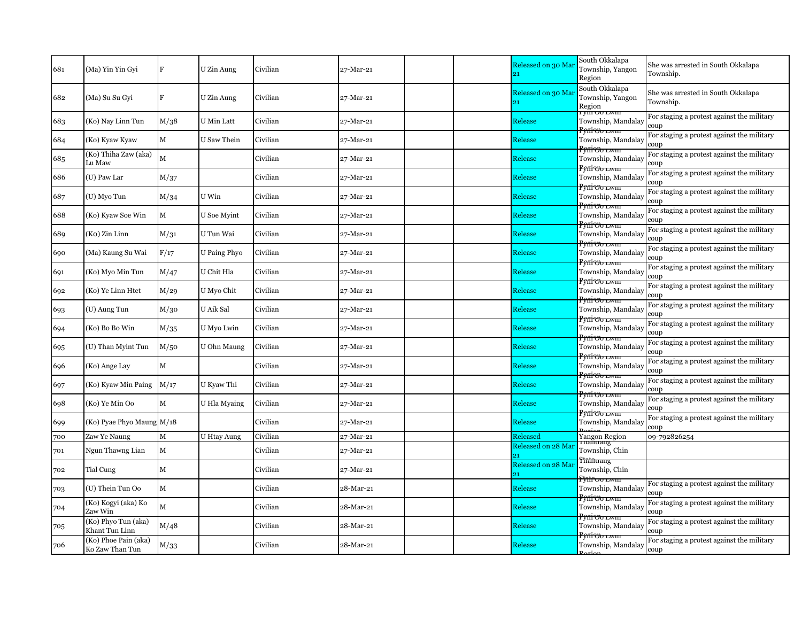| 681 | (Ma) Yin Yin Gyi                        | F                        | U Zin Aung         | Civilian | 27-Mar-21 |  | Released on 30 Ma       | South Okkalapa<br>Township, Yangon<br>Region                            | She was arrested in South Okkalapa<br>Township.    |
|-----|-----------------------------------------|--------------------------|--------------------|----------|-----------|--|-------------------------|-------------------------------------------------------------------------|----------------------------------------------------|
| 682 | (Ma) Su Su Gyi                          | $\mathbf F$              | U Zin Aung         | Civilian | 27-Mar-21 |  | Released on 30 Ma<br>91 | South Okkalapa<br>Township, Yangon<br>Region                            | She was arrested in South Okkalapa<br>Township.    |
| 683 | (Ko) Nay Linn Tun                       | M/38                     | U Min Latt         | Civilian | 27-Mar-21 |  | Release                 | <u>rym Oo Lwm</u><br>Township, Mandalay                                 | For staging a protest against the military<br>coup |
| 684 | (Ko) Kyaw Kyaw                          | $\mathbf M$              | U Saw Thein        | Civilian | 27-Mar-21 |  | Release                 | <del>Pviii vo lwiii</del><br>Township, Mandalay                         | For staging a protest against the military<br>coup |
| 685 | (Ko) Thiha Zaw (aka)<br>Lu Maw          | M                        |                    | Civilian | 27-Mar-21 |  | Release                 | <del>Pettivo lwin</del><br>Township, Mandalay                           | For staging a protest against the military<br>coup |
| 686 | (U) Paw Lar                             | M/37                     |                    | Civilian | 27-Mar-21 |  | Release                 | <del>Fymwo lwm</del><br>Township, Mandalay<br><del>Pyni oo lwm</del>    | For staging a protest against the military<br>coup |
| 687 | (U) Myo Tun                             | M/34                     | U Win              | Civilian | 27-Mar-21 |  | Release                 | Township, Mandalay<br><del>Penico lwm</del>                             | For staging a protest against the military<br>coup |
| 688 | (Ko) Kyaw Soe Win                       | $\mathbf M$              | U Soe Myint        | Civilian | 27-Mar-21 |  | Release                 | Township, Mandalay                                                      | For staging a protest against the military<br>coup |
| 689 | (Ko) Zin Linn                           | $\mathrm{M}/\mathrm{31}$ | U Tun Wai          | Civilian | 27-Mar-21 |  | Release                 | <del>Pyili vo lwin</del><br>Township, Mandalay<br><del>Pynivo lwm</del> | For staging a protest against the military<br>coup |
| 690 | (Ma) Kaung Su Wai                       | F/17                     | U Paing Phyo       | Civilian | 27-Mar-21 |  | Release                 | Township, Mandalay                                                      | For staging a protest against the military<br>coup |
| 691 | (Ko) Myo Min Tun                        | M/47                     | U Chit Hla         | Civilian | 27-Mar-21 |  | Release                 | <del>Pynivo lwm</del><br>Township, Mandalay                             | For staging a protest against the military<br>coup |
| 692 | (Ko) Ye Linn Htet                       | M/29                     | U Myo Chit         | Civilian | 27-Mar-21 |  | Release                 | <del>Pyni oo lwm</del><br>Township, Mandalay<br><del>Pettivo lwin</del> | For staging a protest against the military<br>coup |
| 693 | (U) Aung Tun                            | M/30                     | U Aik Sal          | Civilian | 27-Mar-21 |  | Release                 | Township, Mandalay                                                      | For staging a protest against the military<br>coup |
| 694 | (Ko) Bo Bo Win                          | M/35                     | U Myo Lwin         | Civilian | 27-Mar-21 |  | Release                 | <del>Pyni oo lwm</del><br>Township, Mandalay<br><del>Pynivo lwm</del>   | For staging a protest against the military<br>coup |
| 695 | (U) Than Myint Tun                      | M/50                     | U Ohn Maung        | Civilian | 27-Mar-21 |  | Release                 | Township, Mandalay<br><del>Penivo lwm</del>                             | For staging a protest against the military<br>coup |
| 696 | (Ko) Ange Lay                           | M                        |                    | Civilian | 27-Mar-21 |  | Release                 | Township, Mandalay<br><del>Pyni oo lwm</del>                            | For staging a protest against the military<br>coup |
| 697 | (Ko) Kyaw Min Paing                     | M/17                     | U Kyaw Thi         | Civilian | 27-Mar-21 |  | Release                 | Township, Mandalay<br><del>Petti vo lwin</del>                          | For staging a protest against the military<br>coup |
| 698 | (Ko) Ye Min Oo                          | $\mathbf M$              | U Hla Myaing       | Civilian | 27-Mar-21 |  | Release                 | Township, Mandalay                                                      | For staging a protest against the military<br>coup |
| 699 | (Ko) Pyae Phyo Maung M/18               |                          |                    | Civilian | 27-Mar-21 |  | Release                 | <del>Pytii vo lwiii</del><br>Township, Mandalay                         | For staging a protest against the military<br>coup |
| 700 | Zaw Ye Naung                            | $\mathbf M$              | <b>U Htay Aung</b> | Civilian | 27-Mar-21 |  | <b>Released</b>         | <b>Yangon Region</b>                                                    | 09-792826254                                       |
| 701 | Ngun Thawng Lian                        | M                        |                    | Civilian | 27-Mar-21 |  | Released on 28 Mar      | глапиалч<br>Township, Chin                                              |                                                    |
| 702 | Tial Cung                               | M                        |                    | Civilian | 27-Mar-21 |  | Released on 28 Mar      | <del>r̃lianuang</del><br>Township, Chin                                 |                                                    |
| 703 | (U) Thein Tun Oo                        | $\mathbf M$              |                    | Civilian | 28-Mar-21 |  | Release                 | <del>řviíroo lwin</del><br>Township, Mandalay                           | For staging a protest against the military<br>coup |
| 704 | (Ko) Kogyi (aka) Ko<br>Zaw Win          | M                        |                    | Civilian | 28-Mar-21 |  | Release                 | <del>Pyniyo lwiii</del><br>Township, Mandalay                           | For staging a protest against the military<br>coup |
| 705 | (Ko) Phyo Tun (aka)<br>Khant Tun Linn   | M/48                     |                    | Civilian | 28-Mar-21 |  | Release                 | <del>P¢íli vo livin</del><br>Township, Mandalay                         | For staging a protest against the military<br>coup |
| 706 | (Ko) Phoe Pain (aka)<br>Ko Zaw Than Tun | $\rm M/33$               |                    | Civilian | 28-Mar-21 |  | Release                 | <del>Pyni uo lwin</del><br>Township, Mandalay                           | For staging a protest against the military<br>coup |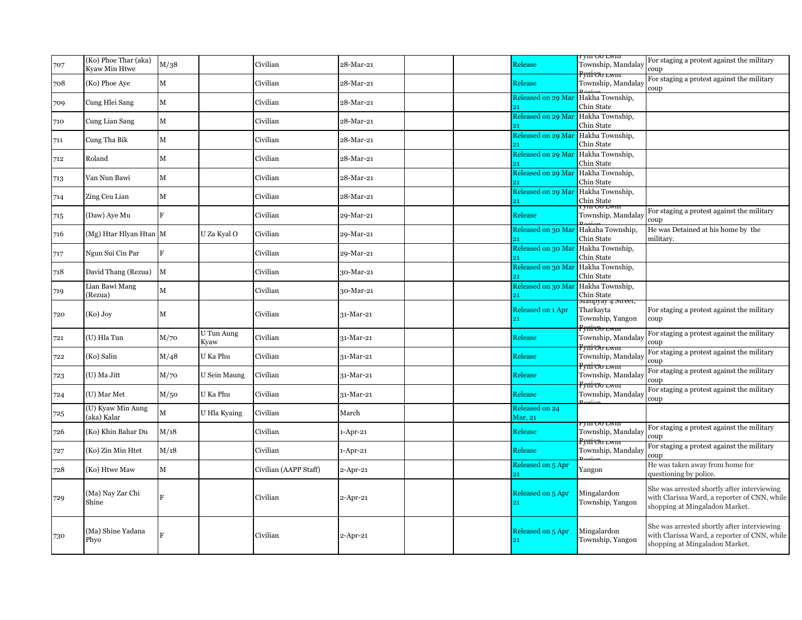| 707 | (Ko) Phoe Thar (aka)<br>Kyaw Min Htwe | M/38         |                    | Civilian              | 28-Mar-21   |  | Release                             | ryin Oo Lwin<br>Township, Mandalay                        | For staging a protest against the military<br>coup                                                                            |
|-----|---------------------------------------|--------------|--------------------|-----------------------|-------------|--|-------------------------------------|-----------------------------------------------------------|-------------------------------------------------------------------------------------------------------------------------------|
| 708 | (Ko) Phoe Aye                         | $\mathbf M$  |                    | Civilian              | 28-Mar-21   |  | Release                             | <del>Pvilivo lwin</del><br>Township, Mandalay             | For staging a protest against the military<br>coup                                                                            |
| 709 | Cung Hlei Sang                        | $\mathbf M$  |                    | Civilian              | 28-Mar-21   |  | Released on 29 Mar                  | Hakha Township,<br>Chin State                             |                                                                                                                               |
| 710 | Cung Lian Sang                        | M            |                    | Civilian              | 28-Mar-21   |  | Released on 29 Mar Hakha Township,  | Chin State                                                |                                                                                                                               |
| 711 | Cung Tha Bik                          | M            |                    | Civilian              | 28-Mar-21   |  | Released on 29 Mar                  | Hakha Township,<br>Chin State                             |                                                                                                                               |
| 712 | Roland                                | $\mathbf M$  |                    | Civilian              | 28-Mar-21   |  | Released on 29 Mar                  | Hakha Township,<br>Chin State                             |                                                                                                                               |
| 713 | Van Nun Bawi                          | $\mathbf M$  |                    | Civilian              | 28-Mar-21   |  | Released on 29 Mar                  | Hakha Township,<br>Chin State                             |                                                                                                                               |
| 714 | Zing Ceu Lian                         | $\mathbf M$  |                    | Civilian              | 28-Mar-21   |  | Released on 29 Mar<br>21            | Hakha Township,                                           |                                                                                                                               |
| 715 | (Daw) Aye Mu                          | F            |                    | Civilian              | 29-Mar-21   |  | Release                             | Chin State<br><del>rym Oo Lwm</del><br>Township, Mandalay | For staging a protest against the military                                                                                    |
| 716 | (Mg) Htar Hlyan Htan M                |              | U Za Kyal O        | Civilian              | 29-Mar-21   |  | Released on 30 Mar Hakaha Township, |                                                           | coup<br>He was Detained at his home by the                                                                                    |
| 717 | Ngun Sui Cin Par                      | $\mathbf{F}$ |                    | Civilian              | 29-Mar-21   |  | Released on 30 Mar                  | Chin State<br>Hakha Township,                             | militarv.                                                                                                                     |
| 718 | David Thang (Rezua)                   | M            |                    | Civilian              | 30-Mar-21   |  | 91<br>Released on 30 Mar            | Chin State<br>Hakha Township,                             |                                                                                                                               |
| 719 | Lian Bawi Mang                        | M            |                    | Civilian              | 30-Mar-21   |  | Released on 30 Mar Hakha Township,  | Chin State                                                |                                                                                                                               |
|     | (Rezua)                               |              |                    |                       |             |  | $_{21}$                             | Chin State<br>мапруау 4 мгеет,                            |                                                                                                                               |
| 720 | $(Ko)$ Joy                            | М            |                    | Civilian              | 31-Mar-21   |  | Released on 1 Apr<br>21             | Tharkavta<br>Township, Yangon                             | For staging a protest against the military<br>coup                                                                            |
| 721 | (U) Hla Tun                           | M/70         | U Tun Aung<br>Kvaw | Civilian              | 31-Mar-21   |  | Release                             | <del>P¢ilivo lwm</del><br>Township, Mandalay              | For staging a protest against the military<br>coup                                                                            |
| 722 | (Ko) Salin                            | M/48         | U Ka Phu           | Civilian              | 31-Mar-21   |  | Release                             | <del>Pynivo lwm</del><br>Township, Mandalay               | For staging a protest against the military<br>coup                                                                            |
| 723 | (U) Ma Jitt                           | M/70         | U Sein Maung       | Civilian              | 31-Mar-21   |  | Release                             | <del>Penivo lwm</del><br>Township, Mandalay               | For staging a protest against the military<br>coup                                                                            |
| 724 | (U) Mar Met                           | M/50         | U Ka Phu           | Civilian              | 31-Mar-21   |  | Release                             | <del>Pyni oo lwm</del><br>Township, Mandalay              | For staging a protest against the military<br>coup                                                                            |
| 725 | (U) Kyaw Min Aung<br>(aka) Kalar      | М            | U Hla Kyaing       | Civilian              | March       |  | Released on 24<br>Mar, 21           |                                                           |                                                                                                                               |
| 726 | (Ko) Khin Bahar Du                    | M/18         |                    | Civilian              | 1-Apr-21    |  | Release                             | r viii Oo Lwiii<br>Township, Mandalay                     | For staging a protest against the military<br>coup                                                                            |
| 727 | (Ko) Zin Min Htet                     | M/18         |                    | Civilian              | $1-Apr-21$  |  | Release                             | <del>Pyni oo lwm</del><br>Township, Mandalay              | For staging a protest against the military<br>coup                                                                            |
| 728 | (Ko) Htwe Maw                         | $\mathbf M$  |                    | Civilian (AAPP Staff) | $2$ -Apr-21 |  | Released on 5 Apr<br>21             | Yangon                                                    | He was taken away from home for<br>questioning by police.                                                                     |
| 729 | (Ma) Nay Zar Chi<br>Shine             |              |                    | Civilian              | $2$ -Apr-21 |  | Released on 5 Apr<br>21             | Mingalardon<br>Township, Yangon                           | She was arrested shortly after interviewing<br>with Clarissa Ward, a reporter of CNN, while<br>shopping at Mingaladon Market. |
| 730 | (Ma) Shine Yadana<br>Phyo             |              |                    | Civilian              | $2$ -Apr-21 |  | Released on 5 Apr                   | Mingalardon<br>Township, Yangon                           | She was arrested shortly after interviewing<br>with Clarissa Ward, a reporter of CNN, while<br>shopping at Mingaladon Market. |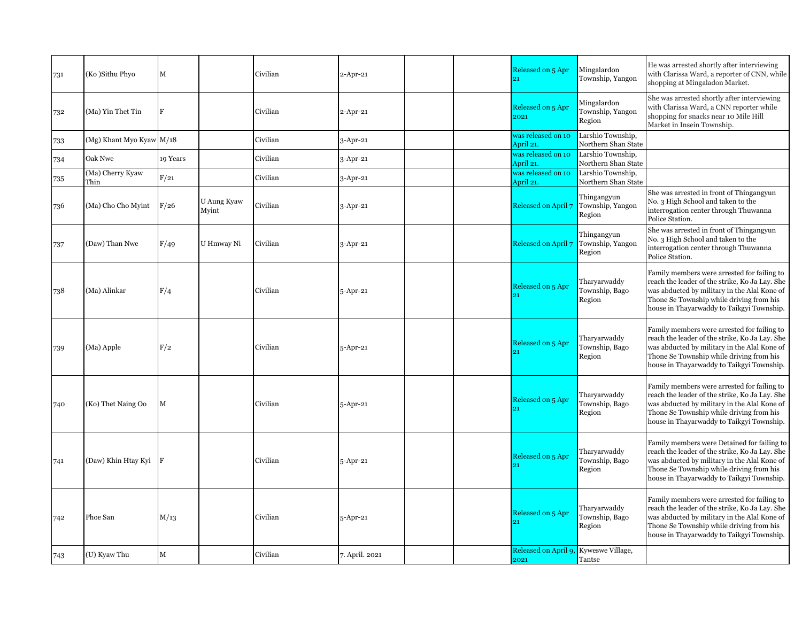| 731 | (Ko)Sithu Phyo           | $\mathbf M$ |                      | Civilian | $2$ -Apr-21    |  | Released on 5 Apr<br>21                       | Mingalardon<br>Township, Yangon           | He was arrested shortly after interviewing<br>with Clarissa Ward, a reporter of CNN, while<br>shopping at Mingaladon Market.                                                                                                           |
|-----|--------------------------|-------------|----------------------|----------|----------------|--|-----------------------------------------------|-------------------------------------------|----------------------------------------------------------------------------------------------------------------------------------------------------------------------------------------------------------------------------------------|
| 732 | (Ma) Yin Thet Tin        | F           |                      | Civilian | $2$ -Apr-21    |  | Released on 5 Apr<br>2021                     | Mingalardon<br>Township, Yangon<br>Region | She was arrested shortly after interviewing<br>with Clarissa Ward, a CNN reporter while<br>shopping for snacks near 10 Mile Hill<br>Market in Insein Township.                                                                         |
| 733 | (Mg) Khant Myo Kyaw M/18 |             |                      | Civilian | $3$ -Apr-21    |  | was released on 10<br>April 21.               | Larshio Township,<br>Northern Shan State  |                                                                                                                                                                                                                                        |
| 734 | Oak Nwe                  | 19 Years    |                      | Civilian | 3-Apr-21       |  | was released on 10                            | Larshio Township,                         |                                                                                                                                                                                                                                        |
|     | (Ma) Cherry Kyaw         | F/21        |                      | Civilian | 3-Apr-21       |  | April 21.<br>was released on 10               | Northern Shan State<br>Larshio Township,  |                                                                                                                                                                                                                                        |
| 735 | Thin                     |             |                      |          |                |  | April 21.                                     | Northern Shan State                       |                                                                                                                                                                                                                                        |
| 736 | (Ma) Cho Cho Myint       | F/26        | U Aung Kyaw<br>Myint | Civilian | $3$ -Apr-21    |  | Released on April 7                           | Thingangyun<br>Township, Yangon<br>Region | She was arrested in front of Thingangyun<br>No. 3 High School and taken to the<br>interrogation center through Thuwanna<br>Police Station.                                                                                             |
| 737 | (Daw) Than Nwe           | F/49        | U Hmway Ni           | Civilian | $3$ -Apr-21    |  | Released on April 7                           | Thingangyun<br>Township, Yangon<br>Region | She was arrested in front of Thingangyun<br>No. 3 High School and taken to the<br>interrogation center through Thuwanna<br>Police Station.                                                                                             |
| 738 | (Ma) Alinkar             | F/4         |                      | Civilian | 5-Apr-21       |  | Released on 5 Apr                             | Tharyarwaddy<br>Township, Bago<br>Region  | Family members were arrested for failing to<br>reach the leader of the strike, Ko Ja Lay. She<br>was abducted by military in the Alal Kone of<br>Thone Se Township while driving from his<br>house in Thayarwaddy to Taikgyi Township. |
| 739 | (Ma) Apple               | F/2         |                      | Civilian | 5-Apr-21       |  | Released on 5 Apr                             | Tharyarwaddy<br>Township, Bago<br>Region  | Family members were arrested for failing to<br>reach the leader of the strike, Ko Ja Lay. She<br>was abducted by military in the Alal Kone of<br>Thone Se Township while driving from his<br>house in Thayarwaddy to Taikgyi Township. |
| 740 | (Ko) Thet Naing Oo       | $\mathbf M$ |                      | Civilian | 5-Apr-21       |  | Released on 5 Apr<br>21                       | Tharyarwaddy<br>Township, Bago<br>Region  | Family members were arrested for failing to<br>reach the leader of the strike, Ko Ja Lay. She<br>was abducted by military in the Alal Kone of<br>Thone Se Township while driving from his<br>house in Thayarwaddy to Taikgyi Township. |
| 741 | (Daw) Khin Htay Kyi      | F           |                      | Civilian | 5-Apr-21       |  | Released on 5 Apr<br>21                       | Tharyarwaddy<br>Township, Bago<br>Region  | Family members were Detained for failing to<br>reach the leader of the strike, Ko Ja Lay. She<br>was abducted by military in the Alal Kone of<br>Thone Se Township while driving from his<br>house in Thayarwaddy to Taikgyi Township. |
| 742 | Phoe San                 | M/13        |                      | Civilian | 5-Apr-21       |  | Released on 5 Apr                             | Tharyarwaddy<br>Township, Bago<br>Region  | Family members were arrested for failing to<br>reach the leader of the strike, Ko Ja Lay. She<br>was abducted by military in the Alal Kone of<br>Thone Se Township while driving from his<br>house in Thayarwaddy to Taikgyi Township. |
| 743 | (U) Kyaw Thu             | $\mathbf M$ |                      | Civilian | 7. April. 2021 |  | Released on April 9, Kyweswe Village,<br>2021 | Tantse                                    |                                                                                                                                                                                                                                        |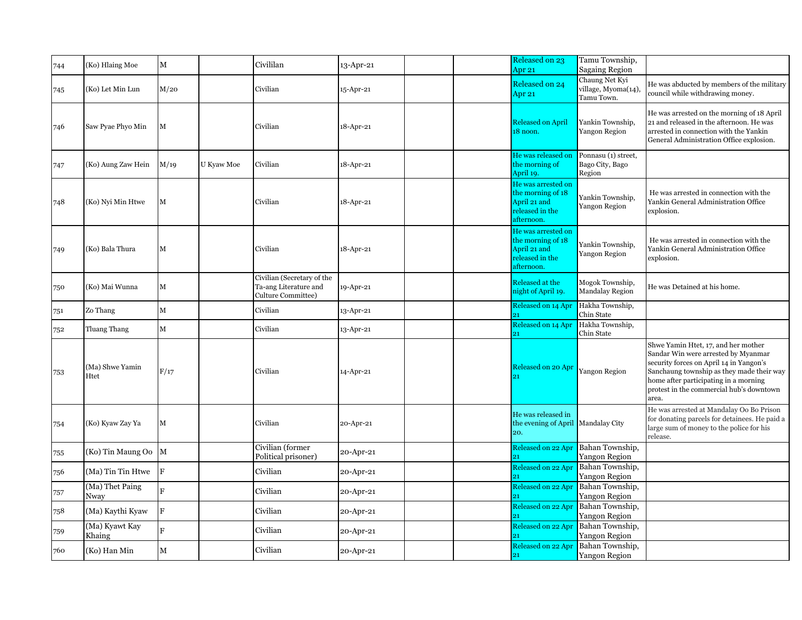| 744 | (Ko) Hlaing Moe          | М            |            | Civililan                                                                 | 13-Apr-21 |  | Released on 23<br>Apr 21                                                                 | Tamu Township,<br><b>Sagaing Region</b>             |                                                                                                                                                                                                                                                                  |
|-----|--------------------------|--------------|------------|---------------------------------------------------------------------------|-----------|--|------------------------------------------------------------------------------------------|-----------------------------------------------------|------------------------------------------------------------------------------------------------------------------------------------------------------------------------------------------------------------------------------------------------------------------|
| 745 | (Ko) Let Min Lun         | M/20         |            | Civilian                                                                  | 15-Apr-21 |  | Released on 24<br>Apr 21                                                                 | Chaung Net Kyi<br>village, Myoma(14),<br>Tamu Town. | He was abducted by members of the military<br>council while withdrawing money.                                                                                                                                                                                   |
| 746 | Saw Pyae Phyo Min        | $\mathbf M$  |            | Civilian                                                                  | 18-Apr-21 |  | <b>Released on April</b><br>18 noon.                                                     | Yankin Township,<br>Yangon Region                   | He was arrested on the morning of 18 April<br>21 and released in the afternoon. He was<br>arrested in connection with the Yankin<br>General Administration Office explosion.                                                                                     |
| 747 | (Ko) Aung Zaw Hein       | M/19         | U Kyaw Moe | Civilian                                                                  | 18-Apr-21 |  | He was released on<br>the morning of<br>April 19.                                        | Ponnasu (1) street,<br>Bago City, Bago<br>Region    |                                                                                                                                                                                                                                                                  |
| 748 | (Ko) Nyi Min Htwe        | M            |            | Civilian                                                                  | 18-Apr-21 |  | He was arrested on<br>the morning of 18<br>April 21 and<br>released in the<br>afternoon. | Yankin Township,<br>Yangon Region                   | He was arrested in connection with the<br>Yankin General Administration Office<br>explosion.                                                                                                                                                                     |
| 749 | (Ko) Bala Thura          | $\mathbf M$  |            | Civilian                                                                  | 18-Apr-21 |  | He was arrested on<br>the morning of 18<br>April 21 and<br>released in the<br>afternoon. | Yankin Township,<br>Yangon Region                   | He was arrested in connection with the<br>Yankin General Administration Office<br>explosion.                                                                                                                                                                     |
| 750 | (Ko) Mai Wunna           | M            |            | Civilian (Secretary of the<br>Ta-ang Literature and<br>Culture Committee) | 19-Apr-21 |  | Released at the<br>night of April 19.                                                    | Mogok Township,<br><b>Mandalay Region</b>           | He was Detained at his home.                                                                                                                                                                                                                                     |
| 751 | Zo Thang                 | $\mathbf M$  |            | Civilian                                                                  | 13-Apr-21 |  | Released on 14 Apr                                                                       | Hakha Township,<br>Chin State                       |                                                                                                                                                                                                                                                                  |
| 752 | Tluang Thang             | $\mathbf M$  |            | Civilian                                                                  | 13-Apr-21 |  | Released on 14 Apr<br>21                                                                 | Hakha Township,<br>Chin State                       |                                                                                                                                                                                                                                                                  |
| 753 | (Ma) Shwe Yamin<br>Htet  | F/17         |            | Civilian                                                                  | 14-Apr-21 |  | Released on 20 Apr                                                                       | Yangon Region                                       | Shwe Yamin Htet, 17, and her mother<br>Sandar Win were arrested by Myanmar<br>security forces on April 14 in Yangon's<br>Sanchaung township as they made their way<br>home after participating in a morning<br>protest in the commercial hub's downtown<br>area. |
| 754 | (Ko) Kyaw Zay Ya         | $\mathbf M$  |            | Civilian                                                                  | 20-Apr-21 |  | He was released in<br>the evening of April Mandalay City<br>20.                          |                                                     | He was arrested at Mandalay Oo Bo Prison<br>for donating parcels for detainees. He paid a<br>large sum of money to the police for his<br>release.                                                                                                                |
| 755 | (Ko) Tin Maung Oo        | $\mathbf{M}$ |            | Civilian (former<br>Political prisoner)                                   | 20-Apr-21 |  | Released on 22 Apr                                                                       | Bahan Township,<br>Yangon Region                    |                                                                                                                                                                                                                                                                  |
| 756 | (Ma) Tin Tin Htwe        | F            |            | Civilian                                                                  | 20-Apr-21 |  | Released on 22 Apr                                                                       | Bahan Township,<br><b>Yangon Region</b>             |                                                                                                                                                                                                                                                                  |
| 757 | (Ma) Thet Paing<br>Nway  | Ė            |            | Civilian                                                                  | 20-Apr-21 |  | Released on 22 Apr                                                                       | Bahan Township,<br>Yangon Region                    |                                                                                                                                                                                                                                                                  |
| 758 | (Ma) Kaythi Kyaw         | $\mathbf F$  |            | Civilian                                                                  | 20-Apr-21 |  | Released on 22 Apr<br>21                                                                 | Bahan Township,<br>Yangon Region                    |                                                                                                                                                                                                                                                                  |
| 759 | (Ma) Kyawt Kay<br>Khaing | F            |            | Civilian                                                                  | 20-Apr-21 |  | Released on 22 Apr<br>21                                                                 | Bahan Township,<br>Yangon Region                    |                                                                                                                                                                                                                                                                  |
| 760 | (Ko) Han Min             | M            |            | Civilian                                                                  | 20-Apr-21 |  | Released on 22 Apr<br>21                                                                 | Bahan Township,<br>Yangon Region                    |                                                                                                                                                                                                                                                                  |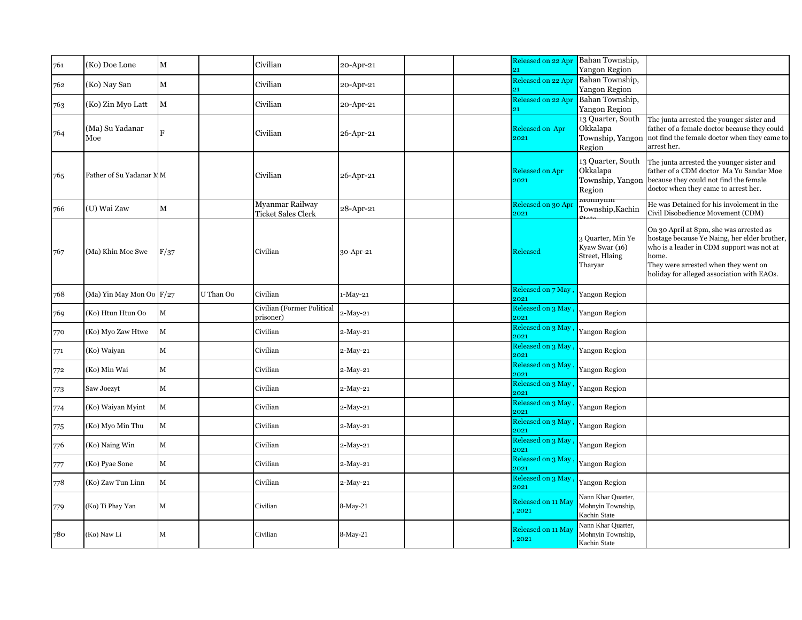| 761 | (Ko) Doe Lone            | $\mathbf M$             |           | Civilian                                     | 20-Apr-21 |  | Released on 22 Apr<br>$_{21}$  | Bahan Township,<br><b>Yangon Region</b>                          |                                                                                                                                                                                                                                     |
|-----|--------------------------|-------------------------|-----------|----------------------------------------------|-----------|--|--------------------------------|------------------------------------------------------------------|-------------------------------------------------------------------------------------------------------------------------------------------------------------------------------------------------------------------------------------|
| 762 | (Ko) Nay San             | $\mathbf M$             |           | Civilian                                     | 20-Apr-21 |  | Released on 22 Apr<br>21       | Bahan Township,<br>Yangon Region                                 |                                                                                                                                                                                                                                     |
| 763 | (Ko) Zin Myo Latt        | $\mathbf M$             |           | Civilian                                     | 20-Apr-21 |  | Released on 22 Apr<br>21       | Bahan Township,<br>Yangon Region                                 |                                                                                                                                                                                                                                     |
| 764 | (Ma) Su Yadanar<br>Moe   | $\overline{\mathbf{R}}$ |           | Civilian                                     | 26-Apr-21 |  | Released on Apr<br>2021        | 13 Quarter, South<br>Okkalapa<br>Township, Yangon<br>Region      | The junta arrested the younger sister and<br>father of a female doctor because they could<br>not find the female doctor when they came to<br>arrest her.                                                                            |
| 765 | Father of Su Yadanar MM  |                         |           | Civilian                                     | 26-Apr-21 |  | <b>Released on Apr</b><br>2021 | 13 Quarter, South<br>Okkalapa<br>Township, Yangon<br>Region      | The junta arrested the younger sister and<br>father of a CDM doctor Ma Yu Sandar Moe<br>because they could not find the female<br>doctor when they came to arrest her.                                                              |
| 766 | (U) Wai Zaw              | $\mathbf M$             |           | Myanmar Railway<br><b>Ticket Sales Clerk</b> | 28-Apr-21 |  | Released on 30 Apr<br>2021     | <del>vionnymn</del><br>Township, Kachin                          | He was Detained for his involement in the<br>Civil Disobedience Movement (CDM)                                                                                                                                                      |
| 767 | (Ma) Khin Moe Swe        | F/37                    |           | Civilian                                     | 30-Apr-21 |  | Released                       | 3 Quarter, Min Ye<br>Kyaw Swar (16)<br>Street, Hlaing<br>Tharyar | On 30 April at 8pm, she was arrested as<br>hostage because Ye Naing, her elder brother,<br>who is a leader in CDM support was not at<br>home.<br>They were arrested when they went on<br>holiday for alleged association with EAOs. |
| 768 | (Ma) Yin May Mon Oo F/27 |                         | U Than Oo | Civilian                                     | 1-May-21  |  | Released on 7 May<br>2021      | Yangon Region                                                    |                                                                                                                                                                                                                                     |
| 769 | (Ko) Htun Htun Oo        | $\mathbf M$             |           | Civilian (Former Political<br>prisoner)      | 2-May-21  |  | Released on 3 May<br>2021      | Yangon Region                                                    |                                                                                                                                                                                                                                     |
| 770 | (Ko) Myo Zaw Htwe        | $\mathbf M$             |           | Civilian                                     | 2-May-21  |  | Released on 3 May<br>2021      | <b>Yangon Region</b>                                             |                                                                                                                                                                                                                                     |
| 771 | (Ko) Waiyan              | $\mathbf M$             |           | Civilian                                     | 2-May-21  |  | Released on 3 May<br>2021      | Yangon Region                                                    |                                                                                                                                                                                                                                     |
| 772 | (Ko) Min Wai             | $\mathbf M$             |           | Civilian                                     | 2-May-21  |  | Released on 3 May<br>2021      | Yangon Region                                                    |                                                                                                                                                                                                                                     |
| 773 | Saw Joezyt               | $\mathbf M$             |           | Civilian                                     | 2-May-21  |  | Released on 3 May<br>2021      | Yangon Region                                                    |                                                                                                                                                                                                                                     |
| 774 | (Ko) Waiyan Myint        | $\mathbf M$             |           | Civilian                                     | 2-May-21  |  | Released on 3 May<br>2021      | <b>Yangon Region</b>                                             |                                                                                                                                                                                                                                     |
| 775 | (Ko) Myo Min Thu         | $\mathbf M$             |           | Civilian                                     | 2-May-21  |  | Released on 3 May<br>2021      | <b>Yangon Region</b>                                             |                                                                                                                                                                                                                                     |
| 776 | (Ko) Naing Win           | M                       |           | Civilian                                     | 2-May-21  |  | Released on 3 May<br>2021      | Yangon Region                                                    |                                                                                                                                                                                                                                     |
| 777 | (Ko) Pyae Sone           | $\mathbf M$             |           | Civilian                                     | 2-May-21  |  | Released on 3 May<br>2021      | Yangon Region                                                    |                                                                                                                                                                                                                                     |
| 778 | (Ko) Zaw Tun Linn        | $\mathbf M$             |           | Civilian                                     | 2-May-21  |  | Released on 3 May<br>2021      | Yangon Region                                                    |                                                                                                                                                                                                                                     |
| 779 | (Ko) Ti Phay Yan         | $\mathbf M$             |           | Civilian                                     | 8-May-21  |  | Released on 11 May<br>2021     | Nann Khar Quarter,<br>Mohnyin Township,<br>Kachin State          |                                                                                                                                                                                                                                     |
| 780 | (Ko) Naw Li              | M                       |           | Civilian                                     | 8-May-21  |  | Released on 11 May<br>2021     | Nann Khar Quarter,<br>Mohnyin Township,<br>Kachin State          |                                                                                                                                                                                                                                     |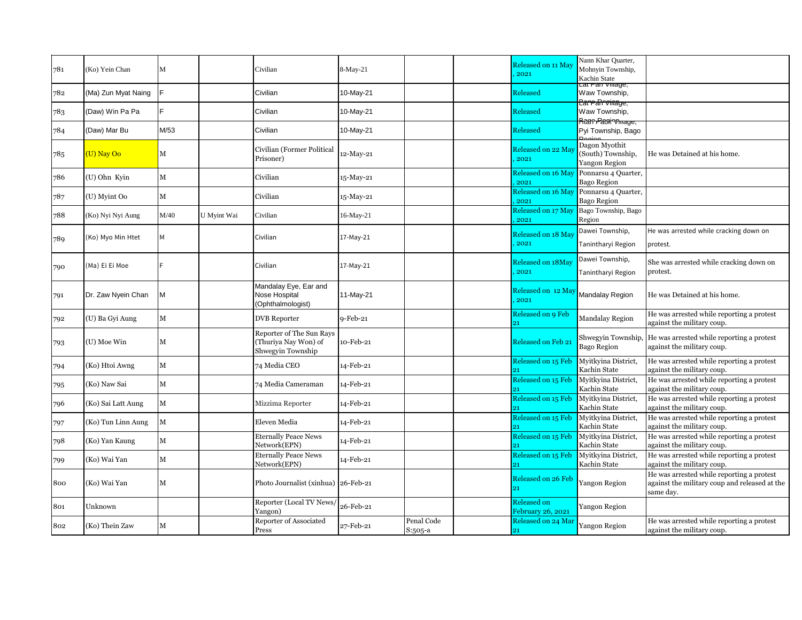| 781 | (Ko) Yein Chan      | M           |             | Civilian                                                              | 8-May-21    |                       | Released on 11 May<br>2021       | Nann Khar Quarter,<br>Mohnyin Township,<br>Kachin State |                                                                                                         |
|-----|---------------------|-------------|-------------|-----------------------------------------------------------------------|-------------|-----------------------|----------------------------------|---------------------------------------------------------|---------------------------------------------------------------------------------------------------------|
| 782 | (Ma) Zun Myat Naing |             |             | Civilian                                                              | 10-May-21   |                       | Released                         | ∟at ran vmage<br>Waw Township,                          |                                                                                                         |
| 783 | (Daw) Win Pa Pa     |             |             | Civilian                                                              | 10-May-21   |                       | Released                         | ParraRrvinage,<br>Waw Township,                         |                                                                                                         |
| 784 | (Daw) Mar Bu        | M/53        |             | Civilian                                                              | 10-May-21   |                       | Released                         | Rîtan Patri Vînage,<br>Pyi Township, Bago               |                                                                                                         |
| 785 | (U) Nay Oo          | M           |             | Civilian (Former Political<br>Prisoner)                               | 12-May-21   |                       | Released on 22 May<br>2021       | Dagon Myothit<br>(South) Township,<br>Yangon Region     | He was Detained at his home.                                                                            |
| 786 | (U) Ohn Kyin        | M           |             | Civilian                                                              | 15-May-21   |                       | Released on 16 May<br>2021       | Ponnarsu 4 Quarter,<br><b>Bago Region</b>               |                                                                                                         |
| 787 | (U) Myint Oo        | $\mathbf M$ |             | Civilian                                                              | 15-May-21   |                       | Released on 16 May<br>2021       | Ponnarsu 4 Quarter,<br><b>Bago Region</b>               |                                                                                                         |
| 788 | (Ko) Nyi Nyi Aung   | M/40        | U Myint Wai | Civilian                                                              | 16-May-21   |                       | Released on 17 May<br>2021       | Bago Township, Bago<br>Region                           |                                                                                                         |
| 789 | (Ko) Myo Min Htet   | M           |             | Civilian                                                              | 17-May-21   |                       | Released on 18 May<br>2021       | Dawei Township,<br>Tanintharyi Region                   | He was arrested while cracking down on<br>protest.                                                      |
| 790 | (Ma) Ei Ei Moe      |             |             | Civilian                                                              | 17-May-21   |                       | Released on 18May<br>2021        | Dawei Township,<br>Tanintharyi Region                   | She was arrested while cracking down on<br>protest.                                                     |
| 791 | Dr. Zaw Nyein Chan  | M           |             | Mandalay Eye, Ear and<br>Nose Hospital<br>(Ophthalmologist)           | 11-May-21   |                       | Released on 12 May<br>2021       | Mandalay Region                                         | He was Detained at his home.                                                                            |
| 792 | (U) Ba Gyi Aung     | $\mathbf M$ |             | <b>DVB</b> Reporter                                                   | $9$ -Feb-21 |                       | Released on 9 Feb<br>91          | <b>Mandalay Region</b>                                  | He was arrested while reporting a protest<br>against the military coup.                                 |
| 793 | (U) Moe Win         | М           |             | Reporter of The Sun Rays<br>(Thuriya Nay Won) of<br>Shwegyin Township | 10-Feb-21   |                       | Released on Feb 21               | Shwegyin Township,<br><b>Bago Region</b>                | He was arrested while reporting a protest<br>against the military coup.                                 |
| 794 | (Ko) Htoi Awng      | M           |             | 74 Media CEO                                                          | 14-Feb-21   |                       | Released on 15 Feb<br>21         | Mvitkvina District,<br>Kachin State                     | He was arrested while reporting a protest<br>against the military coup.                                 |
| 795 | (Ko) Naw Sai        | M           |             | 74 Media Cameraman                                                    | 14-Feb-21   |                       | Released on 15 Feb<br>21         | Mvitkvina District,<br>Kachin State                     | He was arrested while reporting a protest<br>against the military coup.                                 |
| 796 | (Ko) Sai Latt Aung  | M           |             | Mizzima Reporter                                                      | 14-Feb-21   |                       | Released on 15 Feb               | Myitkyina District,<br>Kachin State                     | He was arrested while reporting a protest<br>against the military coup.                                 |
| 797 | (Ko) Tun Linn Aung  | M           |             | Eleven Media                                                          | 14-Feb-21   |                       | Released on 15 Feb               | Myitkyina District,<br>Kachin State                     | He was arrested while reporting a protest<br>against the military coup.                                 |
| 798 | (Ko) Yan Kaung      | M           |             | <b>Eternally Peace News</b><br>Network(EPN)                           | 14-Feb-21   |                       | Released on 15 Feb               | Myitkyina District,<br>Kachin State                     | He was arrested while reporting a protest<br>against the military coup.                                 |
| 799 | (Ko) Wai Yan        | M           |             | <b>Eternally Peace News</b><br>Network(EPN)                           | 14-Feb-21   |                       | Released on 15 Feb<br>21         | Myitkyina District,<br>Kachin State                     | He was arrested while reporting a protest<br>against the military coup.                                 |
| 800 | (Ko) Wai Yan        | M           |             | Photo Journalist (xinhua) 26-Feb-21                                   |             |                       | <b>Released on 26 Feb</b><br>91  | <b>Yangon Region</b>                                    | He was arrested while reporting a protest<br>against the military coup and released at the<br>same day. |
| 801 | Unknown             |             |             | Reporter (Local TV News/<br>Yangon)                                   | 26-Feb-21   |                       | Released on<br>February 26, 2021 | Yangon Region                                           |                                                                                                         |
| 802 | (Ko) Thein Zaw      | M           |             | Reporter of Associated<br>Press                                       | 27-Feb-21   | Penal Code<br>S:505-a | Released on 24 Mar<br>21         | <b>Yangon Region</b>                                    | He was arrested while reporting a protest<br>against the military coup.                                 |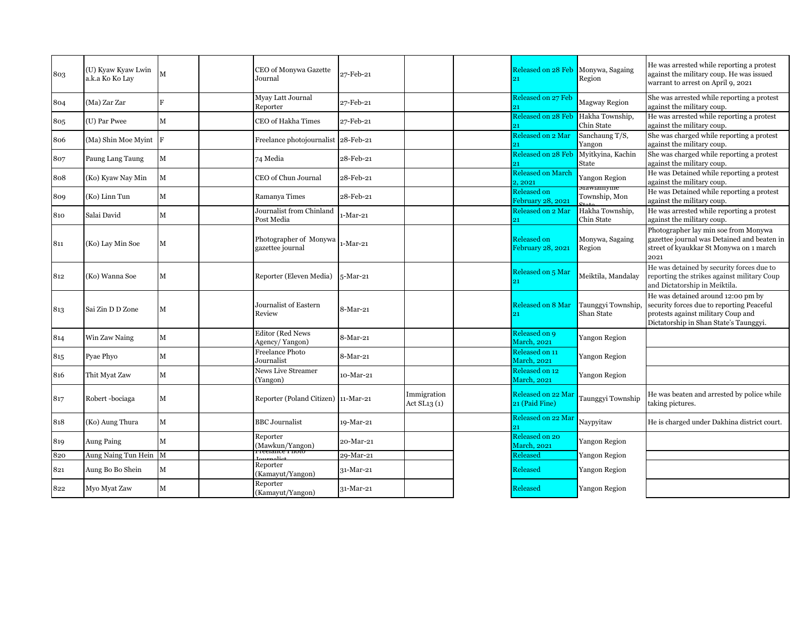| 803 | (U) Kyaw Kyaw Lwin<br>a.k.a Ko Ko Lay | M           | CEO of Monywa Gazette<br>Journal               | 27-Feb-21 |                             | Released on 28 Feb<br>21                | Monywa, Sagaing<br>Region         | He was arrested while reporting a protest<br>against the military coup. He was issued<br>warrant to arrest on April 9, 2021                                     |
|-----|---------------------------------------|-------------|------------------------------------------------|-----------|-----------------------------|-----------------------------------------|-----------------------------------|-----------------------------------------------------------------------------------------------------------------------------------------------------------------|
| 804 | (Ma) Zar Zar                          | F           | Myay Latt Journal<br>Reporter                  | 27-Feb-21 |                             | Released on 27 Feb                      | <b>Magway Region</b>              | She was arrested while reporting a protest<br>against the military coup.                                                                                        |
| 805 | (U) Par Pwee                          | $\mathbf M$ | CEO of Hakha Times                             | 27-Feb-21 |                             | Released on 28 Feb<br>21                | Hakha Township,<br>Chin State     | He was arrested while reporting a protest<br>against the military coup.                                                                                         |
| 806 | (Ma) Shin Moe Myint                   | IF.         | Freelance photojournalist 28-Feb-21            |           |                             | Released on 2 Mar<br>21                 | Sanchaung T/S,<br>Yangon          | She was charged while reporting a protest<br>against the military coup.                                                                                         |
| 807 | Paung Lang Taung                      | M           | 74 Media                                       | 28-Feb-21 |                             | Released on 28 Feb<br>21                | Myitkyina, Kachin<br><b>State</b> | She was charged while reporting a protest<br>against the military coup.                                                                                         |
| 808 | (Ko) Kyaw Nay Min                     | M           | CEO of Chun Journal                            | 28-Feb-21 |                             | <b>Released on March</b><br>2, 2021     | Yangon Region                     | He was Detained while reporting a protest<br>against the military coup.                                                                                         |
| 809 | (Ko) Linn Tun                         | $\mathbf M$ | Ramanya Times                                  | 28-Feb-21 |                             | <b>Released on</b><br>February 28, 2021 | маwiaнiyine<br>Township, Mon      | He was Detained while reporting a protest<br>against the military coup.                                                                                         |
| 810 | Salai David                           | M           | Journalist from Chinland<br>Post Media         | 1-Mar-21  |                             | Released on 2 Mar<br>21                 | Hakha Township,<br>Chin State     | He was arrested while reporting a protest<br>against the military coup.                                                                                         |
| 811 | (Ko) Lay Min Soe                      | М           | Photographer of Monywa<br>gazettee journal     | -Mar-21   |                             | <b>Released on</b><br>February 28, 2021 | Monywa, Sagaing<br>Region         | Photographer lay min soe from Monywa<br>gazettee journal was Detained and beaten in<br>street of kyaukkar St Monywa on 1 march<br>2021                          |
| 812 | (Ko) Wanna Soe                        | М           | Reporter (Eleven Media)                        | 5-Mar-21  |                             | Released on 5 Mar<br>21                 | Meiktila, Mandalay                | He was detained by security forces due to<br>reporting the strikes against military Coup<br>and Dictatorship in Meiktila.                                       |
| 813 | Sai Zin D D Zone                      | M           | Journalist of Eastern<br>Review                | 8-Mar-21  |                             | Released on 8 Mar<br>21                 | Taunggyi Township,<br>Shan State  | He was detained around 12:00 pm by<br>security forces due to reporting Peaceful<br>protests against military Coup and<br>Dictatorship in Shan State's Taunggyi. |
| 814 | Win Zaw Naing                         | $\mathbf M$ | <b>Editor</b> (Red News<br>Agency/Yangon)      | 8-Mar-21  |                             | Released on 9<br><b>March</b> , 2021    | <b>Yangon Region</b>              |                                                                                                                                                                 |
| 815 | Pyae Phyo                             | $\mathbf M$ | <b>Freelance Photo</b><br>Journalist           | 8-Mar-21  |                             | Released on 11<br><b>March</b> , 2021   | <b>Yangon Region</b>              |                                                                                                                                                                 |
| 816 | Thit Myat Zaw                         | $\mathbf M$ | News Live Streamer<br>(Yangon)                 | 10-Mar-21 |                             | Released on 12<br><b>March</b> , 2021   | Yangon Region                     |                                                                                                                                                                 |
| 817 | Robert-bociaga                        | M           | Reporter (Poland Citizen) 11-Mar-21            |           | Immigration<br>Act SL13 (1) | Released on 22 Mar<br>21 (Paid Fine)    | Taunggyi Township                 | He was beaten and arrested by police while<br>taking pictures.                                                                                                  |
| 818 | (Ko) Aung Thura                       | M           | <b>BBC</b> Journalist                          | 19-Mar-21 |                             | Released on 22 Mar                      | Navpvitaw                         | He is charged under Dakhina district court.                                                                                                                     |
| 819 | Aung Paing                            | M           | Reporter<br>(Mawkun/Yangon)<br>Freelance Fnoto | 20-Mar-21 |                             | Released on 20<br><b>March</b> , 2021   | <b>Yangon Region</b>              |                                                                                                                                                                 |
| 820 | Aung Naing Tun Hein M                 |             |                                                | 29-Mar-21 |                             | Released                                | Yangon Region                     |                                                                                                                                                                 |
| 821 | Aung Bo Bo Shein                      | M           | Reporter<br>(Kamayut/Yangon)                   | 31-Mar-21 |                             | Released                                | <b>Yangon Region</b>              |                                                                                                                                                                 |
| 822 | Myo Myat Zaw                          | M           | Reporter<br>(Kamayut/Yangon)                   | 31-Mar-21 |                             | Released                                | <b>Yangon Region</b>              |                                                                                                                                                                 |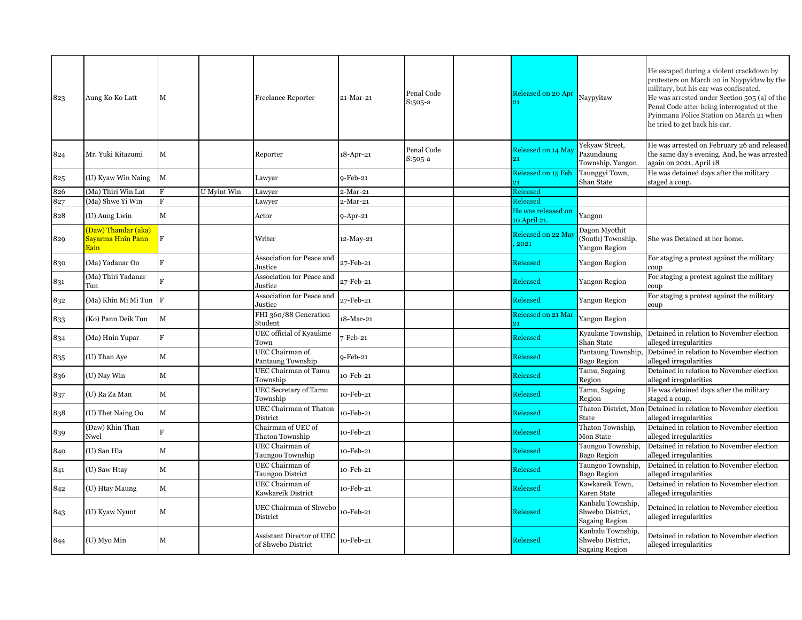| 823 | Aung Ko Ko Latt                                               | М                       |             | <b>Freelance Reporter</b>                       | 21-Mar-21      | Penal Code<br>S:505-a | Released on 20 Apr                 | Naypyitaw                                                      | He escaped during a violent crackdown by<br>protesters on March 20 in Naypyidaw by the<br>military, but his car was confiscated.<br>He was arrested under Section 505 (a) of the<br>Penal Code after being interrogated at the<br>Pyinmana Police Station on March 21 when<br>he tried to get back his car. |
|-----|---------------------------------------------------------------|-------------------------|-------------|-------------------------------------------------|----------------|-----------------------|------------------------------------|----------------------------------------------------------------|-------------------------------------------------------------------------------------------------------------------------------------------------------------------------------------------------------------------------------------------------------------------------------------------------------------|
| 824 | Mr. Yuki Kitazumi                                             | M                       |             | Reporter                                        | 18-Apr-21      | Penal Code<br>S:505-a | Released on 14 May<br>91           | Yekyaw Street,<br>Pazundaung<br>Township, Yangon               | He was arrested on February 26 and released<br>the same day's evening. And, he was arrested<br>again on 2021, April 18                                                                                                                                                                                      |
| 825 | (U) Kyaw Win Naing                                            | M                       |             | Lawyer                                          | 9-Feb-21       |                       | Released on 15 Feb<br>21.          | Taunggyi Town,<br>Shan State                                   | He was detained days after the military<br>staged a coup.                                                                                                                                                                                                                                                   |
| 826 | (Ma) Thiri Win Lat                                            | $\overline{\mathbf{F}}$ | U Myint Win | Lawyer                                          | $2-Mar-21$     |                       | Released                           |                                                                |                                                                                                                                                                                                                                                                                                             |
| 827 | (Ma) Shwe Yi Win                                              | F                       |             | Lawyer                                          | 2-Mar-21       |                       | Released                           |                                                                |                                                                                                                                                                                                                                                                                                             |
| 828 | (U) Aung Lwin                                                 | M                       |             | Actor                                           | $9 - Apr - 21$ |                       | He was released on<br>10 April 21. | Yangon                                                         |                                                                                                                                                                                                                                                                                                             |
| 829 | (Daw) Thandar (aka)<br><mark>Sayarma Hnin Pann</mark><br>Eain | $_{\rm F}$              |             | Writer                                          | 12-May-21      |                       | Released on 22 May<br>2021         | Dagon Myothit<br>(South) Township,<br>Yangon Region            | She was Detained at her home.                                                                                                                                                                                                                                                                               |
| 830 | (Ma) Yadanar Oo                                               | F                       |             | Association for Peace and<br>Justice            | 27-Feb-21      |                       | Released                           | Yangon Region                                                  | For staging a protest against the military<br>coup                                                                                                                                                                                                                                                          |
| 831 | (Ma) Thiri Yadanar<br>Tun                                     | R                       |             | Association for Peace and<br>Justice            | 27-Feb-21      |                       | <b>Released</b>                    | Yangon Region                                                  | For staging a protest against the military<br>coup                                                                                                                                                                                                                                                          |
| 832 | (Ma) Khin Mi Mi Tun                                           | F                       |             | Association for Peace and<br>Justice            | 27-Feb-21      |                       | Released                           | Yangon Region                                                  | For staging a protest against the military<br>coup                                                                                                                                                                                                                                                          |
| 833 | (Ko) Pann Deik Tun                                            | $\mathbf{M}$            |             | FHI 360/88 Generation<br>Student                | 18-Mar-21      |                       | Released on 21 Mai<br>21           | Yangon Region                                                  |                                                                                                                                                                                                                                                                                                             |
| 834 | (Ma) Hnin Yupar                                               | F                       |             | UEC official of Kyaukme<br>Town                 | 7-Feb-21       |                       | Released                           | Kyaukme Township.<br>Shan State                                | Detained in relation to November election<br>alleged irregularities                                                                                                                                                                                                                                         |
| 835 | (U) Than Aye                                                  | M                       |             | UEC Chairman of<br>Pantaung Township            | 9-Feb-21       |                       | <b>Released</b>                    | Pantaung Township,<br>Bago Region                              | Detained in relation to November election<br>alleged irregularities                                                                                                                                                                                                                                         |
| 836 | (U) Nay Win                                                   | $\mathbf{M}$            |             | UEC Chairman of Tamu<br>Township                | 10-Feb-21      |                       | Released                           | Tamu, Sagaing<br>Region                                        | Detained in relation to November election<br>alleged irregularities                                                                                                                                                                                                                                         |
| 837 | (U) Ra Za Man                                                 | $\mathbf M$             |             | UEC Secretary of Tamu<br>Township               | 10-Feb-21      |                       | <b>Released</b>                    | Tamu, Sagaing<br>Region                                        | He was detained days after the military<br>staged a coup.                                                                                                                                                                                                                                                   |
| 838 | (U) Thet Naing Oo                                             | $\mathbf M$             |             | UEC Chairman of Thaton<br>District              | 10-Feb-21      |                       | Released                           | Thaton District, Mon<br>State                                  | Detained in relation to November election<br>alleged irregularities                                                                                                                                                                                                                                         |
| 839 | (Daw) Khin Than<br>Nwel                                       |                         |             | Chairman of UEC of<br><b>Thaton Township</b>    | 10-Feb-21      |                       | Released                           | Thaton Township,<br>Mon State                                  | Detained in relation to November election<br>alleged irregularities                                                                                                                                                                                                                                         |
| 840 | (U) San Hla                                                   | M                       |             | UEC Chairman of<br><b>Taungoo Township</b>      | 10-Feb-21      |                       | <b>Released</b>                    | Taungoo Township,<br><b>Bago Region</b>                        | Detained in relation to November election<br>alleged irregularities                                                                                                                                                                                                                                         |
| 841 | (U) Saw Htay                                                  | $\mathbf M$             |             | UEC Chairman of<br>Taungoo District             | 10-Feb-21      |                       | Released                           | Taungoo Township,<br><b>Bago Region</b>                        | Detained in relation to November election<br>alleged irregularities                                                                                                                                                                                                                                         |
| 842 | (U) Htay Maung                                                | $\mathbf M$             |             | UEC Chairman of<br>Kawkareik District           | 10-Feb-21      |                       | Released                           | Kawkareik Town,<br>Karen State                                 | Detained in relation to November election<br>alleged irregularities                                                                                                                                                                                                                                         |
| 843 | (U) Kyaw Nyunt                                                | M                       |             | UEC Chairman of Shwebo<br>District              | 10-Feb-21      |                       | <b>Released</b>                    | Kanbalu Township,<br>Shwebo District,<br><b>Sagaing Region</b> | Detained in relation to November election<br>alleged irregularities                                                                                                                                                                                                                                         |
| 844 | (U) Myo Min                                                   | М                       |             | Assistant Director of UEC<br>of Shwebo District | 10-Feb-21      |                       | Released                           | Kanbalu Township,<br>Shwebo District,<br><b>Sagaing Region</b> | Detained in relation to November election<br>alleged irregularities                                                                                                                                                                                                                                         |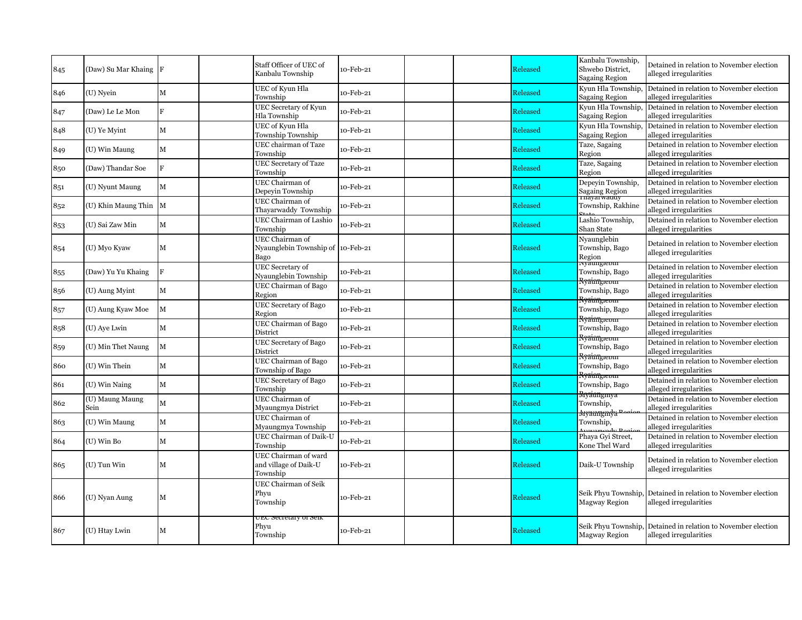| 845 | (Daw) Su Mar Khaing F   |              | Staff Officer of UEC of<br>Kanbalu Township                  | 10-Feb-21 |  | Released | Kanbalu Township,<br>Shwebo District,<br><b>Sagaing Region</b> | Detained in relation to November election<br>alleged irregularities                     |
|-----|-------------------------|--------------|--------------------------------------------------------------|-----------|--|----------|----------------------------------------------------------------|-----------------------------------------------------------------------------------------|
| 846 | (U) Nyein               | $\mathbf{M}$ | UEC of Kyun Hla<br>Township                                  | 10-Feb-21 |  | Released | Kyun Hla Township,<br><b>Sagaing Region</b>                    | Detained in relation to November election<br>alleged irregularities                     |
| 847 | (Daw) Le Le Mon         | F            | <b>UEC Secretary of Kyun</b><br>Hla Township                 | 10-Feb-21 |  | Released | Kyun Hla Township,<br><b>Sagaing Region</b>                    | Detained in relation to November election<br>alleged irregularities                     |
| 848 | (U) Ye Myint            | $\mathbf M$  | UEC of Kyun Hla<br>Township Township                         | 10-Feb-21 |  | Released | Kyun Hla Township,<br><b>Sagaing Region</b>                    | Detained in relation to November election<br>alleged irregularities                     |
| 849 | (U) Win Maung           | $\mathbf M$  | UEC chairman of Taze<br>Township                             | 10-Feb-21 |  | Released | Taze, Sagaing<br>Region                                        | Detained in relation to November election<br>alleged irregularities                     |
| 850 | (Daw) Thandar Soe       | F            | <b>UEC Secretary of Taze</b><br>Township                     | 10-Feb-21 |  | Released | Taze, Sagaing<br>Region                                        | Detained in relation to November election<br>alleged irregularities                     |
| 851 | (U) Nyunt Maung         | $\mathbf M$  | UEC Chairman of<br>Depevin Township                          | 10-Feb-21 |  | Released | Depeyin Township,<br>Sagaing Region<br>Thayarwaddy             | Detained in relation to November election<br>alleged irregularities                     |
| 852 | (U) Khin Maung Thin M   |              | UEC Chairman of<br>Thayarwaddy Township                      | 10-Feb-21 |  | Released | Township, Rakhine                                              | Detained in relation to November election<br>alleged irregularities                     |
| 853 | (U) Sai Zaw Min         | $\mathbf M$  | UEC Chairman of Lashio<br>Township                           | 10-Feb-21 |  | Released | Lashio Township,<br>Shan State                                 | Detained in relation to November election<br>alleged irregularities                     |
| 854 | (U) Myo Kyaw            | M            | UEC Chairman of<br>Nyaunglebin Township of 10-Feb-21<br>Bago |           |  | Released | Nyaunglebin<br>Township, Bago<br>Region                        | Detained in relation to November election<br>alleged irregularities                     |
| 855 | (Daw) Yu Yu Khaing      | F            | UEC Secretary of<br>Nyaunglebin Township                     | 10-Feb-21 |  | Released | ivyaungiebin<br>Township, Bago                                 | Detained in relation to November election<br>alleged irregularities                     |
| 856 | (U) Aung Myint          | $\mathbf{M}$ | UEC Chairman of Bago<br>Region                               | 10-Feb-21 |  | Released | <del>Ryaimgreom</del><br>Township, Bago                        | Detained in relation to November election<br>alleged irregularities                     |
| 857 | (U) Aung Kyaw Moe       | M            | UEC Secretary of Bago<br>Region                              | 10-Feb-21 |  | Released | <del>Ryaimy.eom</del><br>Township, Bago                        | Detained in relation to November election<br>alleged irregularities                     |
| 858 | (U) Aye Lwin            | $\mathbf M$  | UEC Chairman of Bago<br>District                             | 10-Feb-21 |  | Released | <del>Ryaimgreom</del><br>Township, Bago                        | Detained in relation to November election<br>alleged irregularities                     |
| 859 | (U) Min Thet Naung      | $\mathbf M$  | UEC Secretary of Bago<br>District                            | 10-Feb-21 |  | Released | <del>Rvaimgreom</del><br>Township, Bago                        | Detained in relation to November election<br>alleged irregularities                     |
| 860 | (U) Win Thein           | $\mathbf M$  | UEC Chairman of Bago<br>Township of Bago                     | 10-Feb-21 |  | Released | <del>Ryainngreom</del><br>Township, Bago                       | Detained in relation to November election<br>alleged irregularities                     |
| 861 | (U) Win Naing           | $\mathbf M$  | UEC Secretary of Bago<br>Township                            | 10-Feb-21 |  | Released | <del>Ryaimgreom</del><br>Township, Bago                        | Detained in relation to November election<br>alleged irregularities                     |
| 862 | (U) Maung Maung<br>Sein | $\mathbf M$  | UEC Chairman of<br>Myaungmya District                        | 10-Feb-21 |  | Released | <del>Rryiangmya</del><br>Township,                             | Detained in relation to November election<br>alleged irregularities                     |
| 863 | (U) Win Maung           | $\mathbf M$  | UEC Chairman of<br>Myaungmya Township                        | 10-Feb-21 |  | Released | <del>Myaungindya Pooi</del><br>Township,                       | Detained in relation to November election<br>alleged irregularities                     |
| 864 | (U) Win Bo              | $\mathbf M$  | UEC Chairman of Daik-U<br>Township                           | 10-Feb-21 |  | Released | Phaya Gyi Street,<br>Kone Thel Ward                            | Detained in relation to November election<br>alleged irregularities                     |
| 865 | $(U)$ Tun Win           | $\mathbf M$  | UEC Chairman of ward<br>and village of Daik-U<br>Township    | 10-Feb-21 |  | Released | Daik-U Township                                                | Detained in relation to November election<br>alleged irregularities                     |
| 866 | (U) Nyan Aung           | M            | UEC Chairman of Seik<br>Phyu<br>Township                     | 10-Feb-21 |  | Released | Magway Region                                                  | Seik Phyu Township, Detained in relation to November election<br>alleged irregularities |
| 867 | (U) Htay Lwin           | M            | ueu secretary of seik<br>Phyu<br>Township                    | 10-Feb-21 |  | Released | <b>Magway Region</b>                                           | Seik Phyu Township, Detained in relation to November election<br>alleged irregularities |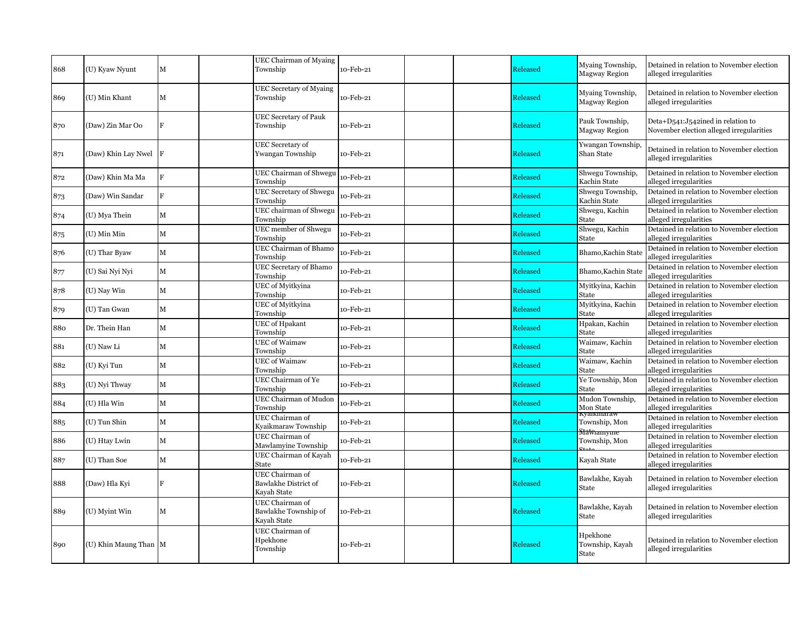| 868 | (U) Kyaw Nyunt        | M           | UEC Chairman of Myaing<br>Township                     | 10-Feb-21 |  | Released        | Myaing Township,<br><b>Magway Region</b> | Detained in relation to November election<br>alleged irregularities           |
|-----|-----------------------|-------------|--------------------------------------------------------|-----------|--|-----------------|------------------------------------------|-------------------------------------------------------------------------------|
| 869 | (U) Min Khant         | M           | <b>UEC Secretary of Myaing</b><br>Township             | 10-Feb-21 |  | Released        | Myaing Township,<br>Magway Region        | Detained in relation to November election<br>alleged irregularities           |
| 870 | (Daw) Zin Mar Oo      | F           | <b>UEC Secretary of Pauk</b><br>Township               | 10-Feb-21 |  | Released        | Pauk Township,<br><b>Magway Region</b>   | Deta+D541:J542ined in relation to<br>November election alleged irregularities |
| 871 | (Daw) Khin Lay Nwel   |             | UEC Secretary of<br>Ywangan Township                   | 10-Feb-21 |  | Released        | Ywangan Township,<br>Shan State          | Detained in relation to November election<br>alleged irregularities           |
| 872 | (Daw) Khin Ma Ma      | F           | UEC Chairman of Shwegu<br>Township                     | 10-Feb-21 |  | Released        | Shwegu Township,<br>Kachin State         | Detained in relation to November election<br>alleged irregularities           |
| 873 | (Daw) Win Sandar      | F           | UEC Secretary of Shwegu<br>Township                    | 10-Feb-21 |  | Released        | Shwegu Township,<br>Kachin State         | Detained in relation to November election<br>alleged irregularities           |
| 874 | (U) Mya Thein         | $\mathbf M$ | UEC chairman of Shwegu<br>Township                     | 10-Feb-21 |  | Released        | Shwegu, Kachin<br>State                  | Detained in relation to November election<br>alleged irregularities           |
| 875 | (U) Min Min           | $\mathbf M$ | UEC member of Shwegu<br>Township                       | 10-Feb-21 |  | Released        | Shwegu, Kachin<br>State                  | Detained in relation to November election<br>alleged irregularities           |
| 876 | (U) Thar Byaw         | $\mathbf M$ | UEC Chairman of Bhamo<br>Township                      | 10-Feb-21 |  | Released        | Bhamo, Kachin State                      | Detained in relation to November election<br>alleged irregularities           |
| 877 | (U) Sai Nyi Nyi       | $\mathbf M$ | UEC Secretary of Bhamo<br>Township                     | 10-Feb-21 |  | Released        | Bhamo, Kachin State                      | Detained in relation to November election<br>alleged irregularities           |
| 878 | (U) Nay Win           | $\mathbf M$ | UEC of Myitkyina<br>Township                           | 10-Feb-21 |  | Released        | Myitkyina, Kachin<br>State               | Detained in relation to November election<br>alleged irregularities           |
| 879 | (U) Tan Gwan          | $\mathbf M$ | UEC of Myitkyina<br>Township                           | 10-Feb-21 |  | Released        | Myitkyina, Kachin<br>State               | Detained in relation to November election<br>alleged irregularities           |
| 880 | Dr. Thein Han         | $\mathbf M$ | <b>UEC</b> of Hpakant<br>Township                      | 10-Feb-21 |  | Released        | Hpakan, Kachin<br>State                  | Detained in relation to November election<br>alleged irregularities           |
| 881 | (U) Naw Li            | $\mathbf M$ | <b>UEC</b> of Waimaw<br>Township                       | 10-Feb-21 |  | Released        | Waimaw, Kachin<br>State                  | Detained in relation to November election<br>alleged irregularities           |
| 882 | (U) Kyi Tun           | $\mathbf M$ | <b>UEC</b> of Waimaw<br>Township                       | 10-Feb-21 |  | Released        | Waimaw, Kachin<br>State                  | Detained in relation to November election<br>alleged irregularities           |
| 883 | (U) Nyi Thway         | $\mathbf M$ | UEC Chairman of Ye<br>Township                         | 10-Feb-21 |  | <b>Released</b> | Ye Township, Mon<br>State                | Detained in relation to November election<br>alleged irregularities           |
| 884 | (U) Hla Win           | $\mathbf M$ | UEC Chairman of Mudon<br>Township                      | 10-Feb-21 |  | Released        | Mudon Township,<br>Mon State             | Detained in relation to November election<br>alleged irregularities           |
| 885 | (U) Tun Shin          | $\mathbf M$ | UEC Chairman of<br>Kyaikmaraw Township                 | 10-Feb-21 |  | <b>Released</b> | ауанкшагау<br>Township, Mon              | Detained in relation to November election<br>alleged irregularities           |
| 886 | (U) Htay Lwin         | $\mathbf M$ | UEC Chairman of<br>Mawlamyine Township                 | 10-Feb-21 |  | Released        | <del>MaWiamyme</del><br>Township, Mon    | Detained in relation to November election<br>alleged irregularities           |
| 887 | (U) Than Soe          | M           | UEC Chairman of Kayah<br><b>State</b>                  | 10-Feb-21 |  | Released        | Kavah State                              | Detained in relation to November election<br>alleged irregularities           |
| 888 | (Daw) Hla Kyi         | F           | UEC Chairman of<br>Bawlakhe District of<br>Kavah State | 10-Feb-21 |  | Released        | Bawlakhe, Kayah<br>State                 | Detained in relation to November election<br>alleged irregularities           |
| 889 | (U) Myint Win         | М           | UEC Chairman of<br>Bawlakhe Township of<br>Kayah State | 10-Feb-21 |  | Released        | Bawlakhe, Kayah<br>State                 | Detained in relation to November election<br>alleged irregularities           |
| 890 | (U) Khin Maung Than M |             | UEC Chairman of<br>Hpekhone<br>Township                | 10-Feb-21 |  | Released        | Hpekhone<br>Township, Kayah<br>State     | Detained in relation to November election<br>alleged irregularities           |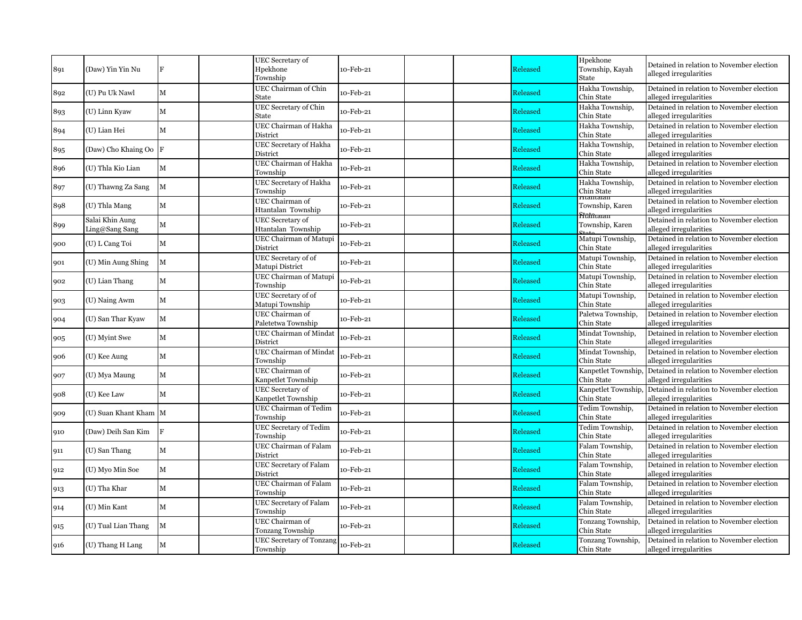| 891 | (Daw) Yin Yin Nu                  | F           | UEC Secretary of<br>Hpekhone<br>Township      | 10-Feb-21 |  | Released | Hpekhone<br>Township, Kayah<br>State     | Detained in relation to November election<br>alleged irregularities |
|-----|-----------------------------------|-------------|-----------------------------------------------|-----------|--|----------|------------------------------------------|---------------------------------------------------------------------|
| 892 | (U) Pu Uk Nawl                    | M           | UEC Chairman of Chin<br>State                 | 10-Feb-21 |  | Released | Hakha Township,<br>Chin State            | Detained in relation to November election<br>alleged irregularities |
| 893 | (U) Linn Kyaw                     | M           | UEC Secretary of Chin<br>State                | 10-Feb-21 |  | Released | Hakha Township,<br>Chin State            | Detained in relation to November election<br>alleged irregularities |
| 894 | (U) Lian Hei                      | M           | UEC Chairman of Hakha<br>District             | 10-Feb-21 |  | Released | Hakha Township,<br>Chin State            | Detained in relation to November election<br>alleged irregularities |
| 895 | (Daw) Cho Khaing Oo F             |             | UEC Secretary of Hakha<br>District            | 10-Feb-21 |  | Released | Hakha Township,<br>Chin State            | Detained in relation to November election<br>alleged irregularities |
| 896 | (U) Thla Kio Lian                 | M           | UEC Chairman of Hakha<br>Township             | 10-Feb-21 |  | Released | Hakha Township,<br>Chin State            | Detained in relation to November election<br>alleged irregularities |
| 897 | (U) Thawng Za Sang                | $\mathbf M$ | UEC Secretary of Hakha<br>Township            | 10-Feb-21 |  | Released | Hakha Township,<br>Chin State            | Detained in relation to November election<br>alleged irregularities |
| 898 | (U) Thla Mang                     | M           | UEC Chairman of<br>Htantalan Township         | 10-Feb-21 |  | Released | Township, Karen                          | Detained in relation to November election<br>alleged irregularities |
| 899 | Salai Khin Aung<br>Ling@Sang Sang | M           | <b>UEC</b> Secretary of<br>Htantalan Township | 10-Feb-21 |  | Released | <del>Stûtûtaran</del><br>Township, Karen | Detained in relation to November election<br>alleged irregularities |
| 900 | (U) L Cang Toi                    | $\mathbf M$ | UEC Chairman of Matupi<br>District            | 10-Feb-21 |  | Released | Matupi Township,<br>Chin State           | Detained in relation to November election<br>alleged irregularities |
| 901 | (U) Min Aung Shing                | М           | UEC Secretary of of<br>Matupi District        | 10-Feb-21 |  | Released | Matupi Township,<br>Chin State           | Detained in relation to November election<br>alleged irregularities |
| 902 | (U) Lian Thang                    | $\mathbf M$ | <b>UEC Chairman of Matupi</b><br>Township     | 10-Feb-21 |  | Released | Matupi Township,<br>Chin State           | Detained in relation to November election<br>alleged irregularities |
| 903 | (U) Naing Awm                     | M           | UEC Secretary of of<br>Matupi Township        | 10-Feb-21 |  | Released | Matupi Township,<br>Chin State           | Detained in relation to November election<br>alleged irregularities |
| 904 | (U) San Thar Kyaw                 | $\mathbf M$ | UEC Chairman of<br>Paletetwa Township         | 10-Feb-21 |  | Released | Paletwa Township,<br>Chin State          | Detained in relation to November election<br>alleged irregularities |
| 905 | (U) Myint Swe                     | $\mathbf M$ | <b>UEC Chairman of Mindat</b><br>District     | 10-Feb-21 |  | Released | Mindat Township,<br>Chin State           | Detained in relation to November election<br>alleged irregularities |
| 906 | (U) Kee Aung                      | М           | UEC Chairman of Mindat<br>Township            | 10-Feb-21 |  | Released | Mindat Township,<br>Chin State           | Detained in relation to November election<br>alleged irregularities |
| 907 | (U) Mya Maung                     | М           | UEC Chairman of<br>Kanpetlet Township         | 10-Feb-21 |  | Released | Kanpetlet Township<br>Chin State         | Detained in relation to November election<br>alleged irregularities |
| 908 | (U) Kee Law                       | $\mathbf M$ | <b>UEC</b> Secretary of<br>Kanpetlet Township | 10-Feb-21 |  | Released | Kanpetlet Township<br>Chin State         | Detained in relation to November election<br>alleged irregularities |
| 909 | (U) Suan Khant Kham M             |             | UEC Chairman of Tedim<br>Township             | 10-Feb-21 |  | Released | Tedim Township,<br>Chin State            | Detained in relation to November election<br>alleged irregularities |
| 910 | (Daw) Deih San Kim                | F           | UEC Secretary of Tedim<br>Township            | 10-Feb-21 |  | Released | Tedim Township,<br>Chin State            | Detained in relation to November election<br>alleged irregularities |
| 911 | (U) San Thang                     | М           | UEC Chairman of Falam<br>District             | 10-Feb-21 |  | Released | Falam Township,<br>Chin State            | Detained in relation to November election<br>alleged irregularities |
| 912 | (U) Myo Min Soe                   | M           | UEC Secretary of Falam<br>District            | 10-Feb-21 |  | Released | Falam Township,<br>Chin State            | Detained in relation to November election<br>alleged irregularities |
| 913 | (U) Tha Khar                      | $\mathbf M$ | UEC Chairman of Falam<br>Township             | 10-Feb-21 |  | Released | Falam Township,<br>Chin State            | Detained in relation to November election<br>alleged irregularities |
| 914 | (U) Min Kant                      | $\mathbf M$ | <b>UEC Secretary of Falam</b><br>Township     | 10-Feb-21 |  | Released | Falam Township,<br>Chin State            | Detained in relation to November election<br>alleged irregularities |
| 915 | (U) Tual Lian Thang               | М           | UEC Chairman of<br>Tonzang Township           | 10-Feb-21 |  | Released | Tonzang Township,<br>Chin State          | Detained in relation to November election<br>alleged irregularities |
| 916 | (U) Thang H Lang                  | $\mathbf M$ | <b>UEC Secretary of Tonzang</b><br>Township   | 10-Feb-21 |  | Released | Tonzang Township,<br>Chin State          | Detained in relation to November election<br>alleged irregularities |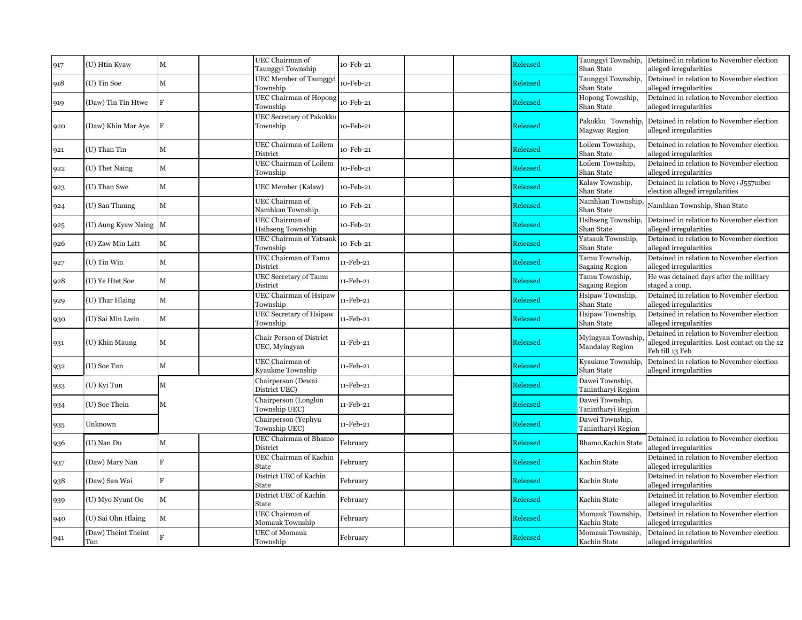| 917 | (U) Htin Kyaw              | $\mathbf M$    | UEC Chairman of<br>Taunggyi Township        | 10-Feb-21 |  | Released | Taunggyi Township,<br>Shan State            | Detained in relation to November election<br>alleged irregularities                                            |
|-----|----------------------------|----------------|---------------------------------------------|-----------|--|----------|---------------------------------------------|----------------------------------------------------------------------------------------------------------------|
| 918 | (U) Tin Soe                | $\mathbf M$    | <b>UEC Member of Taunggyi</b><br>Township   | 10-Feb-21 |  | Released | Taunggyi Township,<br>Shan State            | Detained in relation to November election<br>alleged irregularities                                            |
| 919 | (Daw) Tin Tin Htwe         | $\overline{R}$ | <b>UEC Chairman of Hopong</b><br>Township   | 10-Feb-21 |  | Released | Hopong Township,<br>Shan State              | Detained in relation to November election<br>alleged irregularities                                            |
| 920 | (Daw) Khin Mar Aye         | $_{\rm F}$     | UEC Secretary of Pakokku<br>Township        | 10-Feb-21 |  | Released | Pakokku Township,<br><b>Magway Region</b>   | Detained in relation to November election<br>alleged irregularities                                            |
| 921 | (U) Than Tin               | $\mathbf M$    | UEC Chairman of Loilem<br>District          | 10-Feb-21 |  | Released | Loilem Township,<br>Shan State              | Detained in relation to November election<br>alleged irregularities                                            |
| 922 | (U) Thet Naing             | $\mathbf{M}$   | UEC Chairman of Loilem<br>Township          | 10-Feb-21 |  | Released | Loilem Township,<br>Shan State              | Detained in relation to November election<br>alleged irregularities                                            |
| 923 | (U) Than Swe               | $\mathbf{M}$   | UEC Member (Kalaw)                          | 10-Feb-21 |  | Released | Kalaw Township,<br>Shan State               | Detained in relation to Nove+J557mber<br>election alleged irregularities                                       |
| 924 | (U) San Thaung             | $\mathbf M$    | UEC Chairman of<br>Namhkan Township         | 10-Feb-21 |  | Released | Namhkan Township,<br>Shan State             | Namhkan Township, Shan State                                                                                   |
| 925 | (U) Aung Kyaw Naing M      |                | UEC Chairman of<br><b>Hsihseng Township</b> | 10-Feb-21 |  | Released | Hsihseng Township,<br>Shan State            | Detained in relation to November election<br>alleged irregularities                                            |
| 926 | (U) Zaw Min Latt           | $\mathbf M$    | <b>UEC Chairman of Yatsauk</b><br>Township  | 10-Feb-21 |  | Released | Yatsauk Township,<br>Shan State             | Detained in relation to November election<br>alleged irregularities                                            |
| 927 | (U) Tin Win                | $\mathbf M$    | UEC Chairman of Tamu<br>District            | 11-Feb-21 |  | Released | Tamu Township,<br><b>Sagaing Region</b>     | Detained in relation to November election<br>alleged irregularities                                            |
| 928 | (U) Ye Htet Soe            | $\mathbf M$    | <b>UEC</b> Secretary of Tamu<br>District    | 11-Feb-21 |  | Released | Tamu Township,<br><b>Sagaing Region</b>     | He was detained days after the military<br>staged a coup.                                                      |
| 929 | (U) Thar Hlaing            | $\mathbf{M}$   | <b>UEC Chairman of Hsipaw</b><br>Township   | 11-Feb-21 |  | Released | Hsipaw Township,<br>Shan State              | Detained in relation to November election<br>alleged irregularities                                            |
| 930 | (U) Sai Min Lwin           | $\mathbf{M}$   | <b>UEC</b> Secretary of Hsipaw<br>Township  | 11-Feb-21 |  | Released | Hsipaw Township,<br>Shan State              | Detained in relation to November election<br>alleged irregularities                                            |
| 931 | (U) Khin Maung             | $\mathbf M$    | Chair Person of District<br>UEC, Myingyan   | 11-Feb-21 |  | Released | Myingyan Township<br><b>Mandalay Region</b> | Detained in relation to November election<br>alleged irregularities. Lost contact on the 12<br>Feb till 13 Feb |
| 932 | (U) Soe Tun                | $\mathbf M$    | UEC Chairman of<br>Kyaukme Township         | 11-Feb-21 |  | Released | Kyaukme Township,<br>Shan State             | Detained in relation to November election<br>alleged irregularities                                            |
| 933 | (U) Kyi Tun                | M              | Chairperson (Dewai<br>District UEC)         | 11-Feb-21 |  | Released | Dawei Township,<br>Tanintharyi Region       |                                                                                                                |
| 934 | (U) Soe Thein              | м              | Chairperson (Longlon<br>Township UEC)       | 11-Feb-21 |  | Released | Dawei Township,<br>Tanintharyi Region       |                                                                                                                |
| 935 | Unknown                    |                | Chairperson (Yephyu<br>Township UEC)        | 11-Feb-21 |  | Released | Dawei Township,<br>Tanintharyi Region       |                                                                                                                |
| 936 | (U) Nan Du                 | $\mathbf M$    | UEC Chairman of Bhamo<br>District           | February  |  | Released | Bhamo, Kachin State                         | Detained in relation to November election<br>alleged irregularities                                            |
| 937 | (Daw) Mary Nan             | F              | UEC Chairman of Kachin<br>State             | February  |  | Released | Kachin State                                | Detained in relation to November election<br>alleged irregularities                                            |
| 938 | (Daw) San Wai              | F              | District UEC of Kachin<br>State             | February  |  | Released | Kachin State                                | Detained in relation to November election<br>alleged irregularities                                            |
| 939 | (U) Myo Nyunt Oo           | $\mathbf M$    | District UEC of Kachin<br><b>State</b>      | February  |  | Released | Kachin State                                | Detained in relation to November election<br>alleged irregularities                                            |
| 940 | (U) Sai Ohn Hlaing         | $\mathbf M$    | UEC Chairman of<br>Momauk Township          | February  |  | Released | Momauk Township.<br>Kachin State            | Detained in relation to November election<br>alleged irregularities                                            |
| 941 | (Daw) Theint Theint<br>Tun |                | <b>UEC</b> of Momauk<br>Township            | February  |  | Released | Momauk Township,<br>Kachin State            | Detained in relation to November election<br>alleged irregularities                                            |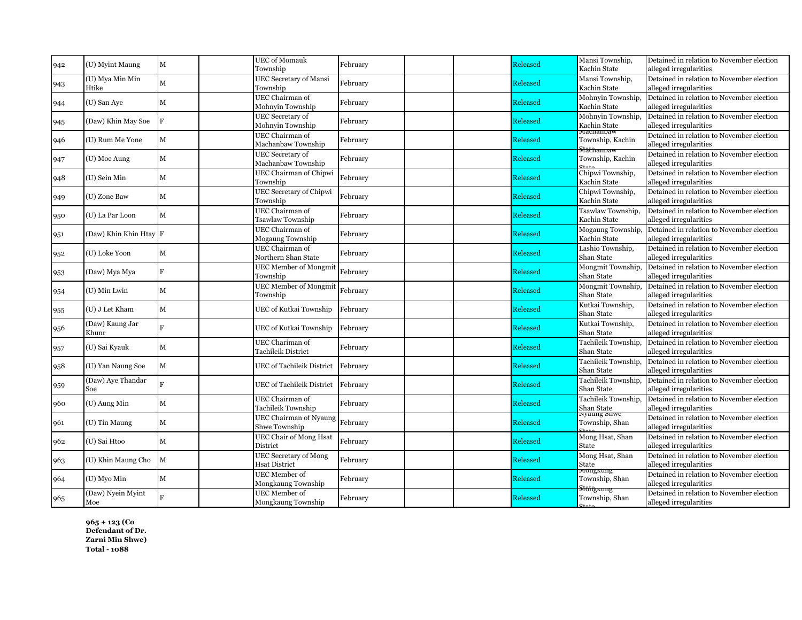| <b>UEC</b> of Momauk<br>Mansi Township,<br>Released<br>(U) Myint Maung<br>М<br>February<br>942<br>Township<br>Kachin State<br>UEC Secretary of Mansi<br>Mansi Township,<br>(U) Mya Min Min<br>Released<br>M<br>February<br>943<br>Township<br>Htike<br>Kachin State<br>UEC Chairman of<br>Mohnyin Township,<br>$\mathbf M$<br>Released<br>(U) San Aye<br>February<br>944<br>Mohnyin Township<br>Kachin State<br>alleged irregularities<br>UEC Secretary of<br>Mohnyin Township,<br>Released<br>F<br>(Daw) Khin May Soe<br>February<br>945<br>Mohnyin Township<br>Kachin State<br>alleged irregularities<br>угаспаннам<br>UEC Chairman of<br>Released<br>Township, Kachin<br>(U) Rum Me Yone<br>М<br>February<br>946<br>Machanbaw Township<br>alleged irregularities<br>.<br>Matmamoaw<br>UEC Secretary of<br>M<br>Released<br>Township, Kachin<br>February<br>(U) Moe Aung<br>947<br>Machanbaw Township<br>UEC Chairman of Chipwi<br>Chipwi Township,<br>February<br>(U) Sein Min<br>М<br><b>Released</b><br>948<br>Township<br>Kachin State<br>UEC Secretary of Chipwi<br>Chipwi Township,<br>February<br>Released<br>(U) Zone Baw<br>М<br>949<br>Kachin State<br>Township<br>UEC Chairman of<br>Tsawlaw Township,<br>Released<br>$\mathbf M$<br>(U) La Par Loon<br>February<br>950<br>Tsawlaw Township<br>Kachin State<br>UEC Chairman of<br>Mogaung Township,<br>(Daw) Khin Khin Htay F<br>Released<br>February<br>951<br>Kachin State<br><b>Mogaung Township</b><br>UEC Chairman of<br>Lashio Township,<br>Released<br>$\mathbf M$<br>February<br>(U) Loke Yoon<br>952<br>Northern Shan State<br>Shan State<br>Mongmit Township,<br><b>UEC</b> Member of Mongmit<br>$\overline{\mathbf{F}}$<br>February<br>Released<br>(Daw) Mya Mya<br>953<br>Township<br>Shan State<br><b>UEC</b> Member of Mongmit<br>Mongmit Township,<br>February<br>$\mathbf M$<br>Released<br>(U) Min Lwin<br>954<br>Shan State<br>alleged irregularities<br>Township<br>Kutkai Township,<br>(U) J Let Kham<br>$\mathbf M$<br>Released<br>UEC of Kutkai Township<br>February<br>955<br>Shan State<br>Kutkai Township,<br>(Daw) Kaung Jar<br>$\mathbf{F}$<br><b>Released</b><br>UEC of Kutkai Township<br>February<br>956<br>Shan State<br>Khunr<br>Tachileik Township,<br>UEC Chariman of<br>Released<br>(U) Sai Kyauk<br>M<br>February<br>957<br>Shan State<br><b>Tachileik District</b><br>Tachileik Township,<br>February<br>Released<br>(U) Yan Naung Soe<br>М<br>UEC of Tachileik District<br>958<br>Shan State<br>Tachileik Township,<br>(Daw) Aye Thandar<br>$\mathbf{E}$<br>February<br><b>Released</b><br>UEC of Tachileik District<br>959<br>Shan State<br>Soe<br>UEC Chairman of<br>Tachileik Township,<br>Released<br>(U) Aung Min<br>М<br>February<br>960<br>Tachileik Township<br>Shan State<br>ivyaung snwe<br>UEC Chairman of Nyaung<br>February<br>Released<br>М<br>Township, Shan<br>(U) Tin Maung<br>961<br>Shwe Township<br><b>UEC Chair of Mong Hsat</b><br>Mong Hsat, Shan<br>February<br>$\mathbf M$<br>Released<br>(U) Sai Htoo<br>962<br>alleged irregularities<br>District<br>State<br><b>UEC Secretary of Mong</b><br>Mong Hsat, Shan<br>M<br>February<br>Released<br>(U) Khin Maung Cho<br>963<br><b>Hsat District</b><br>State<br>wongkung<br>UEC Member of |             |             |          |  |          |                |                                                                     |
|---------------------------------------------------------------------------------------------------------------------------------------------------------------------------------------------------------------------------------------------------------------------------------------------------------------------------------------------------------------------------------------------------------------------------------------------------------------------------------------------------------------------------------------------------------------------------------------------------------------------------------------------------------------------------------------------------------------------------------------------------------------------------------------------------------------------------------------------------------------------------------------------------------------------------------------------------------------------------------------------------------------------------------------------------------------------------------------------------------------------------------------------------------------------------------------------------------------------------------------------------------------------------------------------------------------------------------------------------------------------------------------------------------------------------------------------------------------------------------------------------------------------------------------------------------------------------------------------------------------------------------------------------------------------------------------------------------------------------------------------------------------------------------------------------------------------------------------------------------------------------------------------------------------------------------------------------------------------------------------------------------------------------------------------------------------------------------------------------------------------------------------------------------------------------------------------------------------------------------------------------------------------------------------------------------------------------------------------------------------------------------------------------------------------------------------------------------------------------------------------------------------------------------------------------------------------------------------------------------------------------------------------------------------------------------------------------------------------------------------------------------------------------------------------------------------------------------------------------------------------------------------------------------------------------------------------------------------------------------------------------------------------------------------------------------------------------------------------------------------------------------------------------------------------------------------------------------------------------------------------------------------------|-------------|-------------|----------|--|----------|----------------|---------------------------------------------------------------------|
|                                                                                                                                                                                                                                                                                                                                                                                                                                                                                                                                                                                                                                                                                                                                                                                                                                                                                                                                                                                                                                                                                                                                                                                                                                                                                                                                                                                                                                                                                                                                                                                                                                                                                                                                                                                                                                                                                                                                                                                                                                                                                                                                                                                                                                                                                                                                                                                                                                                                                                                                                                                                                                                                                                                                                                                                                                                                                                                                                                                                                                                                                                                                                                                                                                                                     |             |             |          |  |          |                | Detained in relation to November election<br>alleged irregularities |
|                                                                                                                                                                                                                                                                                                                                                                                                                                                                                                                                                                                                                                                                                                                                                                                                                                                                                                                                                                                                                                                                                                                                                                                                                                                                                                                                                                                                                                                                                                                                                                                                                                                                                                                                                                                                                                                                                                                                                                                                                                                                                                                                                                                                                                                                                                                                                                                                                                                                                                                                                                                                                                                                                                                                                                                                                                                                                                                                                                                                                                                                                                                                                                                                                                                                     |             |             |          |  |          |                | Detained in relation to November election<br>alleged irregularities |
|                                                                                                                                                                                                                                                                                                                                                                                                                                                                                                                                                                                                                                                                                                                                                                                                                                                                                                                                                                                                                                                                                                                                                                                                                                                                                                                                                                                                                                                                                                                                                                                                                                                                                                                                                                                                                                                                                                                                                                                                                                                                                                                                                                                                                                                                                                                                                                                                                                                                                                                                                                                                                                                                                                                                                                                                                                                                                                                                                                                                                                                                                                                                                                                                                                                                     |             |             |          |  |          |                | Detained in relation to November election                           |
|                                                                                                                                                                                                                                                                                                                                                                                                                                                                                                                                                                                                                                                                                                                                                                                                                                                                                                                                                                                                                                                                                                                                                                                                                                                                                                                                                                                                                                                                                                                                                                                                                                                                                                                                                                                                                                                                                                                                                                                                                                                                                                                                                                                                                                                                                                                                                                                                                                                                                                                                                                                                                                                                                                                                                                                                                                                                                                                                                                                                                                                                                                                                                                                                                                                                     |             |             |          |  |          |                | Detained in relation to November election                           |
|                                                                                                                                                                                                                                                                                                                                                                                                                                                                                                                                                                                                                                                                                                                                                                                                                                                                                                                                                                                                                                                                                                                                                                                                                                                                                                                                                                                                                                                                                                                                                                                                                                                                                                                                                                                                                                                                                                                                                                                                                                                                                                                                                                                                                                                                                                                                                                                                                                                                                                                                                                                                                                                                                                                                                                                                                                                                                                                                                                                                                                                                                                                                                                                                                                                                     |             |             |          |  |          |                | Detained in relation to November election                           |
|                                                                                                                                                                                                                                                                                                                                                                                                                                                                                                                                                                                                                                                                                                                                                                                                                                                                                                                                                                                                                                                                                                                                                                                                                                                                                                                                                                                                                                                                                                                                                                                                                                                                                                                                                                                                                                                                                                                                                                                                                                                                                                                                                                                                                                                                                                                                                                                                                                                                                                                                                                                                                                                                                                                                                                                                                                                                                                                                                                                                                                                                                                                                                                                                                                                                     |             |             |          |  |          |                | Detained in relation to November election                           |
|                                                                                                                                                                                                                                                                                                                                                                                                                                                                                                                                                                                                                                                                                                                                                                                                                                                                                                                                                                                                                                                                                                                                                                                                                                                                                                                                                                                                                                                                                                                                                                                                                                                                                                                                                                                                                                                                                                                                                                                                                                                                                                                                                                                                                                                                                                                                                                                                                                                                                                                                                                                                                                                                                                                                                                                                                                                                                                                                                                                                                                                                                                                                                                                                                                                                     |             |             |          |  |          |                | alleged irregularities<br>Detained in relation to November election |
|                                                                                                                                                                                                                                                                                                                                                                                                                                                                                                                                                                                                                                                                                                                                                                                                                                                                                                                                                                                                                                                                                                                                                                                                                                                                                                                                                                                                                                                                                                                                                                                                                                                                                                                                                                                                                                                                                                                                                                                                                                                                                                                                                                                                                                                                                                                                                                                                                                                                                                                                                                                                                                                                                                                                                                                                                                                                                                                                                                                                                                                                                                                                                                                                                                                                     |             |             |          |  |          |                | alleged irregularities<br>Detained in relation to November election |
|                                                                                                                                                                                                                                                                                                                                                                                                                                                                                                                                                                                                                                                                                                                                                                                                                                                                                                                                                                                                                                                                                                                                                                                                                                                                                                                                                                                                                                                                                                                                                                                                                                                                                                                                                                                                                                                                                                                                                                                                                                                                                                                                                                                                                                                                                                                                                                                                                                                                                                                                                                                                                                                                                                                                                                                                                                                                                                                                                                                                                                                                                                                                                                                                                                                                     |             |             |          |  |          |                | alleged irregularities                                              |
|                                                                                                                                                                                                                                                                                                                                                                                                                                                                                                                                                                                                                                                                                                                                                                                                                                                                                                                                                                                                                                                                                                                                                                                                                                                                                                                                                                                                                                                                                                                                                                                                                                                                                                                                                                                                                                                                                                                                                                                                                                                                                                                                                                                                                                                                                                                                                                                                                                                                                                                                                                                                                                                                                                                                                                                                                                                                                                                                                                                                                                                                                                                                                                                                                                                                     |             |             |          |  |          |                | Detained in relation to November election<br>alleged irregularities |
|                                                                                                                                                                                                                                                                                                                                                                                                                                                                                                                                                                                                                                                                                                                                                                                                                                                                                                                                                                                                                                                                                                                                                                                                                                                                                                                                                                                                                                                                                                                                                                                                                                                                                                                                                                                                                                                                                                                                                                                                                                                                                                                                                                                                                                                                                                                                                                                                                                                                                                                                                                                                                                                                                                                                                                                                                                                                                                                                                                                                                                                                                                                                                                                                                                                                     |             |             |          |  |          |                | Detained in relation to November election<br>alleged irregularities |
|                                                                                                                                                                                                                                                                                                                                                                                                                                                                                                                                                                                                                                                                                                                                                                                                                                                                                                                                                                                                                                                                                                                                                                                                                                                                                                                                                                                                                                                                                                                                                                                                                                                                                                                                                                                                                                                                                                                                                                                                                                                                                                                                                                                                                                                                                                                                                                                                                                                                                                                                                                                                                                                                                                                                                                                                                                                                                                                                                                                                                                                                                                                                                                                                                                                                     |             |             |          |  |          |                | Detained in relation to November election<br>alleged irregularities |
|                                                                                                                                                                                                                                                                                                                                                                                                                                                                                                                                                                                                                                                                                                                                                                                                                                                                                                                                                                                                                                                                                                                                                                                                                                                                                                                                                                                                                                                                                                                                                                                                                                                                                                                                                                                                                                                                                                                                                                                                                                                                                                                                                                                                                                                                                                                                                                                                                                                                                                                                                                                                                                                                                                                                                                                                                                                                                                                                                                                                                                                                                                                                                                                                                                                                     |             |             |          |  |          |                | Detained in relation to November election<br>alleged irregularities |
|                                                                                                                                                                                                                                                                                                                                                                                                                                                                                                                                                                                                                                                                                                                                                                                                                                                                                                                                                                                                                                                                                                                                                                                                                                                                                                                                                                                                                                                                                                                                                                                                                                                                                                                                                                                                                                                                                                                                                                                                                                                                                                                                                                                                                                                                                                                                                                                                                                                                                                                                                                                                                                                                                                                                                                                                                                                                                                                                                                                                                                                                                                                                                                                                                                                                     |             |             |          |  |          |                | Detained in relation to November election                           |
|                                                                                                                                                                                                                                                                                                                                                                                                                                                                                                                                                                                                                                                                                                                                                                                                                                                                                                                                                                                                                                                                                                                                                                                                                                                                                                                                                                                                                                                                                                                                                                                                                                                                                                                                                                                                                                                                                                                                                                                                                                                                                                                                                                                                                                                                                                                                                                                                                                                                                                                                                                                                                                                                                                                                                                                                                                                                                                                                                                                                                                                                                                                                                                                                                                                                     |             |             |          |  |          |                |                                                                     |
|                                                                                                                                                                                                                                                                                                                                                                                                                                                                                                                                                                                                                                                                                                                                                                                                                                                                                                                                                                                                                                                                                                                                                                                                                                                                                                                                                                                                                                                                                                                                                                                                                                                                                                                                                                                                                                                                                                                                                                                                                                                                                                                                                                                                                                                                                                                                                                                                                                                                                                                                                                                                                                                                                                                                                                                                                                                                                                                                                                                                                                                                                                                                                                                                                                                                     |             |             |          |  |          |                | Detained in relation to November election<br>alleged irregularities |
|                                                                                                                                                                                                                                                                                                                                                                                                                                                                                                                                                                                                                                                                                                                                                                                                                                                                                                                                                                                                                                                                                                                                                                                                                                                                                                                                                                                                                                                                                                                                                                                                                                                                                                                                                                                                                                                                                                                                                                                                                                                                                                                                                                                                                                                                                                                                                                                                                                                                                                                                                                                                                                                                                                                                                                                                                                                                                                                                                                                                                                                                                                                                                                                                                                                                     |             |             |          |  |          |                | Detained in relation to November election<br>alleged irregularities |
|                                                                                                                                                                                                                                                                                                                                                                                                                                                                                                                                                                                                                                                                                                                                                                                                                                                                                                                                                                                                                                                                                                                                                                                                                                                                                                                                                                                                                                                                                                                                                                                                                                                                                                                                                                                                                                                                                                                                                                                                                                                                                                                                                                                                                                                                                                                                                                                                                                                                                                                                                                                                                                                                                                                                                                                                                                                                                                                                                                                                                                                                                                                                                                                                                                                                     |             |             |          |  |          |                | Detained in relation to November election<br>alleged irregularities |
|                                                                                                                                                                                                                                                                                                                                                                                                                                                                                                                                                                                                                                                                                                                                                                                                                                                                                                                                                                                                                                                                                                                                                                                                                                                                                                                                                                                                                                                                                                                                                                                                                                                                                                                                                                                                                                                                                                                                                                                                                                                                                                                                                                                                                                                                                                                                                                                                                                                                                                                                                                                                                                                                                                                                                                                                                                                                                                                                                                                                                                                                                                                                                                                                                                                                     |             |             |          |  |          |                | Detained in relation to November election<br>alleged irregularities |
|                                                                                                                                                                                                                                                                                                                                                                                                                                                                                                                                                                                                                                                                                                                                                                                                                                                                                                                                                                                                                                                                                                                                                                                                                                                                                                                                                                                                                                                                                                                                                                                                                                                                                                                                                                                                                                                                                                                                                                                                                                                                                                                                                                                                                                                                                                                                                                                                                                                                                                                                                                                                                                                                                                                                                                                                                                                                                                                                                                                                                                                                                                                                                                                                                                                                     |             |             |          |  |          |                | Detained in relation to November election<br>alleged irregularities |
|                                                                                                                                                                                                                                                                                                                                                                                                                                                                                                                                                                                                                                                                                                                                                                                                                                                                                                                                                                                                                                                                                                                                                                                                                                                                                                                                                                                                                                                                                                                                                                                                                                                                                                                                                                                                                                                                                                                                                                                                                                                                                                                                                                                                                                                                                                                                                                                                                                                                                                                                                                                                                                                                                                                                                                                                                                                                                                                                                                                                                                                                                                                                                                                                                                                                     |             |             |          |  |          |                | Detained in relation to November election<br>alleged irregularities |
|                                                                                                                                                                                                                                                                                                                                                                                                                                                                                                                                                                                                                                                                                                                                                                                                                                                                                                                                                                                                                                                                                                                                                                                                                                                                                                                                                                                                                                                                                                                                                                                                                                                                                                                                                                                                                                                                                                                                                                                                                                                                                                                                                                                                                                                                                                                                                                                                                                                                                                                                                                                                                                                                                                                                                                                                                                                                                                                                                                                                                                                                                                                                                                                                                                                                     |             |             |          |  |          |                | Detained in relation to November election<br>alleged irregularities |
|                                                                                                                                                                                                                                                                                                                                                                                                                                                                                                                                                                                                                                                                                                                                                                                                                                                                                                                                                                                                                                                                                                                                                                                                                                                                                                                                                                                                                                                                                                                                                                                                                                                                                                                                                                                                                                                                                                                                                                                                                                                                                                                                                                                                                                                                                                                                                                                                                                                                                                                                                                                                                                                                                                                                                                                                                                                                                                                                                                                                                                                                                                                                                                                                                                                                     |             |             |          |  |          |                | Detained in relation to November election                           |
|                                                                                                                                                                                                                                                                                                                                                                                                                                                                                                                                                                                                                                                                                                                                                                                                                                                                                                                                                                                                                                                                                                                                                                                                                                                                                                                                                                                                                                                                                                                                                                                                                                                                                                                                                                                                                                                                                                                                                                                                                                                                                                                                                                                                                                                                                                                                                                                                                                                                                                                                                                                                                                                                                                                                                                                                                                                                                                                                                                                                                                                                                                                                                                                                                                                                     |             |             |          |  |          |                | Detained in relation to November election                           |
|                                                                                                                                                                                                                                                                                                                                                                                                                                                                                                                                                                                                                                                                                                                                                                                                                                                                                                                                                                                                                                                                                                                                                                                                                                                                                                                                                                                                                                                                                                                                                                                                                                                                                                                                                                                                                                                                                                                                                                                                                                                                                                                                                                                                                                                                                                                                                                                                                                                                                                                                                                                                                                                                                                                                                                                                                                                                                                                                                                                                                                                                                                                                                                                                                                                                     |             |             |          |  |          |                | alleged irregularities                                              |
| 964<br>Mongkaung Township<br><b>Stotfgkung</b>                                                                                                                                                                                                                                                                                                                                                                                                                                                                                                                                                                                                                                                                                                                                                                                                                                                                                                                                                                                                                                                                                                                                                                                                                                                                                                                                                                                                                                                                                                                                                                                                                                                                                                                                                                                                                                                                                                                                                                                                                                                                                                                                                                                                                                                                                                                                                                                                                                                                                                                                                                                                                                                                                                                                                                                                                                                                                                                                                                                                                                                                                                                                                                                                                      | (U) Myo Min | $\mathbf M$ | February |  | Released | Township, Shan | Detained in relation to November election<br>alleged irregularities |
| UEC Member of<br>(Daw) Nyein Myint<br>$\mathbf{F}$<br>February<br>Released<br>Township, Shan<br>965<br>Mongkaung Township<br>Moe                                                                                                                                                                                                                                                                                                                                                                                                                                                                                                                                                                                                                                                                                                                                                                                                                                                                                                                                                                                                                                                                                                                                                                                                                                                                                                                                                                                                                                                                                                                                                                                                                                                                                                                                                                                                                                                                                                                                                                                                                                                                                                                                                                                                                                                                                                                                                                                                                                                                                                                                                                                                                                                                                                                                                                                                                                                                                                                                                                                                                                                                                                                                    |             |             |          |  |          |                | Detained in relation to November election<br>alleged irregularities |

**965 + 123 (Co Defendant of Dr. Zarni Min Shwe) Total - 1088**